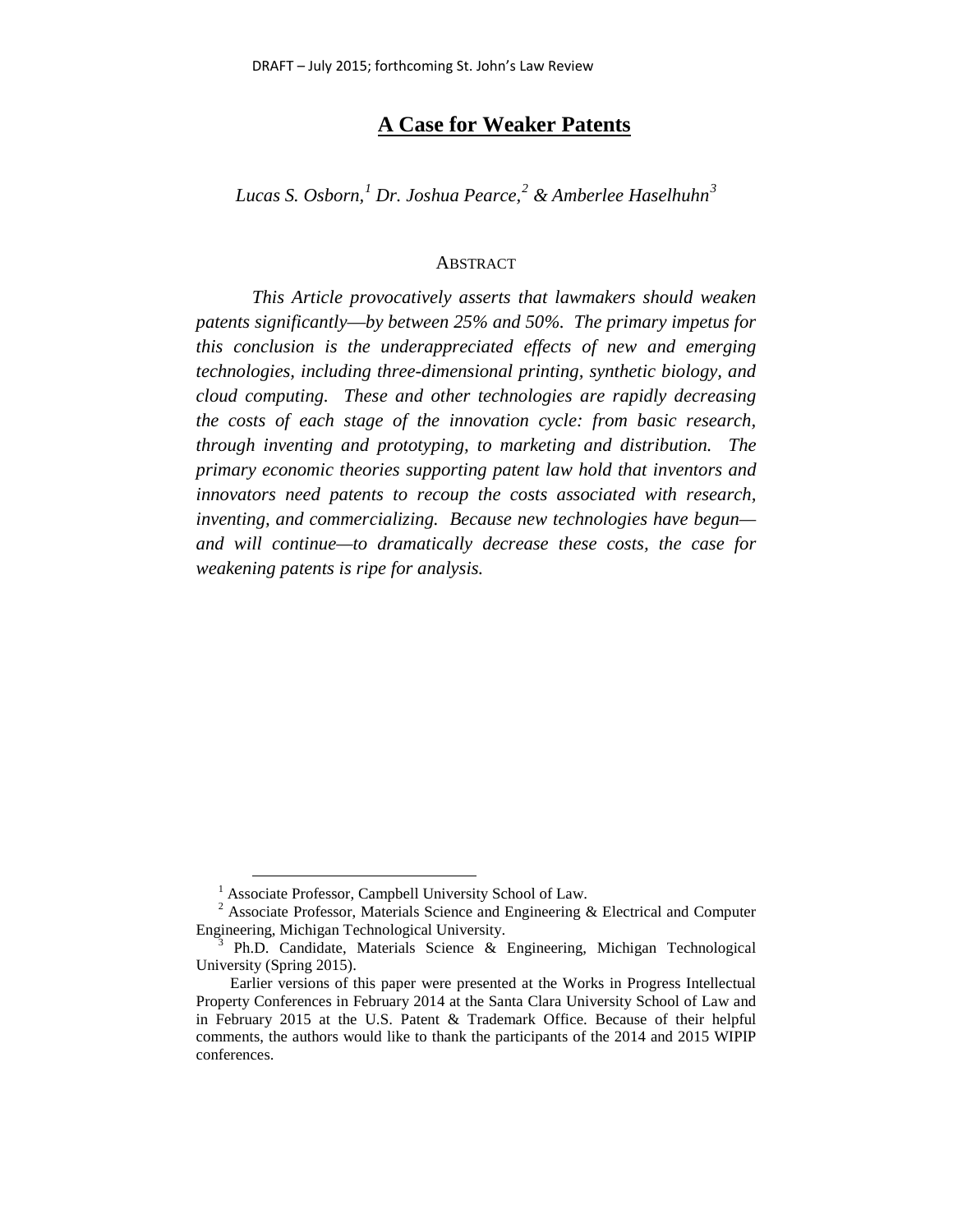## **A Case for Weaker Patents**

*Lucas S. Osborn, [1](#page-0-0) Dr. Joshua Pearce,[2](#page-0-1) & Amberlee Haselhuhn[3](#page-0-2)*

#### ABSTRACT

*This Article provocatively asserts that lawmakers should weaken patents significantly*—*by between 25% and 50%. The primary impetus for this conclusion is the underappreciated effects of new and emerging technologies, including three-dimensional printing, synthetic biology, and cloud computing. These and other technologies are rapidly decreasing the costs of each stage of the innovation cycle: from basic research, through inventing and prototyping, to marketing and distribution. The primary economic theories supporting patent law hold that inventors and innovators need patents to recoup the costs associated with research, inventing, and commercializing. Because new technologies have begun and will continue—to dramatically decrease these costs, the case for weakening patents is ripe for analysis.*

<sup>&</sup>lt;sup>1</sup> Associate Professor, Campbell University School of Law.

<span id="page-0-1"></span><span id="page-0-0"></span> $2$  Associate Professor, Materials Science and Engineering & Electrical and Computer Engineering, Michigan Technological University.

<span id="page-0-2"></span> $B$  Ph.D. Candidate, Materials Science & Engineering, Michigan Technological University (Spring 2015).

Earlier versions of this paper were presented at the Works in Progress Intellectual Property Conferences in February 2014 at the Santa Clara University School of Law and in February 2015 at the U.S. Patent & Trademark Office. Because of their helpful comments, the authors would like to thank the participants of the 2014 and 2015 WIPIP conferences.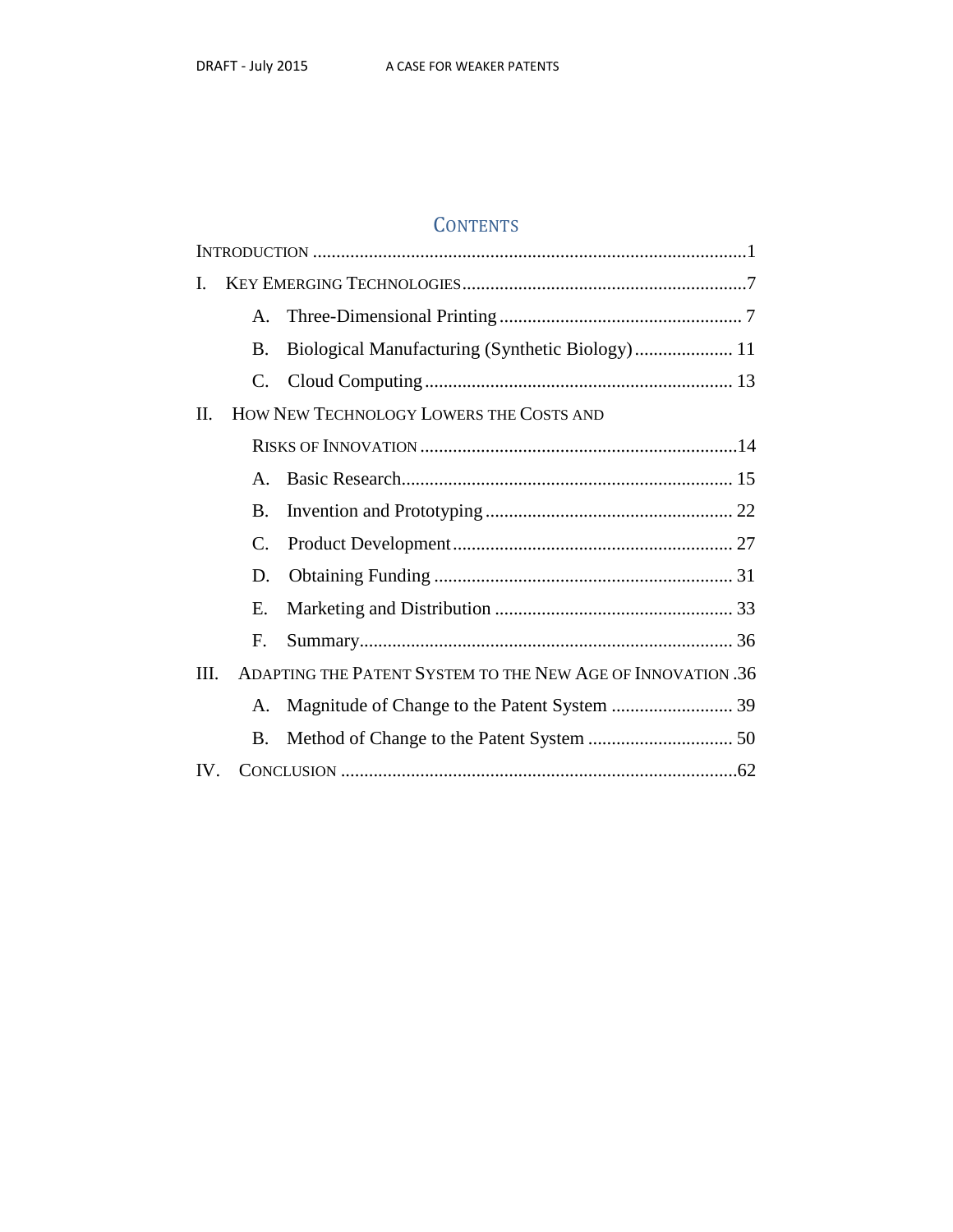# **CONTENTS**

| I.       |                                                                     |                                                 |
|----------|---------------------------------------------------------------------|-------------------------------------------------|
|          | $A_{-}$                                                             |                                                 |
|          | B.                                                                  | Biological Manufacturing (Synthetic Biology) 11 |
|          | C.                                                                  |                                                 |
| $\Pi$ .  | HOW NEW TECHNOLOGY LOWERS THE COSTS AND                             |                                                 |
|          |                                                                     |                                                 |
|          | $\mathsf{A}$ .                                                      |                                                 |
|          | Β.                                                                  |                                                 |
|          | C.                                                                  |                                                 |
|          | D.                                                                  |                                                 |
|          | Е.                                                                  |                                                 |
|          | F.                                                                  |                                                 |
|          | ADAPTING THE PATENT SYSTEM TO THE NEW AGE OF INNOVATION .36<br>III. |                                                 |
|          | A.                                                                  |                                                 |
|          | B.                                                                  |                                                 |
| $IV_{-}$ |                                                                     |                                                 |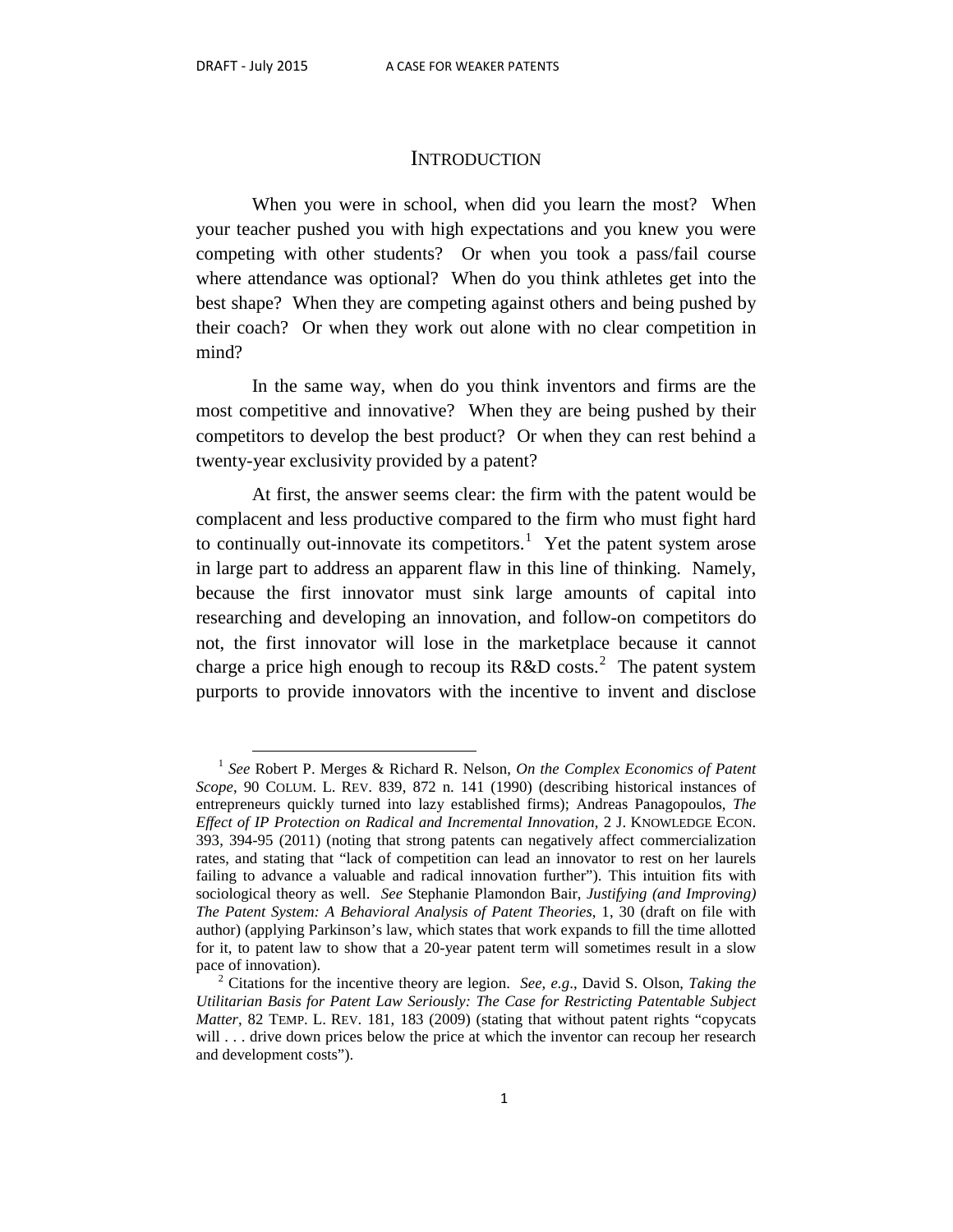#### **INTRODUCTION**

When you were in school, when did you learn the most? When your teacher pushed you with high expectations and you knew you were competing with other students? Or when you took a pass/fail course where attendance was optional? When do you think athletes get into the best shape? When they are competing against others and being pushed by their coach? Or when they work out alone with no clear competition in mind?

In the same way, when do you think inventors and firms are the most competitive and innovative? When they are being pushed by their competitors to develop the best product? Or when they can rest behind a twenty-year exclusivity provided by a patent?

At first, the answer seems clear: the firm with the patent would be complacent and less productive compared to the firm who must fight hard to continually out-innovate its competitors.<sup>[1](#page-2-0)</sup> Yet the patent system arose in large part to address an apparent flaw in this line of thinking. Namely, because the first innovator must sink large amounts of capital into researching and developing an innovation, and follow-on competitors do not, the first innovator will lose in the marketplace because it cannot charge a price high enough to recoup its  $R&D \text{ costs.}^2$  $R&D \text{ costs.}^2$  The patent system purports to provide innovators with the incentive to invent and disclose

<span id="page-2-0"></span> <sup>1</sup> *See* Robert P. Merges & Richard R. Nelson, *On the Complex Economics of Patent Scope*, 90 COLUM. L. REV. 839, 872 n. 141 (1990) (describing historical instances of entrepreneurs quickly turned into lazy established firms); Andreas Panagopoulos, *The Effect of IP Protection on Radical and Incremental Innovation*, 2 J. KNOWLEDGE ECON. 393, 394-95 (2011) (noting that strong patents can negatively affect commercialization rates, and stating that "lack of competition can lead an innovator to rest on her laurels failing to advance a valuable and radical innovation further"). This intuition fits with sociological theory as well. *See* Stephanie Plamondon Bair, *Justifying (and Improving) The Patent System: A Behavioral Analysis of Patent Theories*, 1, 30 (draft on file with author) (applying Parkinson's law, which states that work expands to fill the time allotted for it, to patent law to show that a 20-year patent term will sometimes result in a slow pace of innovation).<br><sup>2</sup> Citations for the incentive theory are legion. *See, e.g.*, David S. Olson, *Taking the* 

<span id="page-2-1"></span>*Utilitarian Basis for Patent Law Seriously: The Case for Restricting Patentable Subject Matter*, 82 TEMP. L. REV. 181, 183 (2009) (stating that without patent rights "copycats will . . . drive down prices below the price at which the inventor can recoup her research and development costs").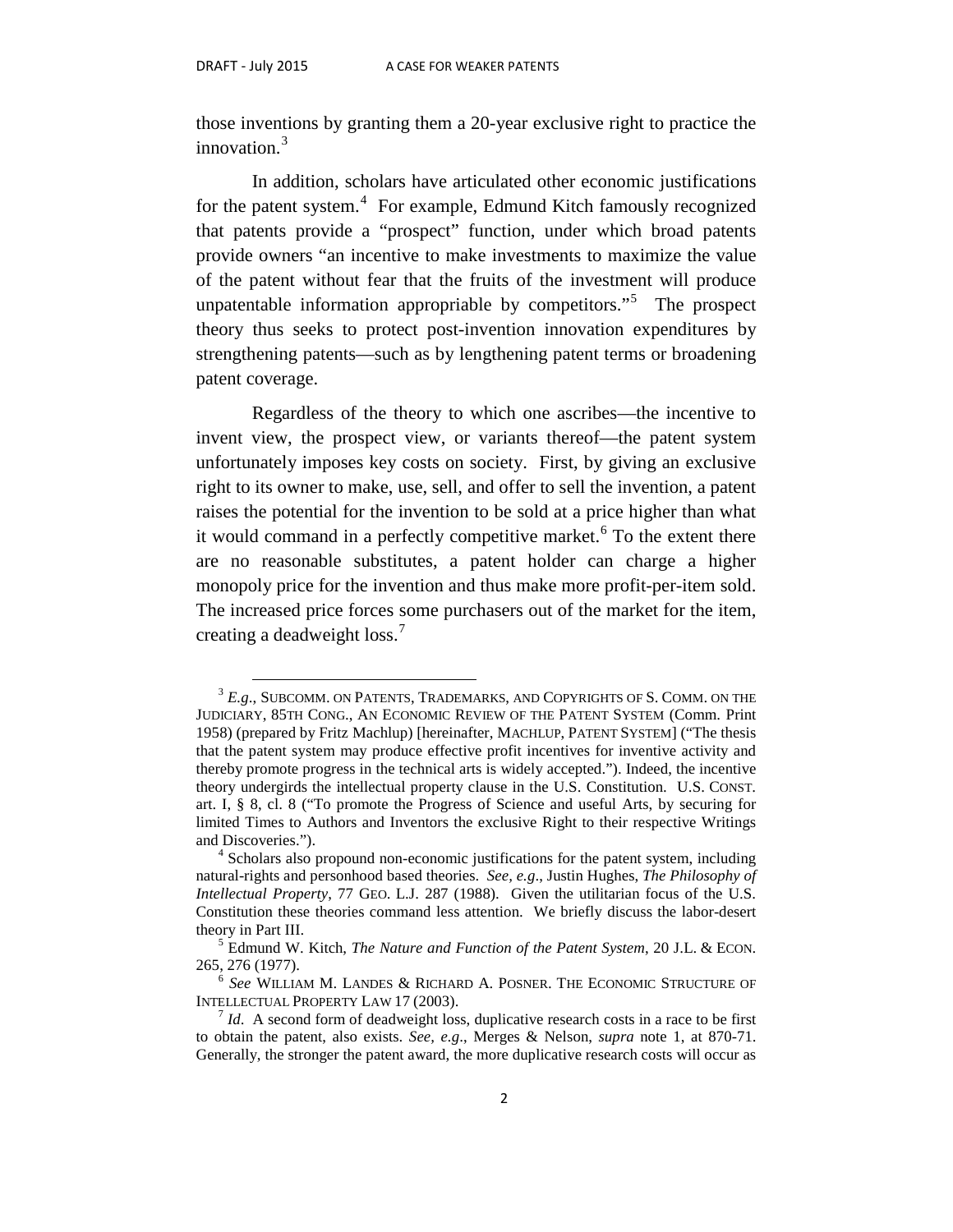those inventions by granting them a 20-year exclusive right to practice the innovation.<sup>[3](#page-3-0)</sup>

In addition, scholars have articulated other economic justifications for the patent system.<sup>[4](#page-3-1)</sup> For example, Edmund Kitch famously recognized that patents provide a "prospect" function, under which broad patents provide owners "an incentive to make investments to maximize the value of the patent without fear that the fruits of the investment will produce unpatentable information appropriable by competitors."<sup>[5](#page-3-2)</sup> The prospect theory thus seeks to protect post-invention innovation expenditures by strengthening patents—such as by lengthening patent terms or broadening patent coverage.

Regardless of the theory to which one ascribes—the incentive to invent view, the prospect view, or variants thereof—the patent system unfortunately imposes key costs on society. First, by giving an exclusive right to its owner to make, use, sell, and offer to sell the invention, a patent raises the potential for the invention to be sold at a price higher than what it would command in a perfectly competitive market.<sup>[6](#page-3-3)</sup> To the extent there are no reasonable substitutes, a patent holder can charge a higher monopoly price for the invention and thus make more profit-per-item sold. The increased price forces some purchasers out of the market for the item, creating a deadweight loss.<sup>[7](#page-3-4)</sup>

<span id="page-3-0"></span> $3 E.g.,$  SUBCOMM. ON PATENTS, TRADEMARKS, AND COPYRIGHTS OF S. COMM. ON THE JUDICIARY, 85TH CONG., AN ECONOMIC REVIEW OF THE PATENT SYSTEM (Comm. Print 1958) (prepared by Fritz Machlup) [hereinafter, MACHLUP, PATENT SYSTEM] ("The thesis that the patent system may produce effective profit incentives for inventive activity and thereby promote progress in the technical arts is widely accepted."). Indeed, the incentive theory undergirds the intellectual property clause in the U.S. Constitution. U.S. CONST. art. I, § 8, cl. 8 ("To promote the Progress of Science and useful Arts, by securing for limited Times to Authors and Inventors the exclusive Right to their respective Writings and Discoveries.").  $4 \text{ Scholars also proportional non-economic justifications for the patent system, including}$ 

<span id="page-3-1"></span>natural-rights and personhood based theories. *See, e.g*., Justin Hughes, *The Philosophy of Intellectual Property*, 77 GEO. L.J. 287 (1988). Given the utilitarian focus of the U.S. Constitution these theories command less attention. We briefly discuss the labor-desert theory in Part III.<br><sup>5</sup> Edmund W. Kitch, *The Nature and Function of the Patent System*, 20 J.L. & ECON.

<span id="page-3-2"></span><sup>265, 276</sup> (1977). 6 *See* WILLIAM M. LANDES & RICHARD A. POSNER. THE ECONOMIC STRUCTURE OF

<span id="page-3-3"></span>INTELLECTUAL PROPERTY LAW 17 (2003).<br><sup>7</sup> *Id*. A second form of deadweight loss, duplicative research costs in a race to be first

<span id="page-3-4"></span>to obtain the patent, also exists. *See, e.g*., Merges & Nelson, *supra* note 1, at 870-71. Generally, the stronger the patent award, the more duplicative research costs will occur as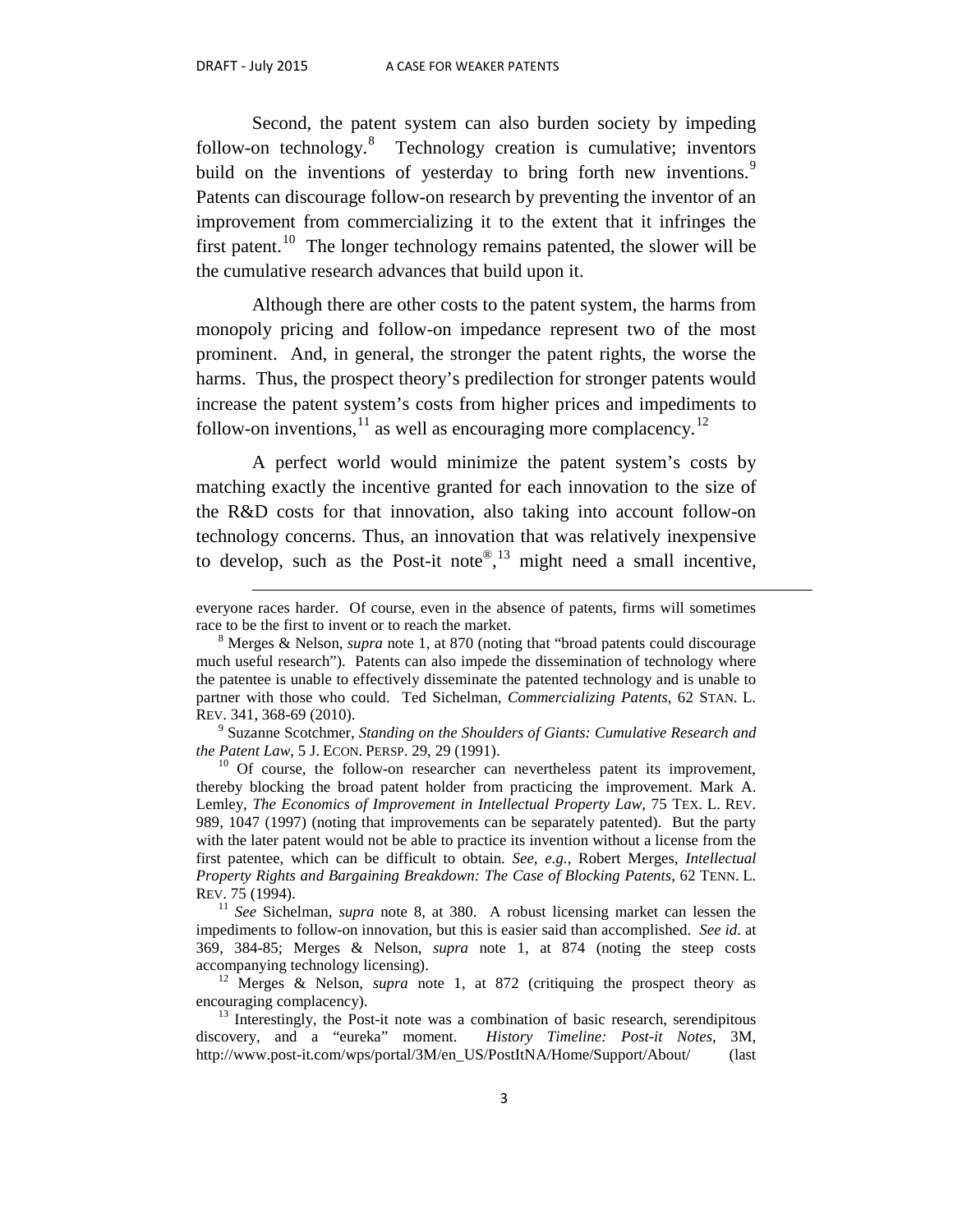$\overline{a}$ 

Second, the patent system can also burden society by impeding follow-on technology.<sup>[8](#page-4-0)</sup> Technology creation is cumulative; inventors build on the inventions of yesterday to bring forth new inventions.<sup>[9](#page-4-1)</sup> Patents can discourage follow-on research by preventing the inventor of an improvement from commercializing it to the extent that it infringes the first patent.<sup>10</sup> The longer technology remains patented, the slower will be the cumulative research advances that build upon it.

Although there are other costs to the patent system, the harms from monopoly pricing and follow-on impedance represent two of the most prominent. And, in general, the stronger the patent rights, the worse the harms. Thus, the prospect theory's predilection for stronger patents would increase the patent system's costs from higher prices and impediments to follow-on inventions,  $^{11}$  $^{11}$  $^{11}$  as well as encouraging more complacency.<sup>[12](#page-4-4)</sup>

A perfect world would minimize the patent system's costs by matching exactly the incentive granted for each innovation to the size of the R&D costs for that innovation, also taking into account follow-on technology concerns. Thus, an innovation that was relatively inexpensive to develop, such as the Post-it note<sup>®</sup>,<sup>[13](#page-4-5)</sup> might need a small incentive,

everyone races harder. Of course, even in the absence of patents, firms will sometimes race to be the first to invent or to reach the market. <sup>8</sup> Merges & Nelson, *supra* note 1, at <sup>870</sup> (noting that "broad patents could discourage

<span id="page-4-0"></span>much useful research"). Patents can also impede the dissemination of technology where the patentee is unable to effectively disseminate the patented technology and is unable to partner with those who could. Ted Sichelman, *Commercializing Patents*, 62 STAN. L.

REV. 341, 368-69 (2010).<br><sup>9</sup> Suzanne Scotchmer, *Standing on the Shoulders of Giants: Cumulative Research and the Patent Law, 5 J. ECON. PERSP. 29, 29 (1991).* 

<span id="page-4-2"></span><span id="page-4-1"></span><sup>&</sup>lt;sup>10</sup> Of course, the follow-on researcher can nevertheless patent its improvement, thereby blocking the broad patent holder from practicing the improvement. Mark A. Lemley, *The Economics of Improvement in Intellectual Property Law*, 75 TEX. L. REV. 989, 1047 (1997) (noting that improvements can be separately patented). But the party with the later patent would not be able to practice its invention without a license from the first patentee, which can be difficult to obtain. *See, e.g.*, Robert Merges, *Intellectual Property Rights and Bargaining Breakdown: The Case of Blocking Patents*, 62 TENN. L.

<span id="page-4-3"></span><sup>&</sup>lt;sup>11</sup> See Sichelman, *supra* note 8, at 380. A robust licensing market can lessen the impediments to follow-on innovation, but this is easier said than accomplished. *See id*. at 369, 384-85; Merges & Nelson, *supra* note 1, at 874 (noting the steep costs accompanying technology licensing). <sup>12</sup> Merges & Nelson, *supra* note 1, at 872 (critiquing the prospect theory as

<span id="page-4-4"></span>

<span id="page-4-5"></span>encouraging complacency).<br><sup>13</sup> Interestingly, the Post-it note was a combination of basic research, serendipitous<br>discovery, and a "eureka" moment. *History Timeline: Post-it Notes*, 3M, discovery, and a "eureka" moment. *History Timeline: Post-it Notes*, 3M, http://www.post-it.com/wps/portal/3M/en\_US/PostItNA/Home/Support/About/ (last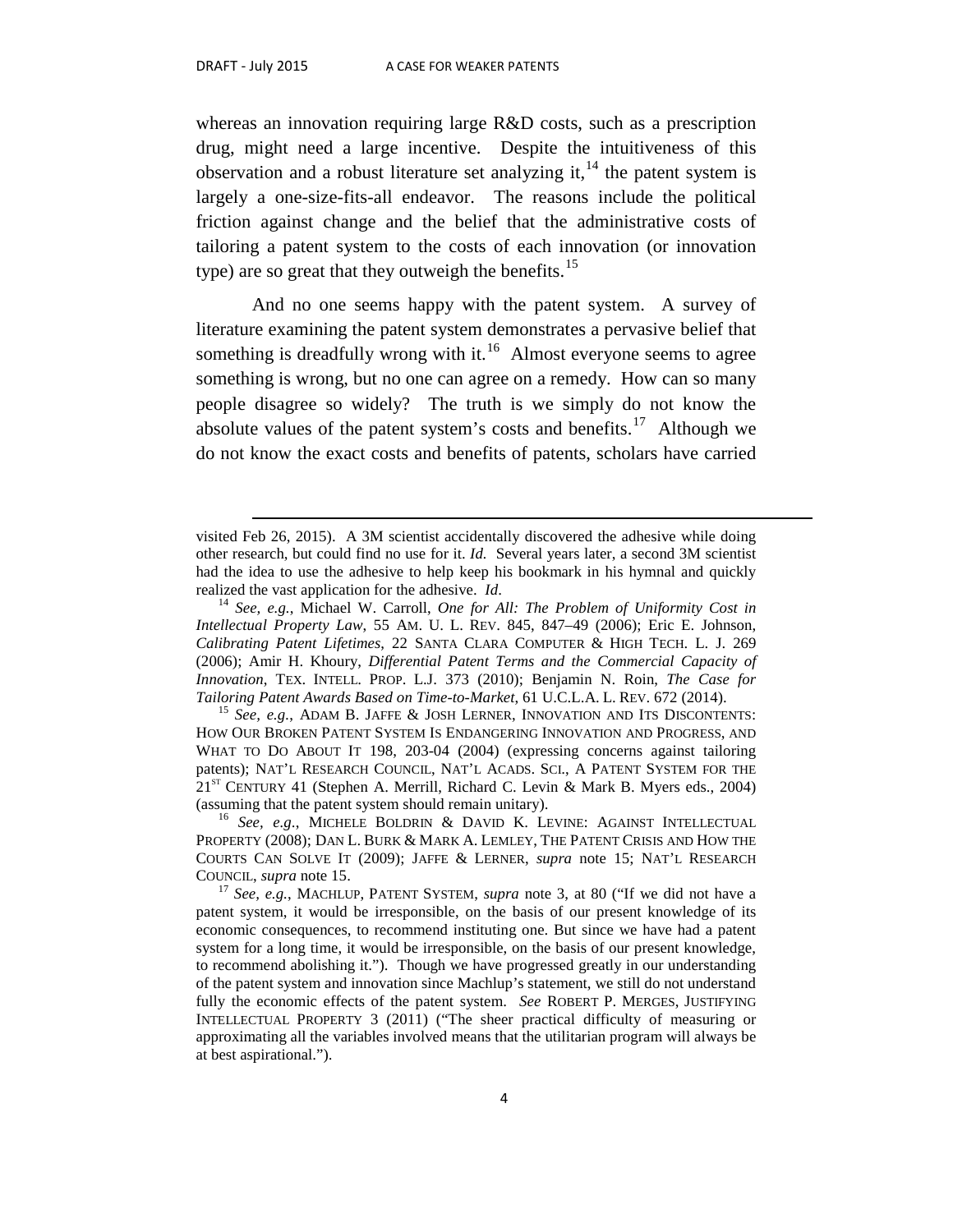$\overline{a}$ 

whereas an innovation requiring large R&D costs, such as a prescription drug, might need a large incentive. Despite the intuitiveness of this observation and a robust literature set analyzing it,  $^{14}$  $^{14}$  $^{14}$  the patent system is largely a one-size-fits-all endeavor. The reasons include the political friction against change and the belief that the administrative costs of tailoring a patent system to the costs of each innovation (or innovation type) are so great that they outweigh the benefits.<sup>[15](#page-5-1)</sup>

And no one seems happy with the patent system. A survey of literature examining the patent system demonstrates a pervasive belief that something is dreadfully wrong with it.<sup>[16](#page-5-2)</sup> Almost everyone seems to agree something is wrong, but no one can agree on a remedy. How can so many people disagree so widely? The truth is we simply do not know the absolute values of the patent system's costs and benefits.<sup>[17](#page-5-3)</sup> Although we do not know the exact costs and benefits of patents, scholars have carried

visited Feb 26, 2015). A 3M scientist accidentally discovered the adhesive while doing other research, but could find no use for it. *Id.* Several years later, a second 3M scientist had the idea to use the adhesive to help keep his bookmark in his hymnal and quickly realized the vast application for the adhesive. *Id.* <sup>14</sup> *See, e.g.*, Michael W. Carroll, *One for All: The Problem of Uniformity Cost in* 

<span id="page-5-0"></span>*Intellectual Property Law*, 55 AM. U. L. REV. 845, 847–49 (2006); Eric E. Johnson, *Calibrating Patent Lifetimes*, 22 SANTA CLARA COMPUTER & HIGH TECH. L. J. 269 (2006); Amir H. Khoury, *Differential Patent Terms and the Commercial Capacity of Innovation*, TEX. INTELL. PROP. L.J. 373 (2010); Benjamin N. Roin, *The Case for Tailoring Patent Awards Based on Time-to-Market*, 61 U.C.L.A. L. REV. 672 (2014). <sup>15</sup> *See, e.g.*, ADAM B. JAFFE & JOSH LERNER, INNOVATION AND ITS DISCONTENTS:

<span id="page-5-1"></span>HOW OUR BROKEN PATENT SYSTEM IS ENDANGERING INNOVATION AND PROGRESS, AND WHAT TO DO ABOUT IT 198, 203-04 (2004) (expressing concerns against tailoring patents); NAT'L RESEARCH COUNCIL, NAT'L ACADS. SCI., A PATENT SYSTEM FOR THE  $21^{ST}$  CENTURY 41 (Stephen A. Merrill, Richard C. Levin & Mark B. Myers eds., 2004) (assuming that the patent system should remain unitary).

<span id="page-5-2"></span><sup>&</sup>lt;sup>16</sup> See, e.g., MICHELE BOLDRIN & DAVID K. LEVINE: AGAINST INTELLECTUAL PROPERTY (2008); DAN L. BURK & MARK A. LEMLEY, THE PATENT CRISIS AND HOW THE COURTS CAN SOLVE IT (2009); JAFFE & LERNER, *supra* note 15; NAT'L RESEARCH COUNCIL, *supra* note 15. <sup>17</sup> *See, e.g.*, MACHLUP, PATENT SYSTEM, *supra* note 3, at 80 ("If we did not have a

<span id="page-5-3"></span>patent system, it would be irresponsible, on the basis of our present knowledge of its economic consequences, to recommend instituting one. But since we have had a patent system for a long time, it would be irresponsible, on the basis of our present knowledge, to recommend abolishing it."). Though we have progressed greatly in our understanding of the patent system and innovation since Machlup's statement, we still do not understand fully the economic effects of the patent system. *See* ROBERT P. MERGES, JUSTIFYING INTELLECTUAL PROPERTY 3 (2011) ("The sheer practical difficulty of measuring or approximating all the variables involved means that the utilitarian program will always be at best aspirational.").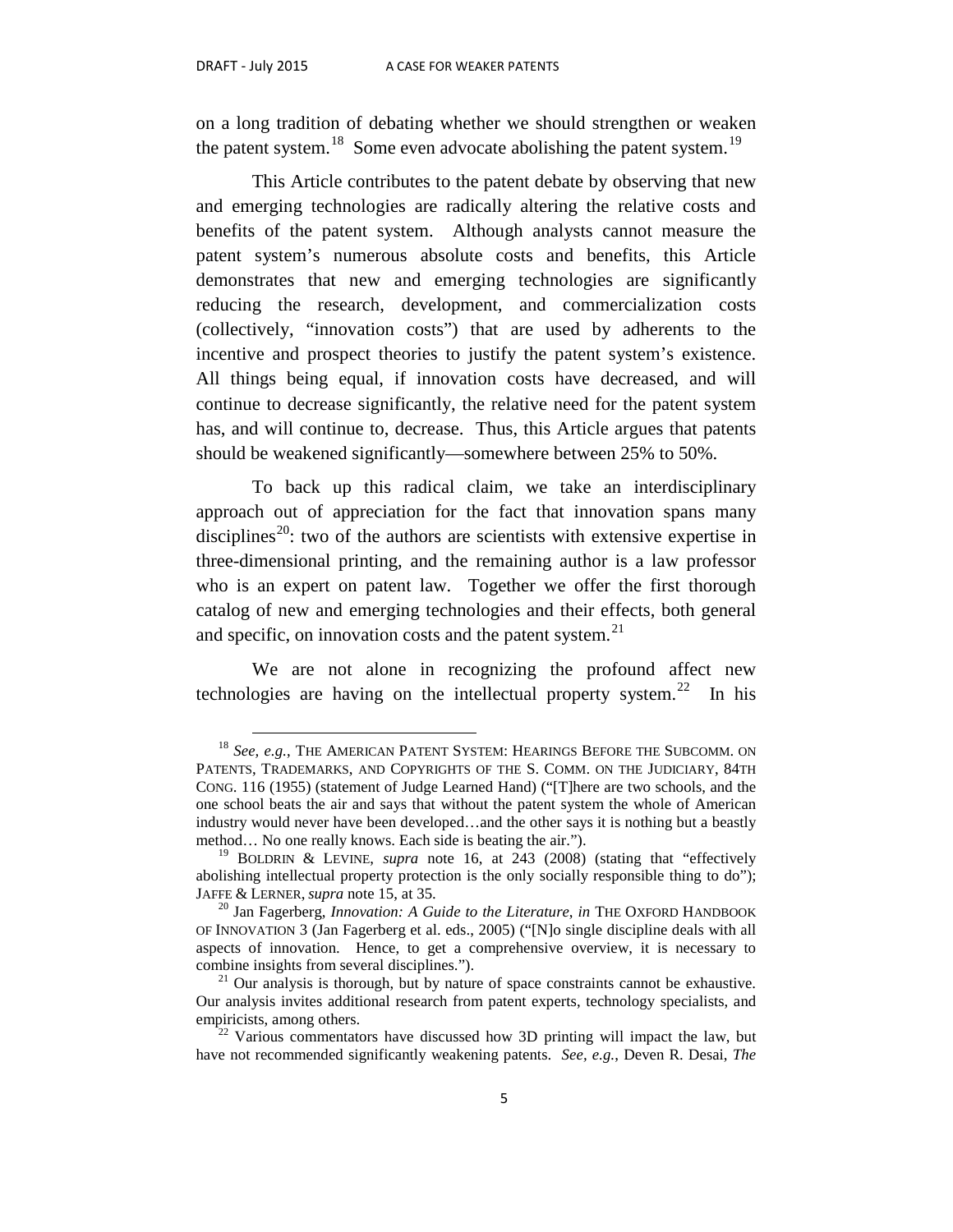on a long tradition of debating whether we should strengthen or weaken the patent system.<sup>[18](#page-6-0)</sup> Some even advocate abolishing the patent system.<sup>19</sup>

This Article contributes to the patent debate by observing that new and emerging technologies are radically altering the relative costs and benefits of the patent system. Although analysts cannot measure the patent system's numerous absolute costs and benefits, this Article demonstrates that new and emerging technologies are significantly reducing the research, development, and commercialization costs (collectively, "innovation costs") that are used by adherents to the incentive and prospect theories to justify the patent system's existence. All things being equal, if innovation costs have decreased, and will continue to decrease significantly, the relative need for the patent system has, and will continue to, decrease. Thus, this Article argues that patents should be weakened significantly—somewhere between 25% to 50%.

To back up this radical claim, we take an interdisciplinary approach out of appreciation for the fact that innovation spans many disciplines<sup>[20](#page-6-2)</sup>: two of the authors are scientists with extensive expertise in three-dimensional printing, and the remaining author is a law professor who is an expert on patent law. Together we offer the first thorough catalog of new and emerging technologies and their effects, both general and specific, on innovation costs and the patent system.<sup>[21](#page-6-3)</sup>

We are not alone in recognizing the profound affect new technologies are having on the intellectual property system.<sup>[22](#page-6-4)</sup> In his

<span id="page-6-0"></span> <sup>18</sup> *See, e.g.*, THE AMERICAN PATENT SYSTEM: HEARINGS BEFORE THE SUBCOMM. ON PATENTS, TRADEMARKS, AND COPYRIGHTS OF THE S. COMM. ON THE JUDICIARY, 84TH CONG. 116 (1955) (statement of Judge Learned Hand) ("[T]here are two schools, and the one school beats the air and says that without the patent system the whole of American industry would never have been developed…and the other says it is nothing but a beastly method... No one really knows. Each side is beating the air.").<br><sup>19</sup> BOLDRIN & LEVINE, *supra* note 16, at 243 (2008) (stating that "effectively

<span id="page-6-1"></span>abolishing intellectual property protection is the only socially responsible thing to do"); JAFFE & LERNER, *supra* note 15, at 35.

<span id="page-6-2"></span><sup>&</sup>lt;sup>20</sup> Jan Fagerberg, *Innovation: A Guide to the Literature*, *in* THE OXFORD HANDBOOK OF INNOVATION 3 (Jan Fagerberg et al. eds., 2005) ("[N]o single discipline deals with all aspects of innovation. Hence, to get a comprehensive overview, it is necessary to combine insights from several disciplines."). <sup>21</sup> Our analysis is thorough, but by nature of space constraints cannot be exhaustive.

<span id="page-6-3"></span>Our analysis invites additional research from patent experts, technology specialists, and empiricists, among others.<br><sup>22</sup> Various commentators have discussed how 3D printing will impact the law, but

<span id="page-6-4"></span>have not recommended significantly weakening patents. *See, e.g.*, Deven R. Desai, *The*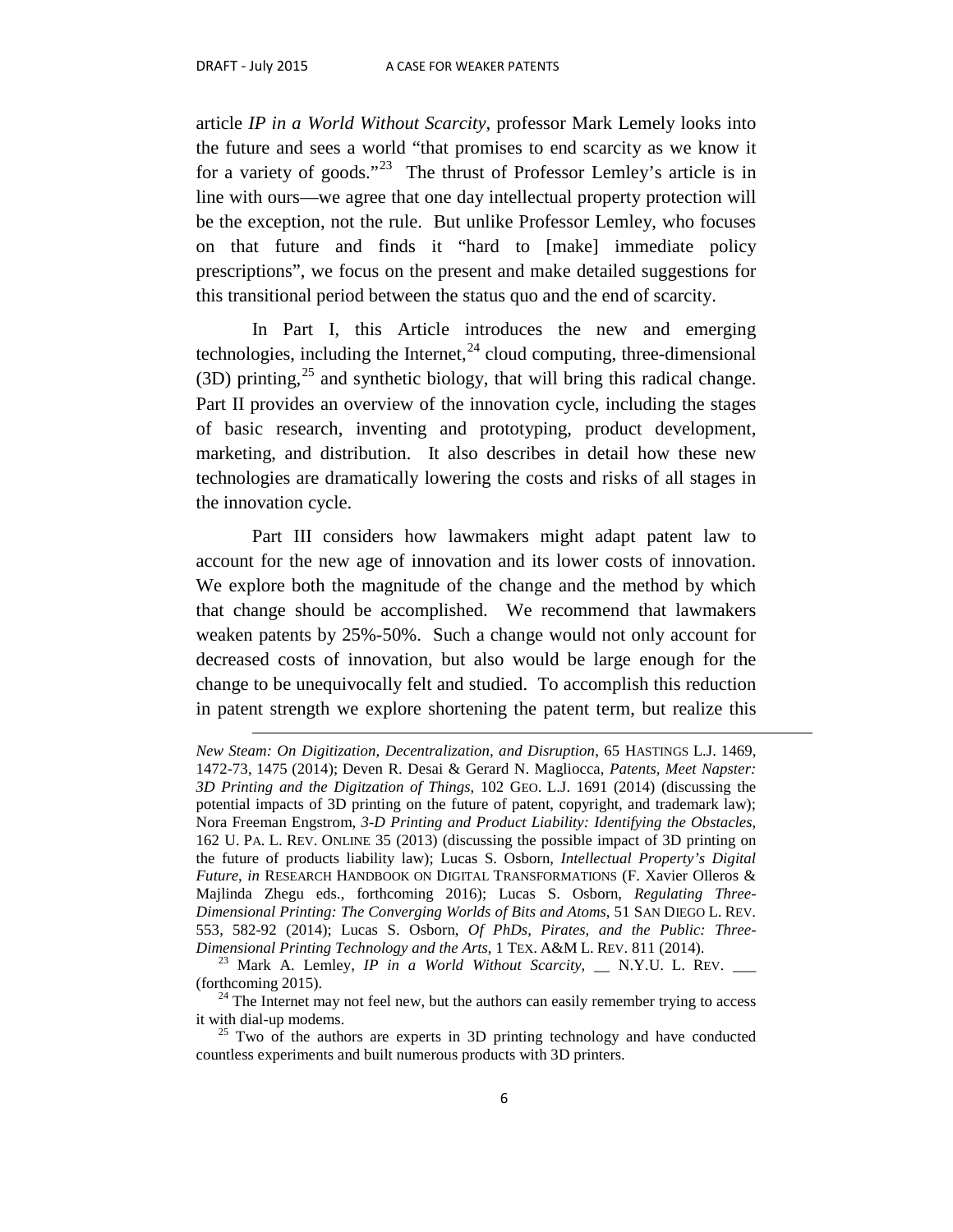$\overline{a}$ 

article *IP in a World Without Scarcity*, professor Mark Lemely looks into the future and sees a world "that promises to end scarcity as we know it for a variety of goods."<sup>[23](#page-7-0)</sup> The thrust of Professor Lemley's article is in line with ours—we agree that one day intellectual property protection will be the exception, not the rule. But unlike Professor Lemley, who focuses on that future and finds it "hard to [make] immediate policy prescriptions", we focus on the present and make detailed suggestions for this transitional period between the status quo and the end of scarcity.

In Part I, this Article introduces the new and emerging technologies, including the Internet,  $^{24}$  $^{24}$  $^{24}$  cloud computing, three-dimensional (3D) printing,  $25$  and synthetic biology, that will bring this radical change. Part II provides an overview of the innovation cycle, including the stages of basic research, inventing and prototyping, product development, marketing, and distribution. It also describes in detail how these new technologies are dramatically lowering the costs and risks of all stages in the innovation cycle.

Part III considers how lawmakers might adapt patent law to account for the new age of innovation and its lower costs of innovation. We explore both the magnitude of the change and the method by which that change should be accomplished. We recommend that lawmakers weaken patents by 25%-50%. Such a change would not only account for decreased costs of innovation, but also would be large enough for the change to be unequivocally felt and studied. To accomplish this reduction in patent strength we explore shortening the patent term, but realize this

*New Steam: On Digitization, Decentralization, and Disruption*, 65 HASTINGS L.J. 1469, 1472-73, 1475 (2014); Deven R. Desai & Gerard N. Magliocca, *Patents, Meet Napster: 3D Printing and the Digitzation of Things*, 102 GEO. L.J. 1691 (2014) (discussing the potential impacts of 3D printing on the future of patent, copyright, and trademark law); Nora Freeman Engstrom, *3-D Printing and Product Liability: Identifying the Obstacles*, 162 U. PA. L. REV. ONLINE 35 (2013) (discussing the possible impact of 3D printing on the future of products liability law); Lucas S. Osborn, *Intellectual Property's Digital Future*, *in* RESEARCH HANDBOOK ON DIGITAL TRANSFORMATIONS (F. Xavier Olleros & Majlinda Zhegu eds., forthcoming 2016); Lucas S. Osborn, *Regulating Three-Dimensional Printing: The Converging Worlds of Bits and Atoms*, 51 SAN DIEGO L. REV. 553, 582-92 (2014); Lucas S. Osborn, *Of PhDs, Pirates, and the Public: Three-*

<span id="page-7-0"></span>*Dimensional Printing Technology and the Arts*, 1 TEX. A&M L. REV. 811 (2014).<br><sup>23</sup> Mark A. Lemley, *IP in a World Without Scarcity*, \_\_ N.Y.U. L. REV. \_\_\_<br>(forthcoming 2015).

<span id="page-7-1"></span><sup>&</sup>lt;sup>24</sup> The Internet may not feel new, but the authors can easily remember trying to access it with dial-up modems.<br><sup>25</sup> Two of the authors are experts in 3D printing technology and have conducted

<span id="page-7-2"></span>countless experiments and built numerous products with 3D printers.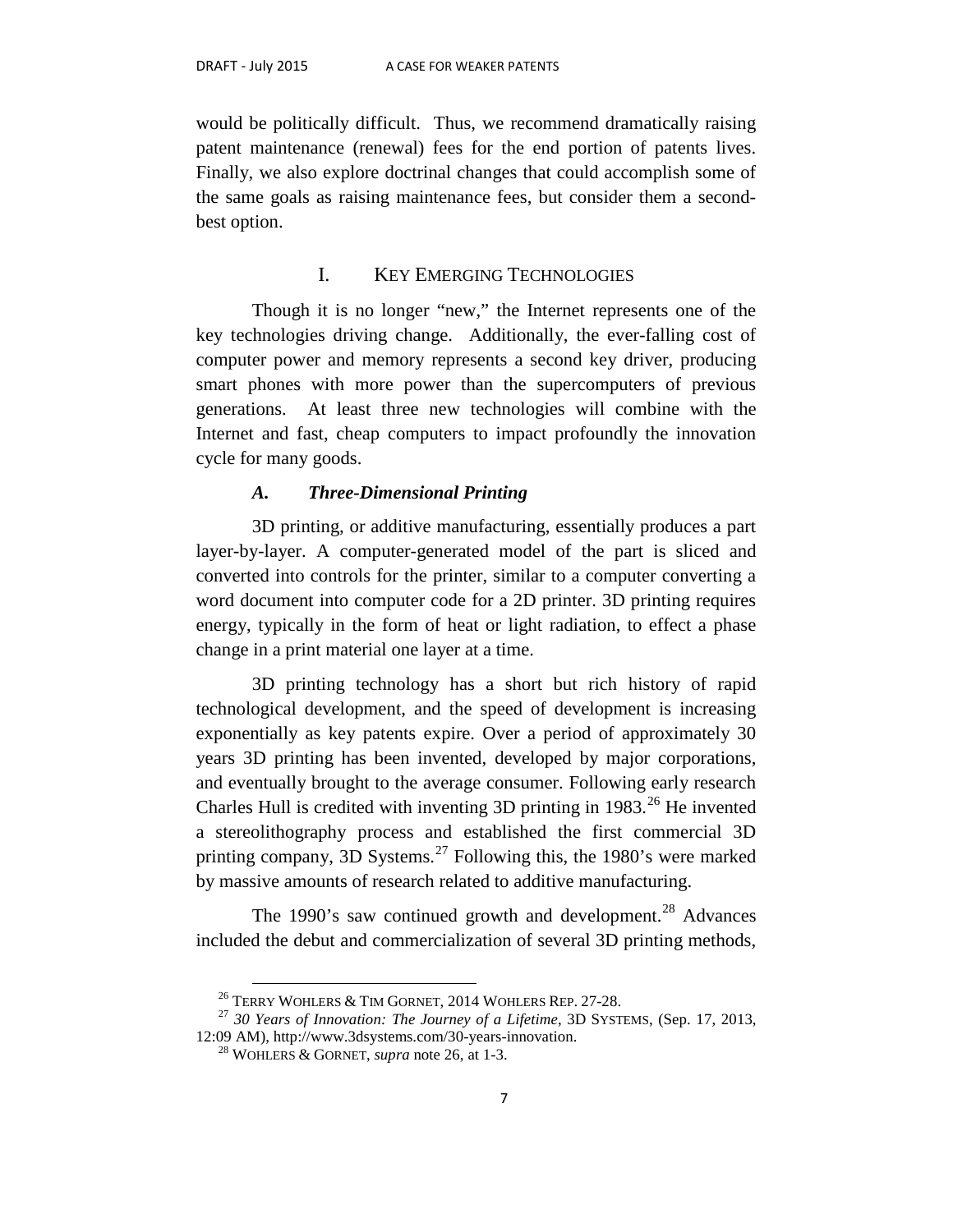would be politically difficult. Thus, we recommend dramatically raising patent maintenance (renewal) fees for the end portion of patents lives. Finally, we also explore doctrinal changes that could accomplish some of the same goals as raising maintenance fees, but consider them a secondbest option.

## I. KEY EMERGING TECHNOLOGIES

Though it is no longer "new," the Internet represents one of the key technologies driving change. Additionally, the ever-falling cost of computer power and memory represents a second key driver, producing smart phones with more power than the supercomputers of previous generations. At least three new technologies will combine with the Internet and fast, cheap computers to impact profoundly the innovation cycle for many goods.

#### *A. Three-Dimensional Printing*

3D printing, or additive manufacturing, essentially produces a part layer-by-layer. A computer-generated model of the part is sliced and converted into controls for the printer, similar to a computer converting a word document into computer code for a 2D printer. 3D printing requires energy, typically in the form of heat or light radiation, to effect a phase change in a print material one layer at a time.

3D printing technology has a short but rich history of rapid technological development, and the speed of development is increasing exponentially as key patents expire. Over a period of approximately 30 years 3D printing has been invented, developed by major corporations, and eventually brought to the average consumer. Following early research Charles Hull is credited with inventing 3D printing in  $1983$ <sup>[26](#page-8-0)</sup> He invented a stereolithography process and established the first commercial 3D printing company, 3D Systems.<sup>[27](#page-8-1)</sup> Following this, the 1980's were marked by massive amounts of research related to additive manufacturing.

The 1990's saw continued growth and development.<sup>[28](#page-8-2)</sup> Advances included the debut and commercialization of several 3D printing methods,

<span id="page-8-2"></span><span id="page-8-1"></span><span id="page-8-0"></span><sup>&</sup>lt;sup>26</sup> TERRY WOHLERS & TIM GORNET, 2014 WOHLERS REP. 27-28.<br><sup>27</sup> 30 Years of Innovation: The Journey of a Lifetime, 3D SYSTEMS, (Sep. 17, 2013, 12:09 AM), http://www.3dsystems.com/30-years-innovation. 28 WOHLERS & GORNET, *supra* note 26, at 1-3.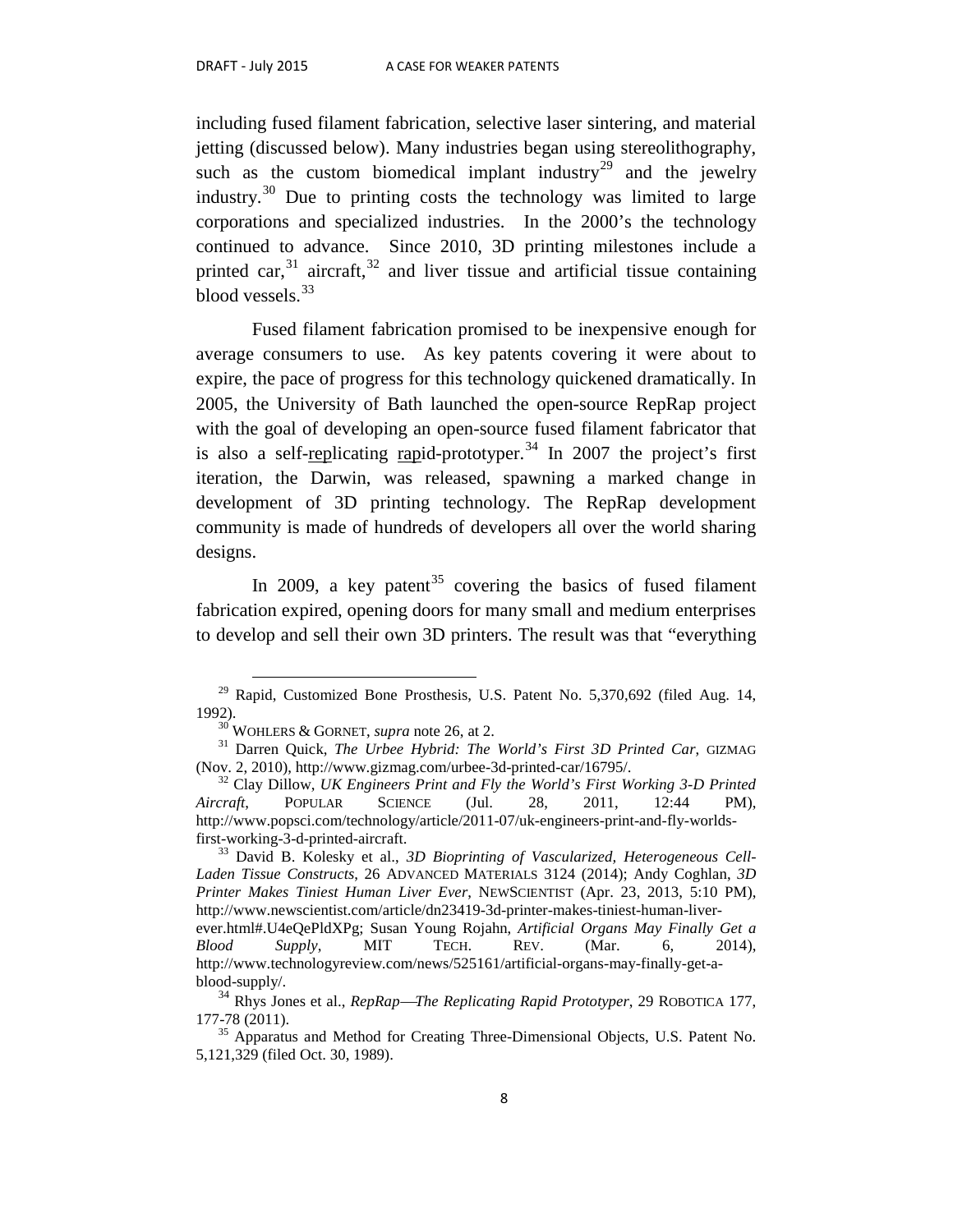including fused filament fabrication, selective laser sintering, and material jetting (discussed below). Many industries began using stereolithography, such as the custom biomedical implant industry<sup>[29](#page-9-0)</sup> and the jewelry industry.[30](#page-9-1) Due to printing costs the technology was limited to large corporations and specialized industries. In the 2000's the technology continued to advance. Since 2010, 3D printing milestones include a printed car,  $31$  aircraft,  $32$  and liver tissue and artificial tissue containing blood vessels.<sup>33</sup>

Fused filament fabrication promised to be inexpensive enough for average consumers to use. As key patents covering it were about to expire, the pace of progress for this technology quickened dramatically. In 2005, the University of Bath launched the open-source RepRap project with the goal of developing an open-source fused filament fabricator that is also a self-replicating rapid-prototyper.<sup>[34](#page-9-5)</sup> In 2007 the project's first iteration, the Darwin, was released, spawning a marked change in development of 3D printing technology. The RepRap development community is made of hundreds of developers all over the world sharing designs.

In 2009, a key patent<sup>[35](#page-9-6)</sup> covering the basics of fused filament fabrication expired, opening doors for many small and medium enterprises to develop and sell their own 3D printers. The result was that "everything

<span id="page-9-0"></span> $29$  Rapid, Customized Bone Prosthesis, U.S. Patent No. 5,370,692 (filed Aug. 14, 1992). <sup>30</sup> WOHLERS & GORNET, *supra* note 26, at 2. <sup>31</sup> Darren Quick, *The Urbee Hybrid: The World's First 3D Printed Car*, GIZMAG

<span id="page-9-2"></span><span id="page-9-1"></span><sup>(</sup>Nov. 2, 2010), http://www.gizmag.com/urbee-3d-printed-car/16795/. 32 Clay Dillow, *UK Engineers Print and Fly the World's First Working 3-D Printed* 

<span id="page-9-3"></span>*Aircraft*, POPULAR SCIENCE (Jul. 28, 2011, 12:44 PM), http://www.popsci.com/technology/article/2011-07/uk-engineers-print-and-fly-worldsfirst-working-3-d-printed-aircraft. <sup>33</sup> David B. Kolesky et al., *3D Bioprinting of Vascularized, Heterogeneous Cell-*

<span id="page-9-4"></span>*Laden Tissue Constructs*, 26 ADVANCED MATERIALS 3124 (2014); Andy Coghlan, *3D Printer Makes Tiniest Human Liver Ever*, NEWSCIENTIST (Apr. 23, 2013, 5:10 PM), http://www.newscientist.com/article/dn23419-3d-printer-makes-tiniest-human-liverever.html#.U4eQePldXPg; Susan Young Rojahn, *Artificial Organs May Finally Get a Blood Supply*, MIT TECH. REV. (Mar. 6, 2014), http://www.technologyreview.com/news/525161/artificial-organs-may-finally-get-ablood-supply/.

<span id="page-9-5"></span><sup>34</sup> Rhys Jones et al., *RepRapThe Replicating Rapid Prototyper*, 29 ROBOTICA 177, 177-78 (2011).<br> $35$  Apparatus and Method for Creating Three-Dimensional Objects, U.S. Patent No.

<span id="page-9-6"></span><sup>5,121,329 (</sup>filed Oct. 30, 1989).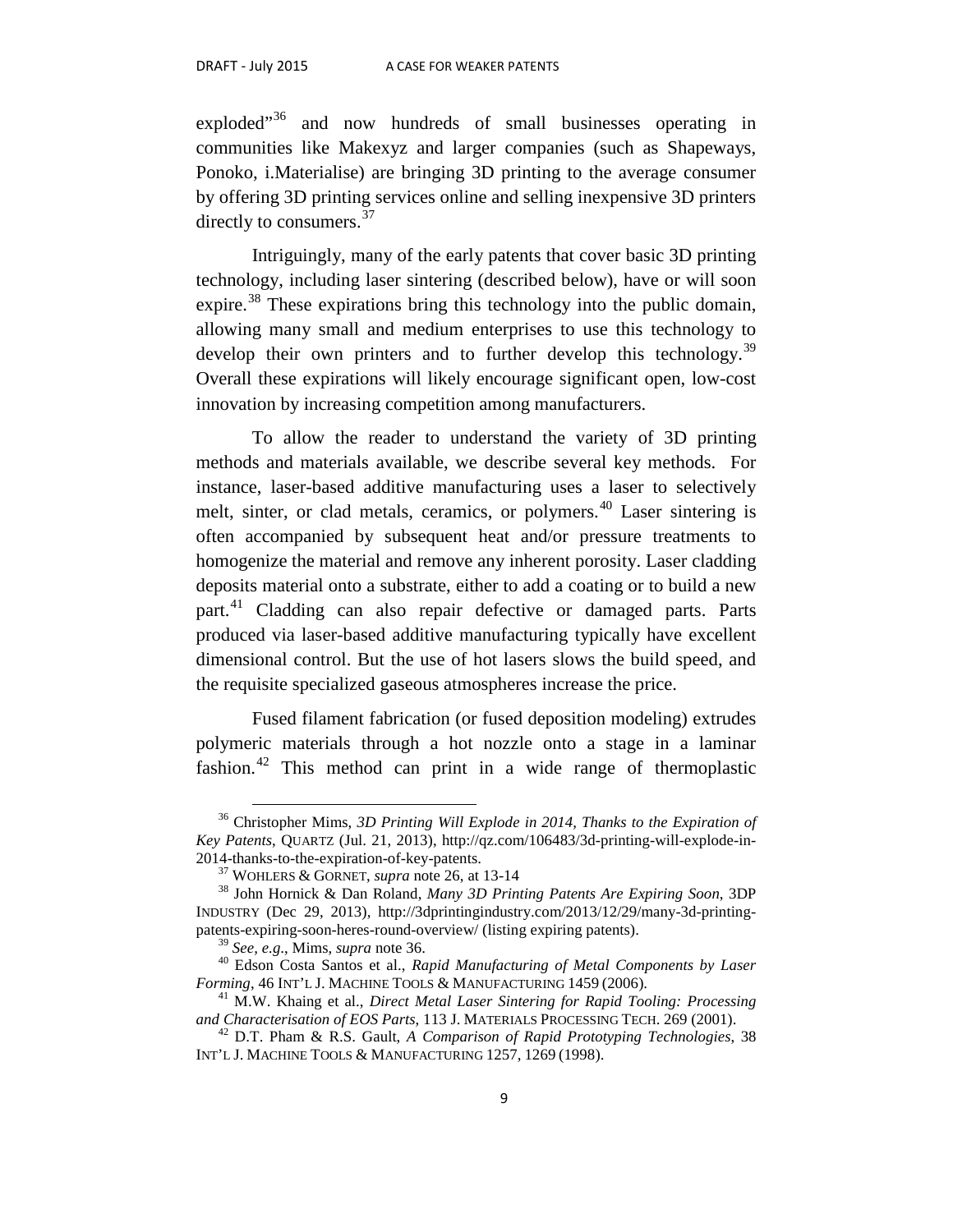exploded"<sup>[36](#page-10-0)</sup> and now hundreds of small businesses operating in communities like Makexyz and larger companies (such as Shapeways, Ponoko, i.Materialise) are bringing 3D printing to the average consumer by offering 3D printing services online and selling inexpensive 3D printers directly to consumers.<sup>[37](#page-10-1)</sup>

Intriguingly, many of the early patents that cover basic 3D printing technology, including laser sintering (described below), have or will soon expire.<sup>[38](#page-10-2)</sup> These expirations bring this technology into the public domain, allowing many small and medium enterprises to use this technology to develop their own printers and to further develop this technology.<sup>[39](#page-10-3)</sup> Overall these expirations will likely encourage significant open, low-cost innovation by increasing competition among manufacturers.

To allow the reader to understand the variety of 3D printing methods and materials available, we describe several key methods. For instance, laser-based additive manufacturing uses a laser to selectively melt, sinter, or clad metals, ceramics, or polymers.<sup>[40](#page-10-4)</sup> Laser sintering is often accompanied by subsequent heat and/or pressure treatments to homogenize the material and remove any inherent porosity. Laser cladding deposits material onto a substrate, either to add a coating or to build a new part.[41](#page-10-5) Cladding can also repair defective or damaged parts. Parts produced via laser-based additive manufacturing typically have excellent dimensional control. But the use of hot lasers slows the build speed, and the requisite specialized gaseous atmospheres increase the price.

Fused filament fabrication (or fused deposition modeling) extrudes polymeric materials through a hot nozzle onto a stage in a laminar fashion.[42](#page-10-6) This method can print in a wide range of thermoplastic

<span id="page-10-0"></span> <sup>36</sup> Christopher Mims, *3D Printing Will Explode in 2014, Thanks to the Expiration of Key Patents*, QUARTZ (Jul. 21, 2013), http://qz.com/106483/3d-printing-will-explode-in-2014-thanks-to-the-expiration-of-key-patents. <sup>37</sup> WOHLERS & GORNET, *supra* note 26, at 13-14 <sup>38</sup> John Hornick & Dan Roland, *Many 3D Printing Patents Are Expiring Soon*, 3DP

<span id="page-10-2"></span><span id="page-10-1"></span>INDUSTRY (Dec 29, 2013), http://3dprintingindustry.com/2013/12/29/many-3d-printingpatents-expiring-soon-heres-round-overview/ (listing expiring patents).

<span id="page-10-4"></span><span id="page-10-3"></span><sup>&</sup>lt;sup>39</sup> *See, e.g.*, Mims, *supra* note 36.<br><sup>40</sup> Edson Costa Santos et al., *Rapid Manufacturing of Metal Components by Laser Forming*, 46 INT'L J. MACHINE TOOLS & MANUFACTURING 1459 (2006).

<span id="page-10-5"></span><sup>&</sup>lt;sup>41</sup> M.W. Khaing et al., *Direct Metal Laser Sintering for Rapid Tooling: Processing and Characterisation of EOS Parts*, 113 J. MATERIALS PROCESSING TECH. 269 (2001).

<span id="page-10-6"></span><sup>&</sup>lt;sup>42</sup> D.T. Pham & R.S. Gault, *A Comparison of Rapid Prototyping Technologies*, 38 INT'L J. MACHINE TOOLS & MANUFACTURING 1257, 1269 (1998).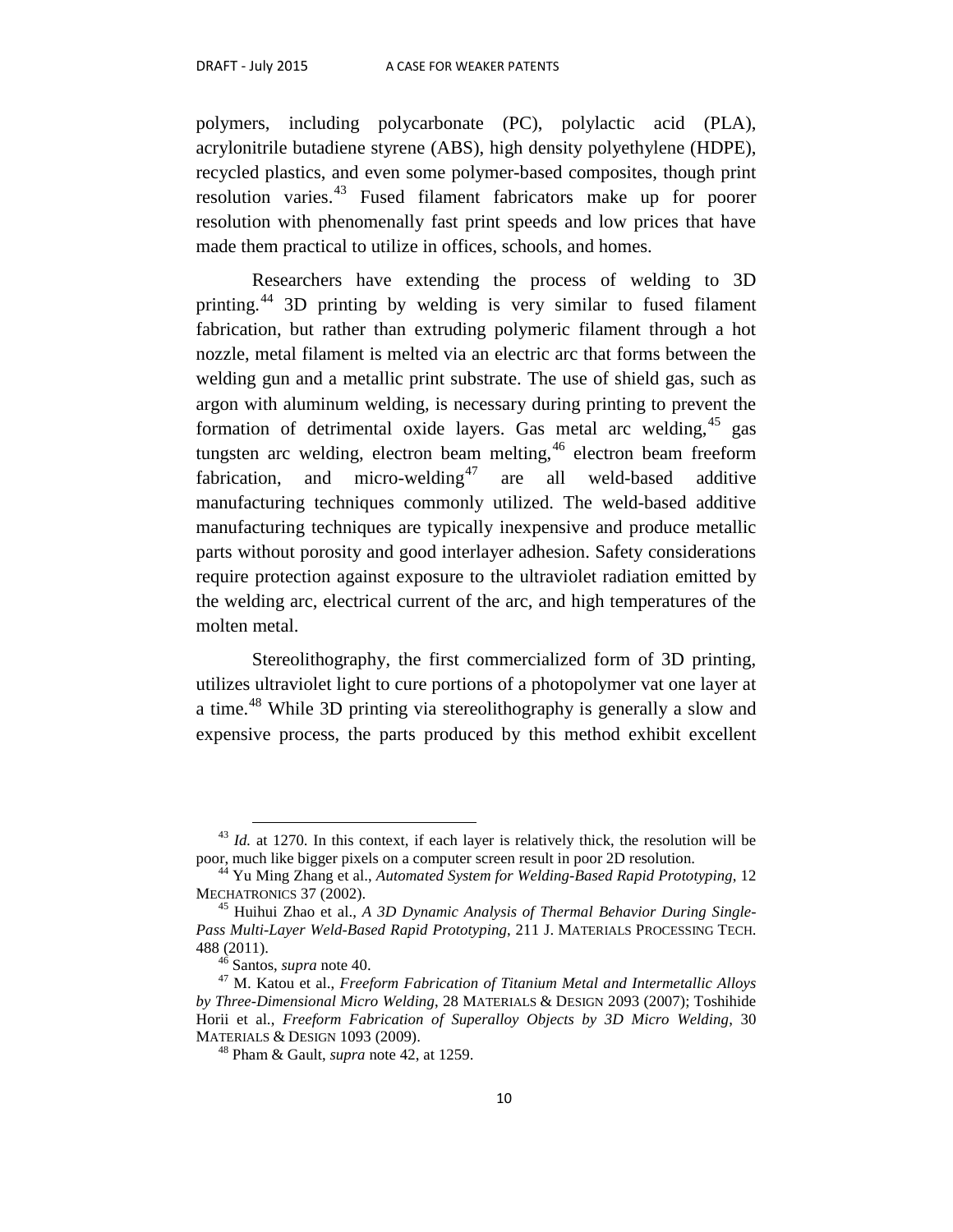polymers, including polycarbonate (PC), polylactic acid (PLA), acrylonitrile butadiene styrene (ABS), high density polyethylene (HDPE), recycled plastics, and even some polymer-based composites, though print resolution varies.<sup>[43](#page-11-0)</sup> Fused filament fabricators make up for poorer resolution with phenomenally fast print speeds and low prices that have made them practical to utilize in offices, schools, and homes.

Researchers have extending the process of welding to 3D printing.[44](#page-11-1) 3D printing by welding is very similar to fused filament fabrication, but rather than extruding polymeric filament through a hot nozzle, metal filament is melted via an electric arc that forms between the welding gun and a metallic print substrate. The use of shield gas, such as argon with aluminum welding, is necessary during printing to prevent the formation of detrimental oxide layers. Gas metal arc welding,  $45$  gas tungsten arc welding, electron beam melting,  $46$  electron beam freeform fabrication, and micro-welding<sup>[47](#page-11-4)</sup> are all weld-based additive manufacturing techniques commonly utilized. The weld-based additive manufacturing techniques are typically inexpensive and produce metallic parts without porosity and good interlayer adhesion. Safety considerations require protection against exposure to the ultraviolet radiation emitted by the welding arc, electrical current of the arc, and high temperatures of the molten metal.

Stereolithography, the first commercialized form of 3D printing, utilizes ultraviolet light to cure portions of a photopolymer vat one layer at a time.<sup>[48](#page-11-5)</sup> While 3D printing via stereolithography is generally a slow and expensive process, the parts produced by this method exhibit excellent

<span id="page-11-0"></span> $^{43}$  *Id.* at 1270. In this context, if each layer is relatively thick, the resolution will be poor, much like bigger pixels on a computer screen result in poor 2D resolution.

<span id="page-11-1"></span><sup>&</sup>lt;sup>44</sup> Yu Ming Zhang et al., *Automated System for Welding-Based Rapid Prototyping*, 12<br>MECHATRONICS 37 (2002).

<span id="page-11-2"></span><sup>&</sup>lt;sup>45</sup> Huihui Zhao et al., *A 3D Dynamic Analysis of Thermal Behavior During Single-Pass Multi-Layer Weld-Based Rapid Prototyping*, 211 J. MATERIALS PROCESSING TECH. 488 (2011). <sup>46</sup> Santos, *supra* note 40. <sup>47</sup> M. Katou et al., *Freeform Fabrication of Titanium Metal and Intermetallic Alloys* 

<span id="page-11-5"></span><span id="page-11-4"></span><span id="page-11-3"></span>*by Three-Dimensional Micro Welding*, 28 MATERIALS & DESIGN 2093 (2007); Toshihide Horii et al., *Freeform Fabrication of Superalloy Objects by 3D Micro Welding*, 30

 $48$  Pham & Gault, *supra* note 42, at 1259.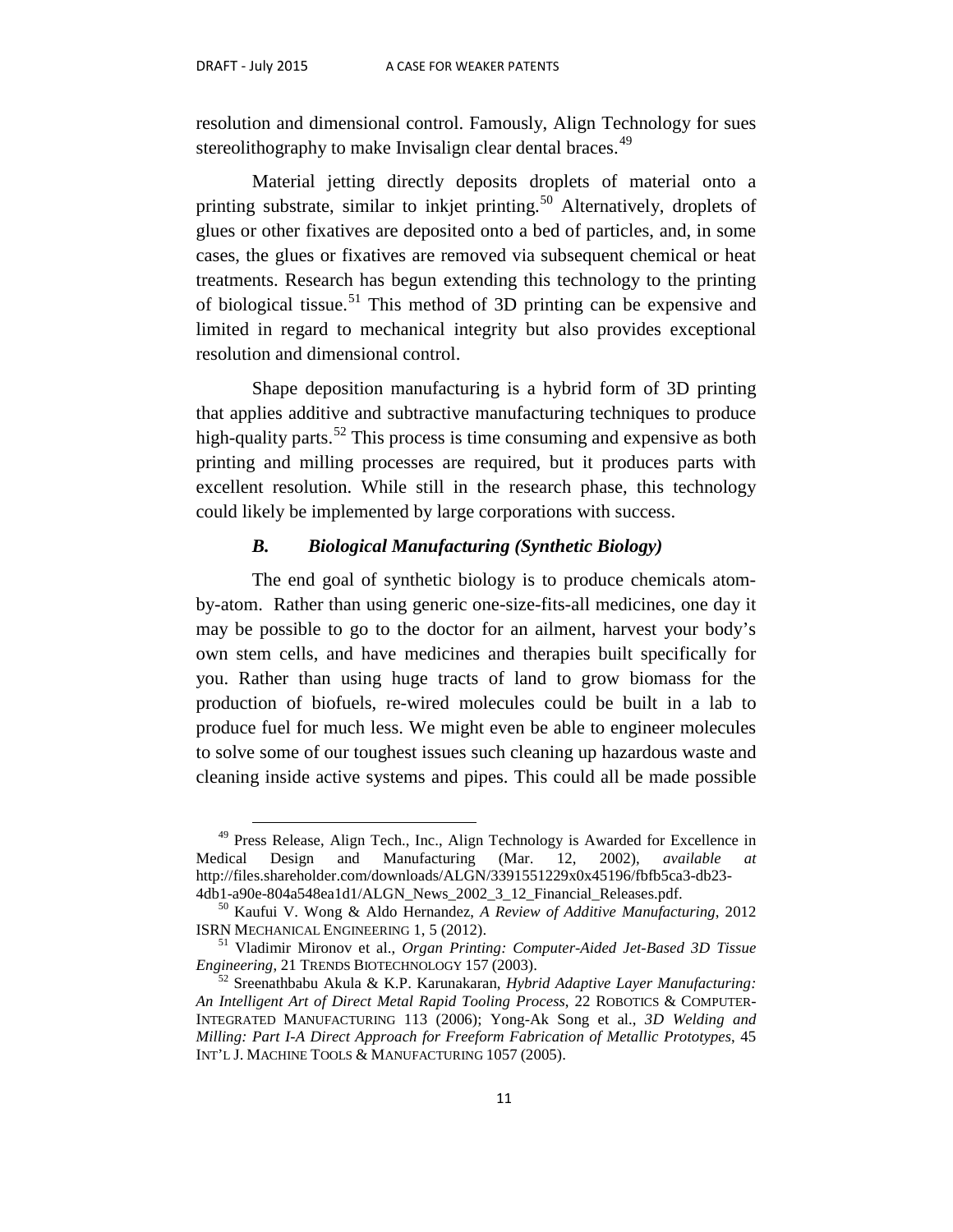resolution and dimensional control. Famously, Align Technology for sues stereolithography to make Invisalign clear dental braces.<sup>[49](#page-12-0)</sup>

Material jetting directly deposits droplets of material onto a printing substrate, similar to inkjet printing.<sup>[50](#page-12-1)</sup> Alternatively, droplets of glues or other fixatives are deposited onto a bed of particles, and, in some cases, the glues or fixatives are removed via subsequent chemical or heat treatments. Research has begun extending this technology to the printing of biological tissue.<sup>[51](#page-12-2)</sup> This method of 3D printing can be expensive and limited in regard to mechanical integrity but also provides exceptional resolution and dimensional control.

Shape deposition manufacturing is a hybrid form of 3D printing that applies additive and subtractive manufacturing techniques to produce high-quality parts.<sup>[52](#page-12-3)</sup> This process is time consuming and expensive as both printing and milling processes are required, but it produces parts with excellent resolution. While still in the research phase, this technology could likely be implemented by large corporations with success.

#### *B. Biological Manufacturing (Synthetic Biology)*

The end goal of synthetic biology is to produce chemicals atomby-atom. Rather than using generic one-size-fits-all medicines, one day it may be possible to go to the doctor for an ailment, harvest your body's own stem cells, and have medicines and therapies built specifically for you. Rather than using huge tracts of land to grow biomass for the production of biofuels, re-wired molecules could be built in a lab to produce fuel for much less. We might even be able to engineer molecules to solve some of our toughest issues such cleaning up hazardous waste and cleaning inside active systems and pipes. This could all be made possible

<span id="page-12-0"></span><sup>&</sup>lt;sup>49</sup> Press Release, Align Tech., Inc., Align Technology is Awarded for Excellence in Medical Design and Manufacturing (Mar. 12, 2002), *available at* http://files.shareholder.com/downloads/ALGN/3391551229x0x45196/fbfb5ca3-db23-

<span id="page-12-1"></span><sup>4</sup>db1-a90e-804a548ea1d1/ALGN\_News\_2002\_3\_12\_Financial\_Releases.pdf. <sup>50</sup> Kaufui V. Wong & Aldo Hernandez, *A Review of Additive Manufacturing*, 2012

<span id="page-12-2"></span><sup>&</sup>lt;sup>51</sup> Vladimir Mironov et al., *Organ Printing: Computer-Aided Jet-Based 3D Tissue Engineering*, 21 TRENDS BIOTECHNOLOGY 157 (2003).

<span id="page-12-3"></span><sup>&</sup>lt;sup>52</sup> Sreenathbabu Akula & K.P. Karunakaran, *Hybrid Adaptive Layer Manufacturing: An Intelligent Art of Direct Metal Rapid Tooling Process*, 22 ROBOTICS & COMPUTER-INTEGRATED MANUFACTURING 113 (2006); Yong-Ak Song et al., *3D Welding and Milling: Part I-A Direct Approach for Freeform Fabrication of Metallic Prototypes*, 45 INT'L J. MACHINE TOOLS & MANUFACTURING 1057 (2005).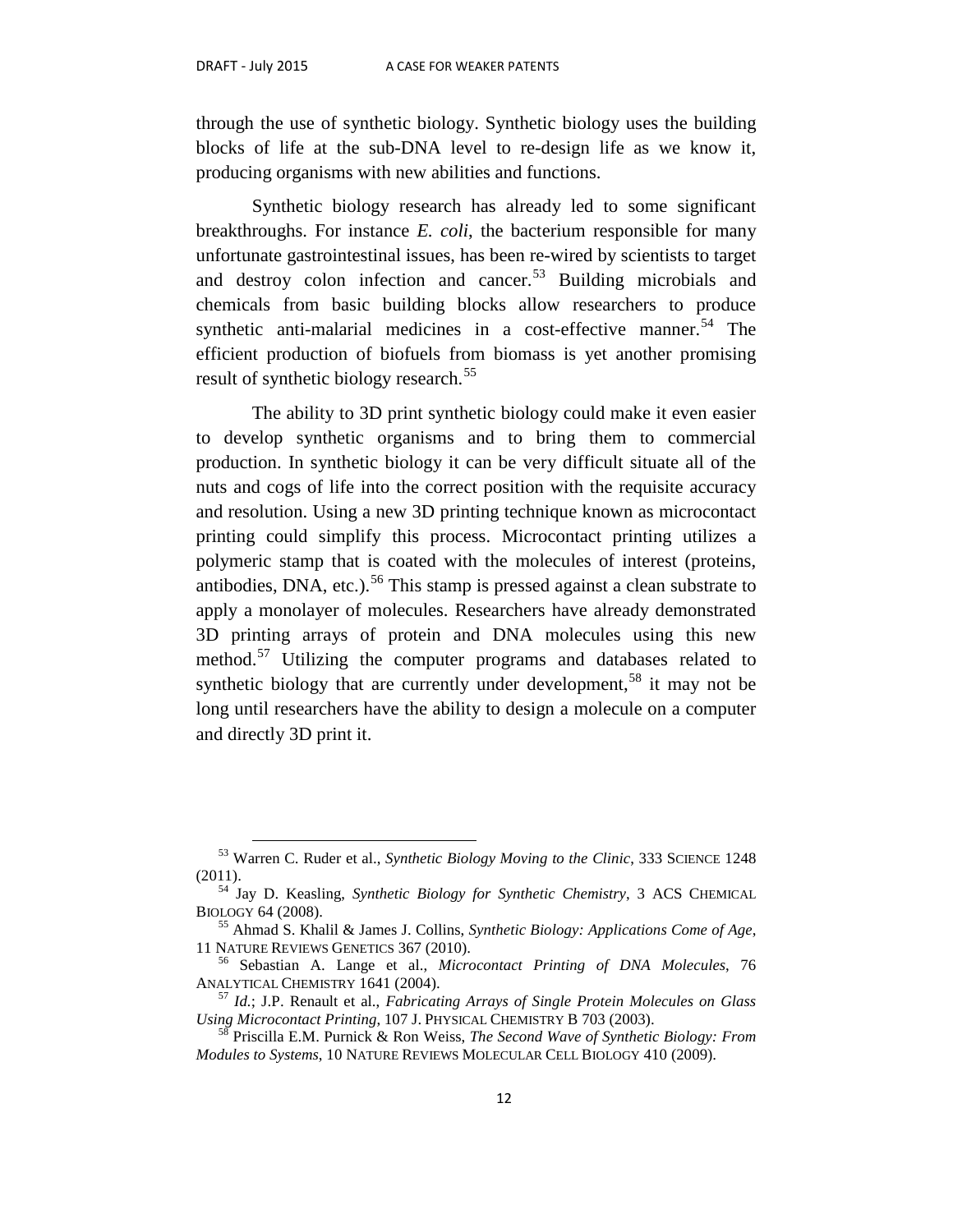through the use of synthetic biology. Synthetic biology uses the building blocks of life at the sub-DNA level to re-design life as we know it, producing organisms with new abilities and functions.

Synthetic biology research has already led to some significant breakthroughs. For instance *E. coli*, the bacterium responsible for many unfortunate gastrointestinal issues, has been re-wired by scientists to target and destroy colon infection and cancer.<sup>[53](#page-13-0)</sup> Building microbials and chemicals from basic building blocks allow researchers to produce synthetic anti-malarial medicines in a cost-effective manner.<sup>[54](#page-13-1)</sup> The efficient production of biofuels from biomass is yet another promising result of synthetic biology research.<sup>[55](#page-13-2)</sup>

The ability to 3D print synthetic biology could make it even easier to develop synthetic organisms and to bring them to commercial production. In synthetic biology it can be very difficult situate all of the nuts and cogs of life into the correct position with the requisite accuracy and resolution. Using a new 3D printing technique known as microcontact printing could simplify this process. Microcontact printing utilizes a polymeric stamp that is coated with the molecules of interest (proteins, antibodies, DNA, etc.).<sup>[56](#page-13-3)</sup> This stamp is pressed against a clean substrate to apply a monolayer of molecules. Researchers have already demonstrated 3D printing arrays of protein and DNA molecules using this new method.<sup>[57](#page-13-4)</sup> Utilizing the computer programs and databases related to synthetic biology that are currently under development,<sup>[58](#page-13-5)</sup> it may not be long until researchers have the ability to design a molecule on a computer and directly 3D print it.

 <sup>53</sup> Warren C. Ruder et al., *Synthetic Biology Moving to the Clinic*, 333 SCIENCE <sup>1248</sup>

<span id="page-13-1"></span><span id="page-13-0"></span><sup>(2011).</sup> <sup>54</sup> Jay D. Keasling, *Synthetic Biology for Synthetic Chemistry*, 3 ACS CHEMICAL

<sup>&</sup>lt;sup>55</sup> Ahmad S. Khalil & James J. Collins, *Synthetic Biology: Applications Come of Age*,

<span id="page-13-3"></span><span id="page-13-2"></span><sup>11</sup> NATURE REVIEWS GENETICS 367 (2010). <sup>56</sup> Sebastian A. Lange et al., *Microcontact Printing of DNA Molecules*, 76

<span id="page-13-4"></span><sup>&</sup>lt;sup>57</sup> *Id.*; J.P. Renault et al., *Fabricating Arrays of Single Protein Molecules on Glass Using Microcontact Printing*, 107 J. PHYSICAL CHEMISTRY B 703 (2003). <sup>58</sup> Priscilla E.M. Purnick & Ron Weiss, *The Second Wave of Synthetic Biology: From* 

<span id="page-13-5"></span>*Modules to Systems*, 10 NATURE REVIEWS MOLECULAR CELL BIOLOGY 410 (2009).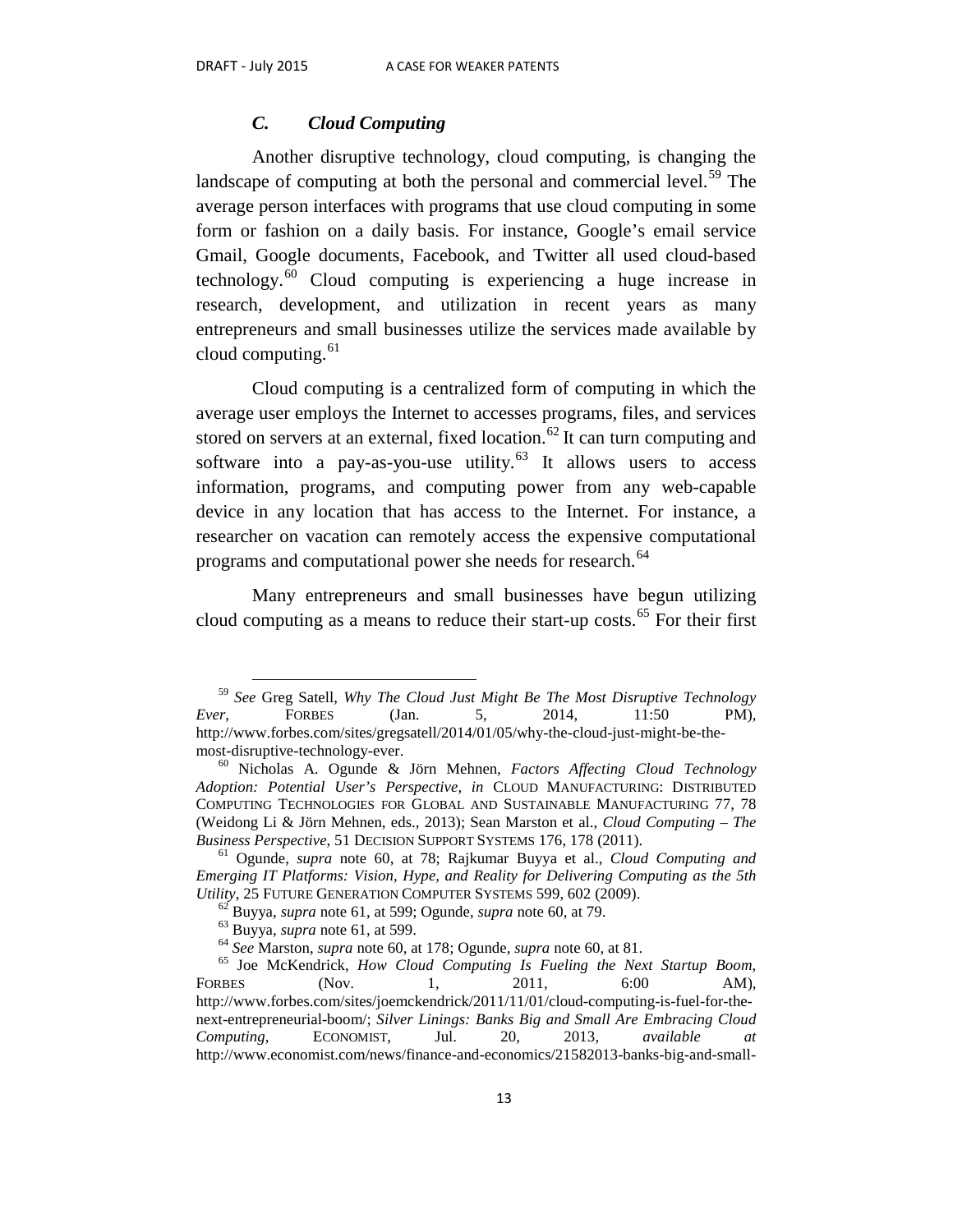#### *C. Cloud Computing*

Another disruptive technology, cloud computing, is changing the landscape of computing at both the personal and commercial level.<sup>[59](#page-14-0)</sup> The average person interfaces with programs that use cloud computing in some form or fashion on a daily basis. For instance, Google's email service Gmail, Google documents, Facebook, and Twitter all used cloud-based technology.<sup>[60](#page-14-1)</sup> Cloud computing is experiencing a huge increase in research, development, and utilization in recent years as many entrepreneurs and small businesses utilize the services made available by cloud computing. $61$ 

Cloud computing is a centralized form of computing in which the average user employs the Internet to accesses programs, files, and services stored on servers at an external, fixed location.<sup>[62](#page-14-3)</sup> It can turn computing and software into a pay-as-you-use utility.<sup>[63](#page-14-4)</sup> It allows users to access information, programs, and computing power from any web-capable device in any location that has access to the Internet. For instance, a researcher on vacation can remotely access the expensive computational programs and computational power she needs for research.<sup>[64](#page-14-5)</sup>

Many entrepreneurs and small businesses have begun utilizing cloud computing as a means to reduce their start-up costs.<sup>[65](#page-14-6)</sup> For their first

<span id="page-14-0"></span> <sup>59</sup> *See* Greg Satell, *Why The Cloud Just Might Be The Most Disruptive Technology Ever*, FORBES (Jan. 5, 2014, 11:50 PM), http://www.forbes.com/sites/gregsatell/2014/01/05/why-the-cloud-just-might-be-the-

<span id="page-14-1"></span>most-disruptive-technology-ever. <sup>60</sup> Nicholas A. Ogunde & Jörn Mehnen, *Factors Affecting Cloud Technology Adoption: Potential User's Perspective*, *in* CLOUD MANUFACTURING: DISTRIBUTED COMPUTING TECHNOLOGIES FOR GLOBAL AND SUSTAINABLE MANUFACTURING 77, 78 (Weidong Li & Jörn Mehnen, eds., 2013); Sean Marston et al., *Cloud Computing – The Business Perspective*, 51 DECISION SUPPORT SYSTEMS 176, 178 (2011).<br><sup>61</sup> Ogunde, *supra* note 60, at 78; Rajkumar Buyya et al., *Cloud Computing and* 

<span id="page-14-2"></span>*Emerging IT Platforms: Vision, Hype, and Reality for Delivering Computing as the 5th Utility, 25 FUTURE GENERATION COMPUTER SYSTEMS 599, 602 (2009).* 

<span id="page-14-6"></span><span id="page-14-5"></span><span id="page-14-4"></span><span id="page-14-3"></span><sup>&</sup>lt;sup>62</sup> Buyya, *supra* note 61, at 599; Ogunde, *supra* note 60, at 79.<br>
<sup>63</sup> Buyya, *supra* note 61, at 599.<br>
<sup>64</sup> See Marston, *supra* note 60, at 178; Ogunde, *supra* note 60, at 81.<br>
<sup>65</sup> Joe McKendrick, *How Cloud Compu* FORBES (Nov. 1, 2011, 6:00 AM), http://www.forbes.com/sites/joemckendrick/2011/11/01/cloud-computing-is-fuel-for-thenext-entrepreneurial-boom/; *Silver Linings: Banks Big and Small Are Embracing Cloud Computing*, ECONOMIST, Jul. 20, 2013, *available at* http://www.economist.com/news/finance-and-economics/21582013-banks-big-and-small-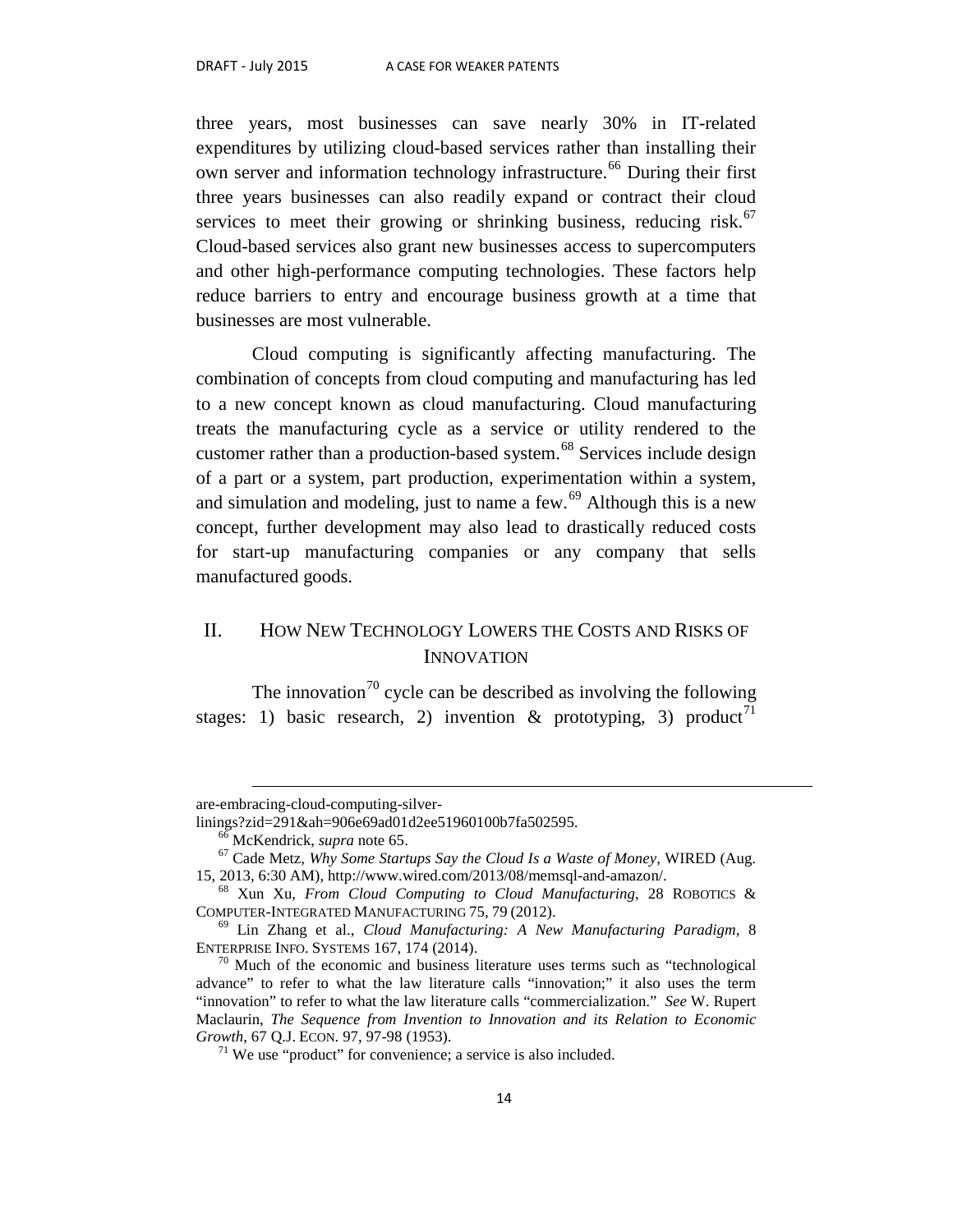three years, most businesses can save nearly 30% in IT-related expenditures by utilizing cloud-based services rather than installing their own server and information technology infrastructure.<sup>[66](#page-15-0)</sup> During their first three years businesses can also readily expand or contract their cloud services to meet their growing or shrinking business, reducing risk. $67$ Cloud-based services also grant new businesses access to supercomputers and other high-performance computing technologies. These factors help reduce barriers to entry and encourage business growth at a time that businesses are most vulnerable.

Cloud computing is significantly affecting manufacturing. The combination of concepts from cloud computing and manufacturing has led to a new concept known as cloud manufacturing. Cloud manufacturing treats the manufacturing cycle as a service or utility rendered to the customer rather than a production-based system.<sup>[68](#page-15-2)</sup> Services include design of a part or a system, part production, experimentation within a system, and simulation and modeling, just to name a few.<sup>[69](#page-15-3)</sup> Although this is a new concept, further development may also lead to drastically reduced costs for start-up manufacturing companies or any company that sells manufactured goods.

# II. HOW NEW TECHNOLOGY LOWERS THE COSTS AND RISKS OF **INNOVATION**

The innovation<sup>[70](#page-15-4)</sup> cycle can be described as involving the following stages: 1) basic research, 2) invention & prototyping, 3) product<sup>[71](#page-15-5)</sup>

 $\overline{a}$ 

are-embracing-cloud-computing-silver-<br>linings?zid=291&ah=906e69ad01d2ee51960100b7fa502595.

<span id="page-15-1"></span><span id="page-15-0"></span><sup>&</sup>lt;sup>66</sup> McKendrick, *supra* note 65.<br><sup>67</sup> Cade Metz, *Why Some Startups Say the Cloud Is a Waste of Money*, WIRED (Aug.<br>15, 2013, 6:30 AM), http://www.wired.com/2013/08/memsql-and-amazon/.

<span id="page-15-2"></span><sup>&</sup>lt;sup>68</sup> Xun Xu, *From Cloud Computing to Cloud Manufacturing*, 28 ROBOTICS & COMPUTER-INTEGRATED MANUFACTURING 75, 79 (2012).

<span id="page-15-3"></span><sup>&</sup>lt;sup>69</sup> Lin Zhang et al., *Cloud Manufacturing: A New Manufacturing Paradigm*, 8 ENTERPRISE INFO. SYSTEMS 167, 174 (2014).

<span id="page-15-5"></span><span id="page-15-4"></span> $\frac{70}{10}$  Much of the economic and business literature uses terms such as "technological" advance" to refer to what the law literature calls "innovation;" it also uses the term "innovation" to refer to what the law literature calls "commercialization." *See* W. Rupert Maclaurin, *The Sequence from Invention to Innovation and its Relation to Economic* 

 $G<sup>71</sup>$  We use "product" for convenience; a service is also included.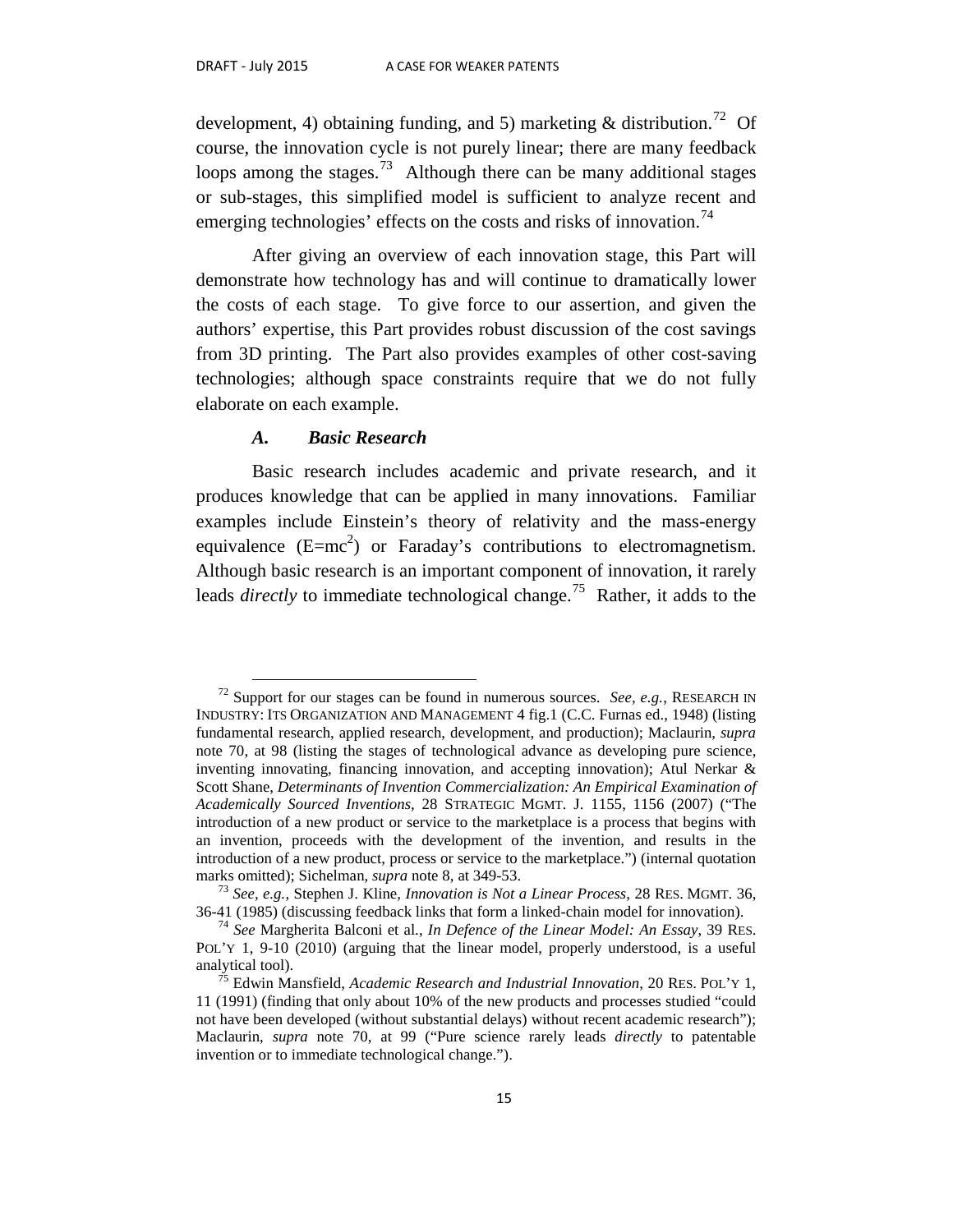development, 4) obtaining funding, and 5) marketing  $\&$  distribution.<sup>72</sup> Of course, the innovation cycle is not purely linear; there are many feedback loops among the stages.<sup>[73](#page-16-1)</sup> Although there can be many additional stages or sub-stages, this simplified model is sufficient to analyze recent and emerging technologies' effects on the costs and risks of innovation.<sup>[74](#page-16-2)</sup>

After giving an overview of each innovation stage, this Part will demonstrate how technology has and will continue to dramatically lower the costs of each stage. To give force to our assertion, and given the authors' expertise, this Part provides robust discussion of the cost savings from 3D printing. The Part also provides examples of other cost-saving technologies; although space constraints require that we do not fully elaborate on each example.

#### *A. Basic Research*

Basic research includes academic and private research, and it produces knowledge that can be applied in many innovations. Familiar examples include Einstein's theory of relativity and the mass-energy equivalence  $(E=mc^2)$  or Faraday's contributions to electromagnetism. Although basic research is an important component of innovation, it rarely leads *directly* to immediate technological change.<sup>[75](#page-16-3)</sup> Rather, it adds to the

<span id="page-16-0"></span> <sup>72</sup> Support for our stages can be found in numerous sources. *See, e.g.*, RESEARCH IN INDUSTRY: ITS ORGANIZATION AND MANAGEMENT 4 fig.1 (C.C. Furnas ed., 1948) (listing fundamental research, applied research, development, and production); Maclaurin, *supra*  note 70, at 98 (listing the stages of technological advance as developing pure science, inventing innovating, financing innovation, and accepting innovation); Atul Nerkar & Scott Shane, *Determinants of Invention Commercialization: An Empirical Examination of Academically Sourced Inventions*, 28 STRATEGIC MGMT. J. 1155, 1156 (2007) ("The introduction of a new product or service to the marketplace is a process that begins with an invention, proceeds with the development of the invention, and results in the introduction of a new product, process or service to the marketplace.") (internal quotation marks omitted); Sichelman, *supra* note 8, at 349-53.<br><sup>73</sup> *See, e.g.*, Stephen J. Kline, *Innovation is Not a Linear Process*, 28 RES. MGMT. 36,

<span id="page-16-1"></span><sup>36-41 (1985) (</sup>discussing feedback links that form a linked-chain model for innovation). <sup>74</sup> *See* Margherita Balconi et al., *In Defence of the Linear Model: An Essay*, 39 RES.

<span id="page-16-2"></span>POL'Y 1, 9-10 (2010) (arguing that the linear model, properly understood, is a useful analytical tool). <sup>75</sup> Edwin Mansfield, *Academic Research and Industrial Innovation*, 20 RES. POL'Y 1,

<span id="page-16-3"></span><sup>11 (1991) (</sup>finding that only about 10% of the new products and processes studied "could not have been developed (without substantial delays) without recent academic research"); Maclaurin, *supra* note 70, at 99 ("Pure science rarely leads *directly* to patentable invention or to immediate technological change.").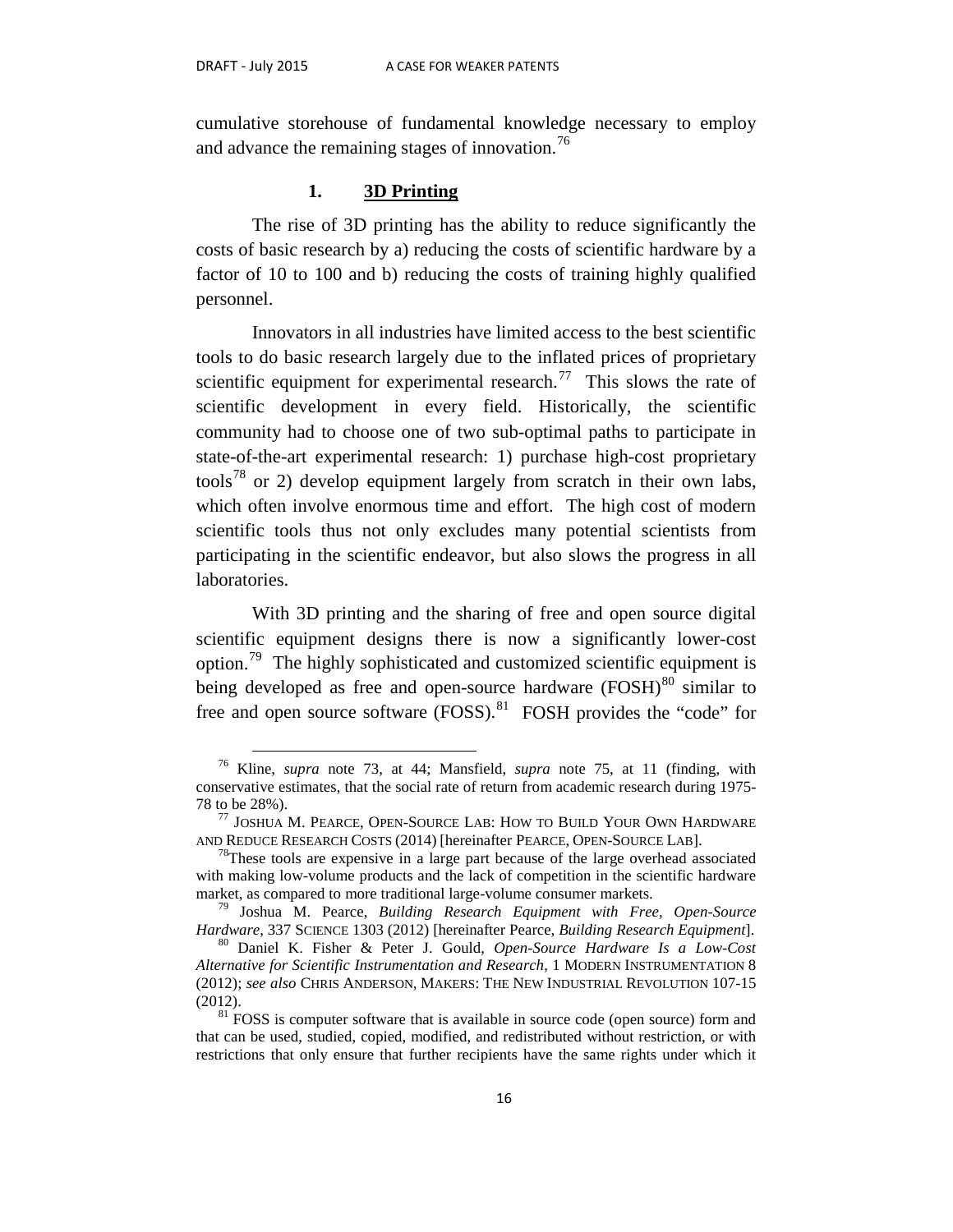cumulative storehouse of fundamental knowledge necessary to employ and advance the remaining stages of innovation.<sup>[76](#page-17-0)</sup>

#### **1. 3D Printing**

The rise of 3D printing has the ability to reduce significantly the costs of basic research by a) reducing the costs of scientific hardware by a factor of 10 to 100 and b) reducing the costs of training highly qualified personnel.

Innovators in all industries have limited access to the best scientific tools to do basic research largely due to the inflated prices of proprietary scientific equipment for experimental research.<sup>[77](#page-17-1)</sup> This slows the rate of scientific development in every field. Historically, the scientific community had to choose one of two sub-optimal paths to participate in state-of-the-art experimental research: 1) purchase high-cost proprietary tools<sup>[78](#page-17-2)</sup> or 2) develop equipment largely from scratch in their own labs, which often involve enormous time and effort. The high cost of modern scientific tools thus not only excludes many potential scientists from participating in the scientific endeavor, but also slows the progress in all laboratories.

With 3D printing and the sharing of free and open source digital scientific equipment designs there is now a significantly lower-cost option.[79](#page-17-3) The highly sophisticated and customized scientific equipment is being developed as free and open-source hardware  $(FOSH)^{80}$  $(FOSH)^{80}$  $(FOSH)^{80}$  similar to free and open source software  $(FOSS)$ .<sup>[81](#page-17-5)</sup> FOSH provides the "code" for

<span id="page-17-0"></span> <sup>76</sup> Kline, *supra* note 73, at 44; Mansfield, *supra* note 75, at 11 (finding, with conservative estimates, that the social rate of return from academic research during 1975-

<span id="page-17-1"></span><sup>78</sup> to be 28%).<br><sup>77</sup> JOSHUA M. PEARCE, OPEN-SOURCE LAB: HOW TO BUILD YOUR OWN HARDWARE<br>AND REDUCE RESEARCH COSTS (2014) [hereinafter PEARCE, OPEN-SOURCE LAB].

<span id="page-17-2"></span><sup>&</sup>lt;sup>78</sup>These tools are expensive in a large part because of the large overhead associated with making low-volume products and the lack of competition in the scientific hardware

<span id="page-17-3"></span>market, as compared to more traditional large-volume consumer markets.<br><sup>79</sup> Joshua M. Pearce, *Building Research Equipment with Free, Open-Source Hardware*, 337 SCIENCE 1303 (2012) [hereinafter Pearce, *Building Research E* 

<span id="page-17-4"></span>*Hardware*, 337 SCIENCE 1303 (2012) [hereinafter Pearce, *Building Research Equipment*]. 80 Daniel K. Fisher & Peter J. Gould, *Open-Source Hardware Is a Low-Cost Alternative for Scientific Instrumentation and Research*, 1 MODERN INSTRUMENTATION 8 (2012); *see also* CHRIS ANDERSON, MAKERS: THE NEW INDUSTRIAL REVOLUTION 107-15  $(2012)$ .<br><sup>81</sup> FOSS is computer software that is available in source code (open source) form and

<span id="page-17-5"></span>that can be used, studied, copied, modified, and redistributed without restriction, or with restrictions that only ensure that further recipients have the same rights under which it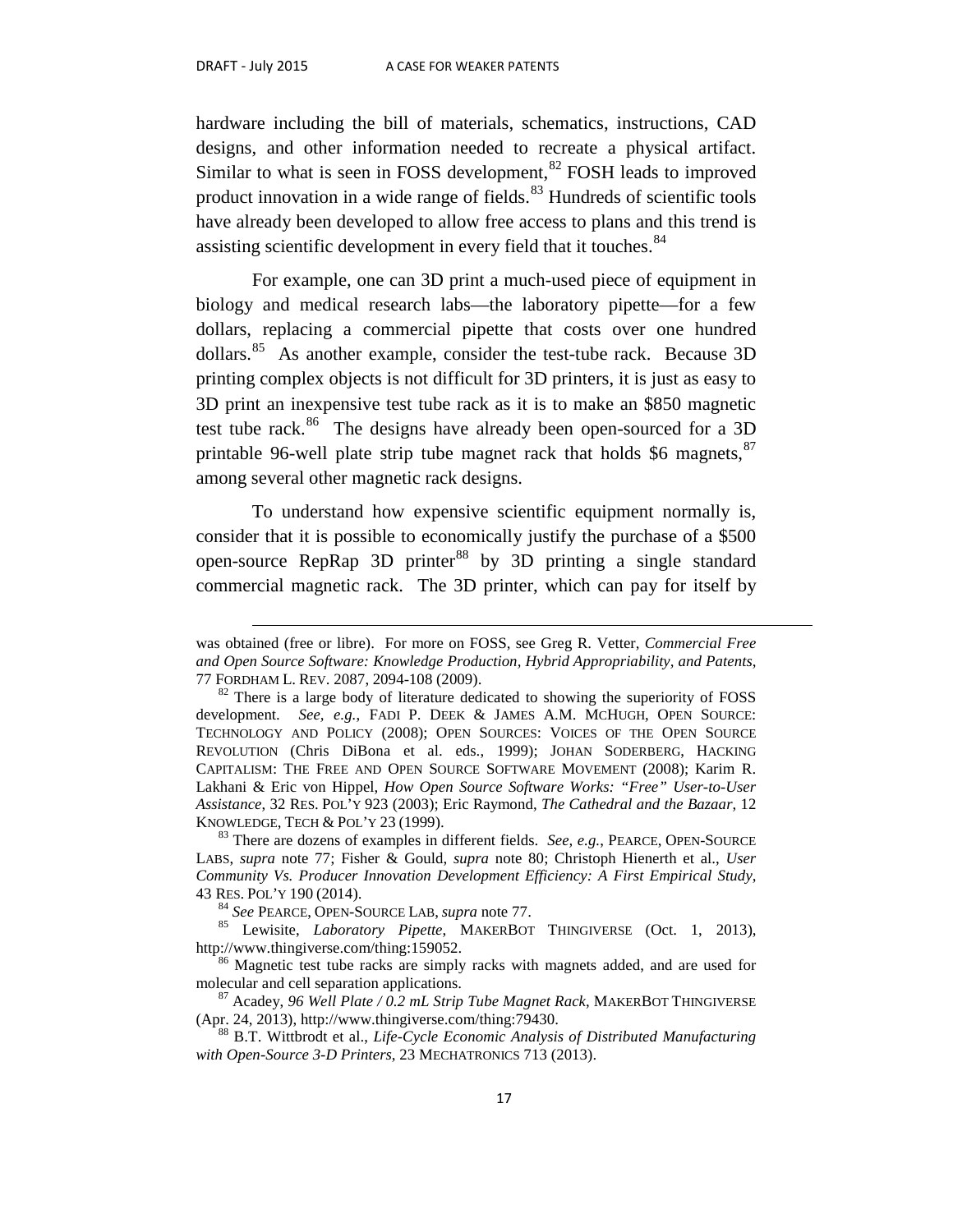$\overline{a}$ 

hardware including the bill of materials, schematics, instructions, CAD designs, and other information needed to recreate a physical artifact. Similar to what is seen in FOSS development,<sup>[82](#page-18-0)</sup> FOSH leads to improved product innovation in a wide range of fields.<sup>[83](#page-18-1)</sup> Hundreds of scientific tools have already been developed to allow free access to plans and this trend is assisting scientific development in every field that it touches.<sup>[84](#page-18-2)</sup>

For example, one can 3D print a much-used piece of equipment in biology and medical research labs—the laboratory pipette—for a few dollars, replacing a commercial pipette that costs over one hundred dollars.[85](#page-18-3) As another example, consider the test-tube rack. Because 3D printing complex objects is not difficult for 3D printers, it is just as easy to 3D print an inexpensive test tube rack as it is to make an \$850 magnetic test tube rack.<sup>[86](#page-18-4)</sup> The designs have already been open-sourced for a 3D printable 96-well plate strip tube magnet rack that holds \$6 magnets,  $87$ among several other magnetic rack designs.

To understand how expensive scientific equipment normally is, consider that it is possible to economically justify the purchase of a \$500 open-source RepRap 3D printer<sup>[88](#page-18-6)</sup> by 3D printing a single standard commercial magnetic rack. The 3D printer, which can pay for itself by

was obtained (free or libre). For more on FOSS, see Greg R. Vetter, *Commercial Free and Open Source Software: Knowledge Production, Hybrid Appropriability, and Patents*, 77 FORDHAM L. REV. 2087, 2094-108 (2009).<br><sup>82</sup> There is a large body of literature dedicated to showing the superiority of FOSS

<span id="page-18-0"></span>development. *See, e.g.*, FADI P. DEEK & JAMES A.M. MCHUGH, OPEN SOURCE: TECHNOLOGY AND POLICY (2008); OPEN SOURCES: VOICES OF THE OPEN SOURCE REVOLUTION (Chris DiBona et al. eds., 1999); JOHAN SODERBERG, HACKING CAPITALISM: THE FREE AND OPEN SOURCE SOFTWARE MOVEMENT (2008); Karim R. Lakhani & Eric von Hippel, *How Open Source Software Works: "Free" User-to-User Assistance*, 32 RES. POL'Y 923 (2003); Eric Raymond, *The Cathedral and the Bazaar*, 12

<span id="page-18-1"></span> $83$  There are dozens of examples in different fields. *See, e.g.*, PEARCE, OPEN-SOURCE LABS, *supra* note 77; Fisher & Gould, *supra* note 80; Christoph Hienerth et al., *User Community Vs. Producer Innovation Development Efficiency: A First Empirical Study*,

<span id="page-18-2"></span><sup>43</sup> RES. POL'Y 190 (2014). <sup>84</sup> *See* PEARCE, OPEN-SOURCE LAB, *supra* note 77. <sup>85</sup> Lewisite, *Laboratory Pipette*, MAKERBOT THINGIVERSE (Oct. 1, 2013),

<span id="page-18-4"></span><span id="page-18-3"></span>http://www.thingiverse.com/thing:159052.<br><sup>86</sup> Magnetic test tube racks are simply racks with magnets added, and are used for molecular and cell separation applications.

<span id="page-18-5"></span><sup>&</sup>lt;sup>87</sup> Acadey, *96 Well Plate / 0.2 mL Strip Tube Magnet Rack*, MAKERBOT THINGIVERSE (Apr. 24, 2013), http://www.thingiverse.com/thing:79430.

<span id="page-18-6"></span><sup>&</sup>lt;sup>88</sup> B.T. Wittbrodt et al., *Life-Cycle Economic Analysis of Distributed Manufacturing with Open-Source 3-D Printers*, 23 MECHATRONICS 713 (2013).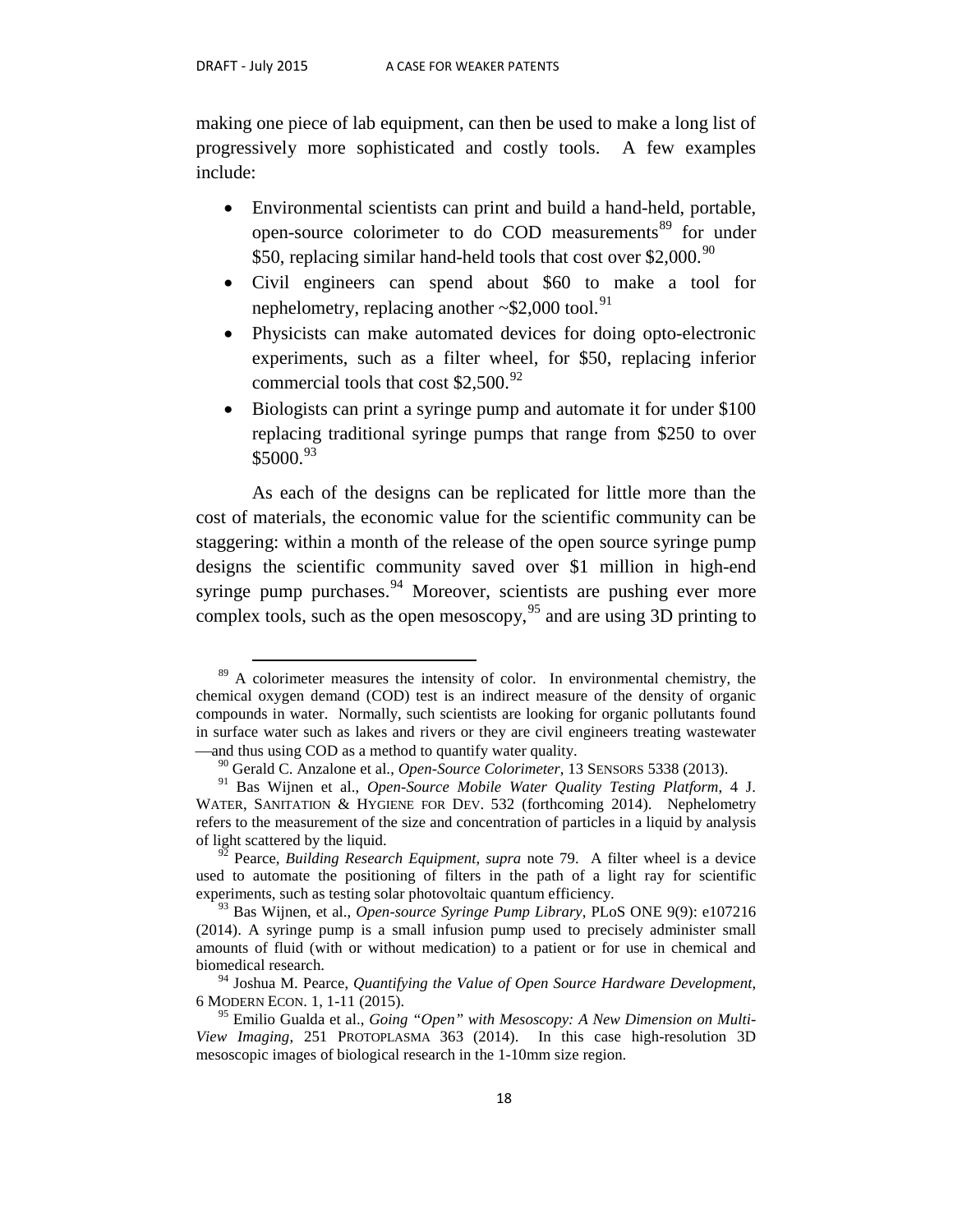making one piece of lab equipment, can then be used to make a long list of progressively more sophisticated and costly tools. A few examples include:

- Environmental scientists can print and build a hand-held, portable, open-source colorimeter to do COD measurements<sup>[89](#page-19-0)</sup> for under \$50, replacing similar hand-held tools that cost over \$2,000.<sup>90</sup>
- Civil engineers can spend about \$60 to make a tool for nephelometry, replacing another  $\sim$ \$2,000 tool.<sup>[91](#page-19-2)</sup>
- Physicists can make automated devices for doing opto-electronic experiments, such as a filter wheel, for \$50, replacing inferior commercial tools that cost  $$2,500.<sup>92</sup>$  $$2,500.<sup>92</sup>$  $$2,500.<sup>92</sup>$
- Biologists can print a syringe pump and automate it for under \$100 replacing traditional syringe pumps that range from \$250 to over \$5000.[93](#page-19-4)

As each of the designs can be replicated for little more than the cost of materials, the economic value for the scientific community can be staggering: within a month of the release of the open source syringe pump designs the scientific community saved over \$1 million in high-end syringe pump purchases.  $94$  Moreover, scientists are pushing ever more complex tools, such as the open mesoscopy,<sup>[95](#page-19-6)</sup> and are using 3D printing to

<span id="page-19-0"></span> $89\,$  A colorimeter measures the intensity of color. In environmental chemistry, the chemical oxygen demand (COD) test is an indirect measure of the density of organic compounds in water. Normally, such scientists are looking for organic pollutants found in surface water such as lakes and rivers or they are civil engineers treating wastewater —and thus using COD as a method to quantify water quality.

<sup>90</sup> Gerald C. Anzalone et al., *Open-Source Colorimeter*, 13 SENSORS 5338 (2013).

<span id="page-19-2"></span><span id="page-19-1"></span><sup>91</sup> Bas Wijnen et al., *Open-Source Mobile Water Quality Testing Platform*, 4 J. WATER, SANITATION & HYGIENE FOR DEV. 532 (forthcoming 2014). Nephelometry refers to the measurement of the size and concentration of particles in a liquid by analysis of light scattered by the liquid. <sup>92</sup> Pearce, *Building Research Equipment*, *supra* note 79. A filter wheel is a device

<span id="page-19-3"></span>used to automate the positioning of filters in the path of a light ray for scientific experiments, such as testing solar photovoltaic quantum efficiency.

<span id="page-19-4"></span><sup>93</sup> Bas Wijnen, et al., *Open-source Syringe Pump Library*, PLoS ONE 9(9): e107216 (2014). A syringe pump is a small infusion pump used to precisely administer small amounts of fluid (with or without medication) to a patient or for use in chemical and biomedical research.

<span id="page-19-5"></span><sup>&</sup>lt;sup>94</sup> Joshua M. Pearce, *Quantifying the Value of Open Source Hardware Development*, 6 MODERN ECON. 1, 1-11 (2015).

<span id="page-19-6"></span><sup>&</sup>lt;sup>95</sup> Emilio Gualda et al., *Going "Open" with Mesoscopy: A New Dimension on Multi-View Imaging*, 251 PROTOPLASMA 363 (2014). In this case high-resolution 3D mesoscopic images of biological research in the 1-10mm size region.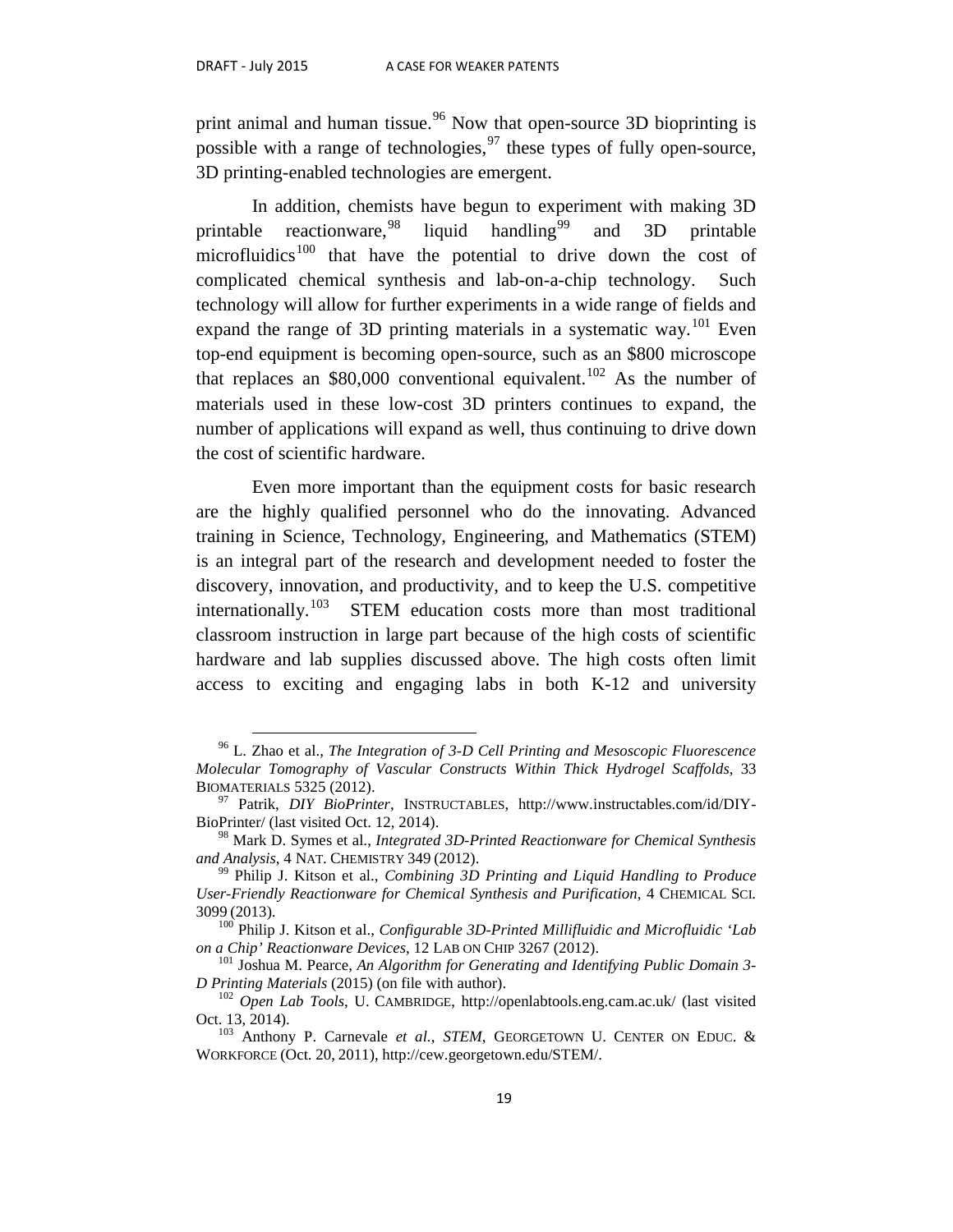print animal and human tissue.<sup>[96](#page-20-0)</sup> Now that open-source 3D bioprinting is possible with a range of technologies,  $97$  these types of fully open-source, 3D printing-enabled technologies are emergent.

In addition, chemists have begun to experiment with making 3D printable reactionware,  $98$ liquid handling<sup>[99](#page-20-3)</sup> and 3D printable  $microfluidics<sup>100</sup>$  $microfluidics<sup>100</sup>$  $microfluidics<sup>100</sup>$  that have the potential to drive down the cost of complicated chemical synthesis and lab-on-a-chip technology. Such technology will allow for further experiments in a wide range of fields and expand the range of 3D printing materials in a systematic way.<sup>[101](#page-20-5)</sup> Even top-end equipment is becoming open-source, such as an \$800 microscope that replaces an \$80,000 conventional equivalent.<sup>[102](#page-20-6)</sup> As the number of materials used in these low-cost 3D printers continues to expand, the number of applications will expand as well, thus continuing to drive down the cost of scientific hardware.

Even more important than the equipment costs for basic research are the highly qualified personnel who do the innovating. Advanced training in Science, Technology, Engineering, and Mathematics (STEM) is an integral part of the research and development needed to foster the discovery, innovation, and productivity, and to keep the U.S. competitive internationally.<sup>[103](#page-20-7)</sup> STEM education costs more than most traditional classroom instruction in large part because of the high costs of scientific hardware and lab supplies discussed above. The high costs often limit access to exciting and engaging labs in both K-12 and university

<span id="page-20-0"></span> <sup>96</sup> L. Zhao et al., *The Integration of 3-D Cell Printing and Mesoscopic Fluorescence Molecular Tomography of Vascular Constructs Within Thick Hydrogel Scaffolds*, 33

<span id="page-20-1"></span><sup>&</sup>lt;sup>97</sup> Patrik, *DIY BioPrinter*, INSTRUCTABLES, http://www.instructables.com/id/DIY-BioPrinter/ (last visited Oct. 12, 2014).

<span id="page-20-2"></span><sup>98</sup> Mark D. Symes et al., *Integrated 3D-Printed Reactionware for Chemical Synthesis and Analysis*, 4 NAT. CHEMISTRY 349 (2012). 99 Philip J. Kitson et al., *Combining 3D Printing and Liquid Handling to Produce* 

<span id="page-20-3"></span>*User-Friendly Reactionware for Chemical Synthesis and Purification*, 4 CHEMICAL SCI.

<span id="page-20-4"></span><sup>3099</sup> (2013). 100 Philip J. Kitson et al., *Configurable 3D-Printed Millifluidic and Microfluidic 'Lab* 

<span id="page-20-5"></span><sup>&</sup>lt;sup>101</sup> Joshua M. Pearce, *An Algorithm for Generating and Identifying Public Domain 3-*<br>*D Printing Materials* (2015) (on file with author).

<span id="page-20-6"></span><sup>&</sup>lt;sup>102</sup> *Open Lab Tools*, U. CAMBRIDGE, http://openlabtools.eng.cam.ac.uk/ (last visited Oct. 13, 2014).

<span id="page-20-7"></span><sup>&</sup>lt;sup>103</sup> Anthony P. Carnevale *et al.*, *STEM*, GEORGETOWN U. CENTER ON EDUC. & WORKFORCE (Oct. 20, 2011), http://cew.georgetown.edu/STEM/.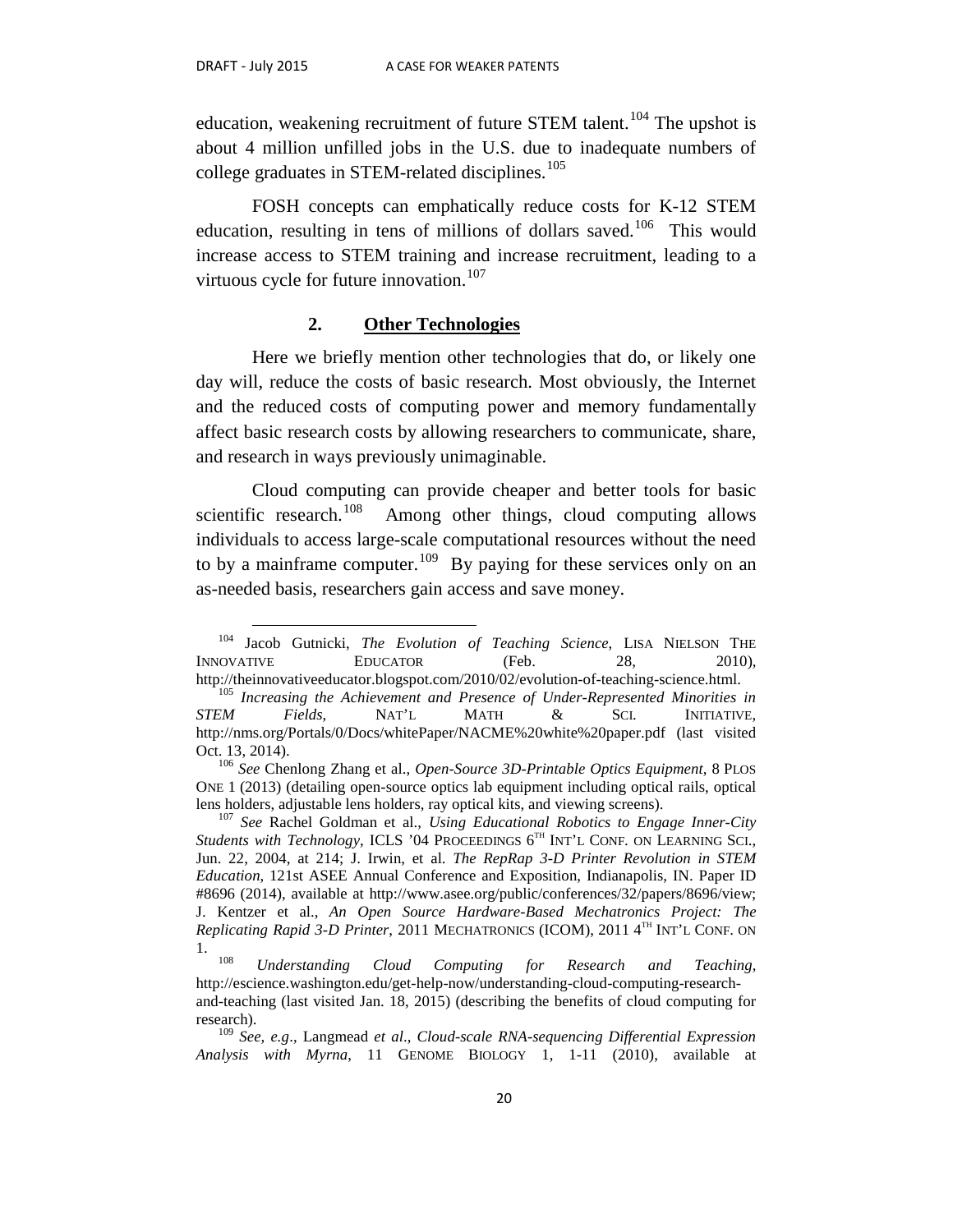education, weakening recruitment of future STEM talent.<sup>[104](#page-21-0)</sup> The upshot is about 4 million unfilled jobs in the U.S. due to inadequate numbers of college graduates in STEM-related disciplines.<sup>[105](#page-21-1)</sup>

FOSH concepts can emphatically reduce costs for K-12 STEM education, resulting in tens of millions of dollars saved.<sup>[106](#page-21-2)</sup> This would increase access to STEM training and increase recruitment, leading to a virtuous cycle for future innovation.<sup>[107](#page-21-3)</sup>

#### **2. Other Technologies**

Here we briefly mention other technologies that do, or likely one day will, reduce the costs of basic research. Most obviously, the Internet and the reduced costs of computing power and memory fundamentally affect basic research costs by allowing researchers to communicate, share, and research in ways previously unimaginable.

Cloud computing can provide cheaper and better tools for basic scientific research.<sup>[108](#page-21-4)</sup> Among other things, cloud computing allows individuals to access large-scale computational resources without the need to by a mainframe computer.<sup>109</sup> By paying for these services only on an as-needed basis, researchers gain access and save money.

<span id="page-21-0"></span> <sup>104</sup> Jacob Gutnicki, *The Evolution of Teaching Science*, LISA NIELSON THE INNOVATIVE EDUCATOR (Feb. 28, 2010),

<span id="page-21-1"></span>http://theinnovativeeducator.blogspot.com/2010/02/evolution-of-teaching-science.html. 105 *Increasing the Achievement and Presence of Under-Represented Minorities in STEM Fields*, NAT'L MATH & SCI. INITIATIVE, http://nms.org/Portals/0/Docs/whitePaper/NACME%20white%20paper.pdf (last visited Oct. 13, 2014). <sup>106</sup> *See* Chenlong Zhang et al., *Open-Source 3D-Printable Optics Equipment*, 8 PLOS

<span id="page-21-2"></span>ONE 1 (2013) (detailing open-source optics lab equipment including optical rails, optical lens holders, adjustable lens holders, ray optical kits, and viewing screens). <sup>107</sup> *See* Rachel Goldman et al., *Using Educational Robotics to Engage Inner-City* 

<span id="page-21-3"></span>*Students with Technology*, ICLS '04 PROCEEDINGS 6<sup>TH</sup> INT'L CONF. ON LEARNING SCI., Jun. 22, 2004, at 214; J. Irwin, et al. *The RepRap 3-D Printer Revolution in STEM Education*, 121st ASEE Annual Conference and Exposition, Indianapolis, IN. Paper ID #8696 (2014), available at http://www.asee.org/public/conferences/32/papers/8696/view; J. Kentzer et al., *An Open Source Hardware-Based Mechatronics Project: The Replicating Rapid 3-D Printer*, 2011 MECHATRONICS (ICOM), 2011 4<sup>TH</sup> INT'L CONF. ON

<span id="page-21-4"></span><sup>1. 108</sup> *Understanding Cloud Computing for Research and Teaching*, http://escience.washington.edu/get-help-now/understanding-cloud-computing-research-

and-teaching (last visited Jan. 18, 2015) (describing the benefits of cloud computing for research).

<span id="page-21-5"></span><sup>109</sup> *See, e.g*., Langmead *et al*., *Cloud-scale RNA-sequencing Differential Expression Analysis with Myrna*, 11 GENOME BIOLOGY 1, 1-11 (2010), available at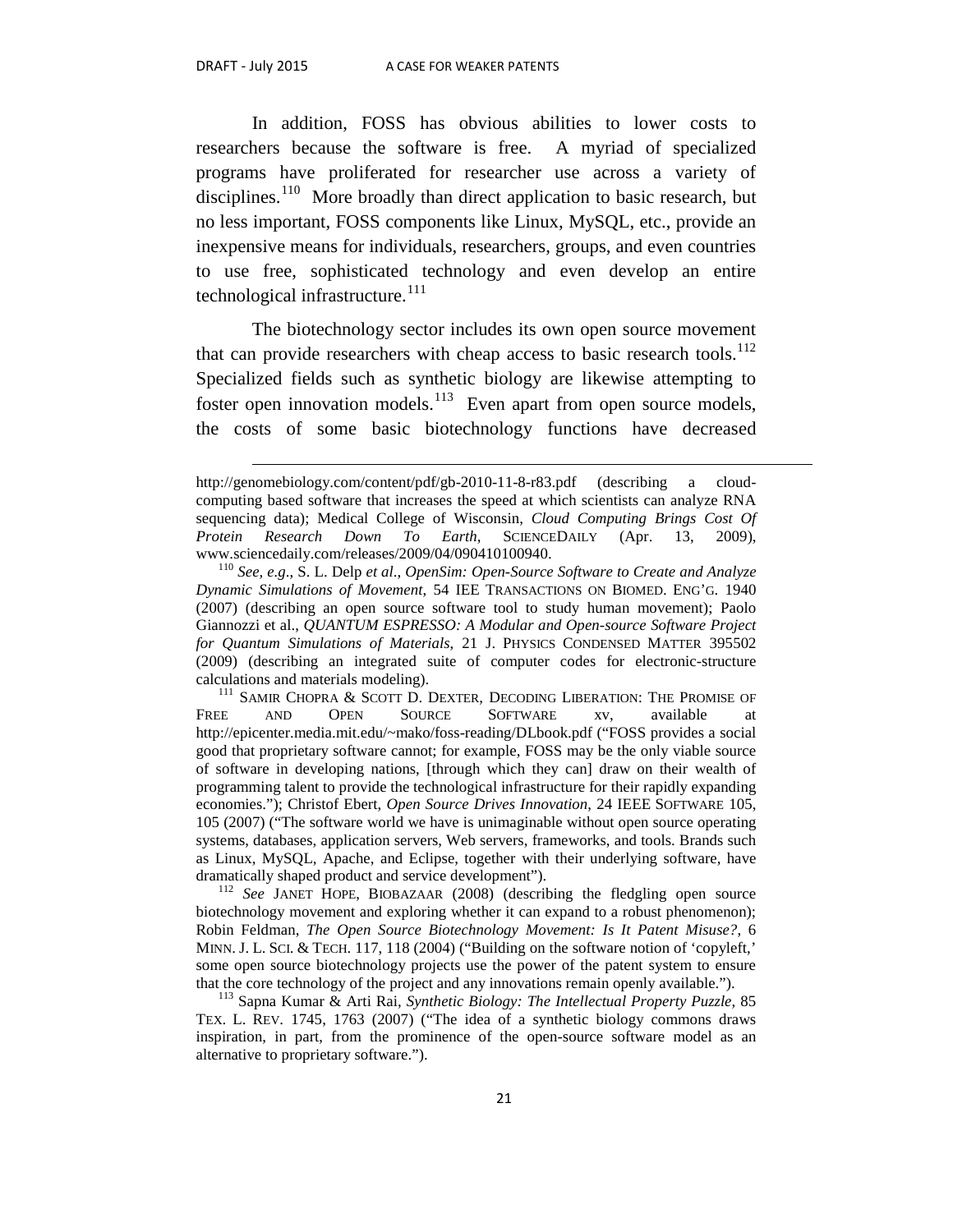$\overline{a}$ 

In addition, FOSS has obvious abilities to lower costs to researchers because the software is free. A myriad of specialized programs have proliferated for researcher use across a variety of disciplines.<sup>[110](#page-22-0)</sup> More broadly than direct application to basic research, but no less important, FOSS components like Linux, MySQL, etc., provide an inexpensive means for individuals, researchers, groups, and even countries to use free, sophisticated technology and even develop an entire technological infrastructure.<sup>[111](#page-22-1)</sup>

The biotechnology sector includes its own open source movement that can provide researchers with cheap access to basic research tools.<sup>[112](#page-22-2)</sup> Specialized fields such as synthetic biology are likewise attempting to foster open innovation models.<sup>[113](#page-22-3)</sup> Even apart from open source models, the costs of some basic biotechnology functions have decreased

<span id="page-22-1"></span>FREE AND OPEN SOURCE SOFTWARE xv, available at http://epicenter.media.mit.edu/~mako/foss-reading/DLbook.pdf ("FOSS provides a social good that proprietary software cannot; for example, FOSS may be the only viable source of software in developing nations, [through which they can] draw on their wealth of programming talent to provide the technological infrastructure for their rapidly expanding economies."); Christof Ebert, *Open Source Drives Innovation*, 24 IEEE SOFTWARE 105, 105 (2007) ("The software world we have is unimaginable without open source operating systems, databases, application servers, Web servers, frameworks, and tools. Brands such as Linux, MySQL, Apache, and Eclipse, together with their underlying software, have dramatically shaped product and service development").

<span id="page-22-2"></span><sup>112</sup> See JANET HOPE, BIOBAZAAR (2008) (describing the fledgling open source biotechnology movement and exploring whether it can expand to a robust phenomenon); Robin Feldman, *The Open Source Biotechnology Movement: Is It Patent Misuse?*, 6 MINN. J. L. SCI. & TECH. 117, 118 (2004) ("Building on the software notion of 'copyleft,' some open source biotechnology projects use the power of the patent system to ensure that the core technology of the project and any innovations remain openly available.").

<span id="page-22-3"></span><sup>113</sup> Sapna Kumar & Arti Rai, *Synthetic Biology: The Intellectual Property Puzzle*, 85 TEX. L. REV. 1745, 1763 (2007) ("The idea of a synthetic biology commons draws inspiration, in part, from the prominence of the open-source software model as an alternative to proprietary software.").

http://genomebiology.com/content/pdf/gb-2010-11-8-r83.pdf (describing a cloudcomputing based software that increases the speed at which scientists can analyze RNA sequencing data); Medical College of Wisconsin, *Cloud Computing Brings Cost Of Protein Research Down To Earth*, SCIENCEDAILY (Apr. 13, 2009), www.sciencedaily.com/releases/2009/04/090410100940. <sup>110</sup> *See, e.g*., S. L. Delp *et al*., *OpenSim: Open-Source Software to Create and Analyze* 

<span id="page-22-0"></span>*Dynamic Simulations of Movement*, 54 IEE TRANSACTIONS ON BIOMED. ENG'G. 1940 (2007) (describing an open source software tool to study human movement); Paolo Giannozzi et al., *QUANTUM ESPRESSO: A Modular and Open-source Software Project for Quantum Simulations of Materials*, 21 J. PHYSICS CONDENSED MATTER 395502 (2009) (describing an integrated suite of computer codes for electronic-structure calculations and materials modeling). 111 SAMIR CHOPRA & SCOTT D. DEXTER, DECODING LIBERATION: THE PROMISE OF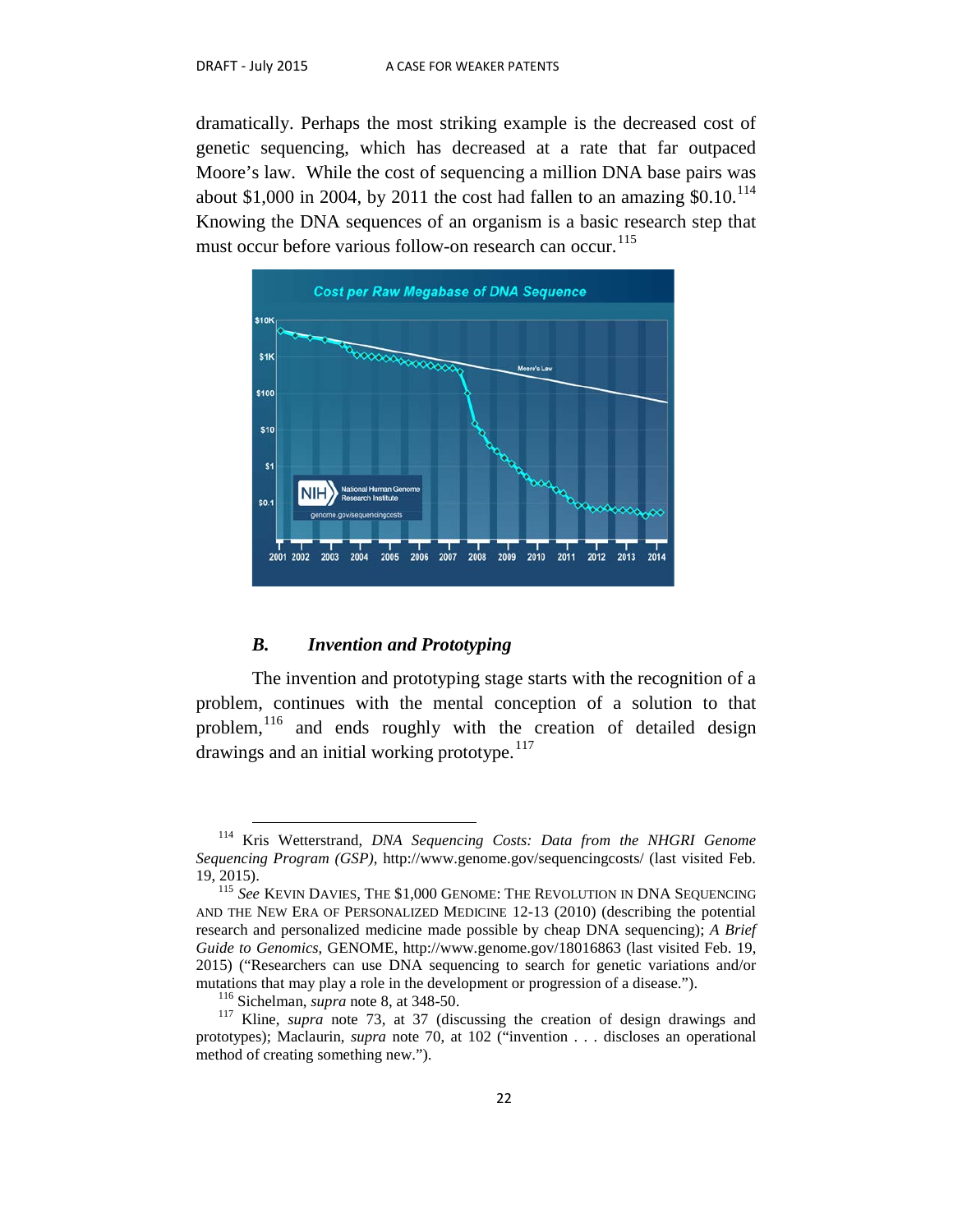dramatically. Perhaps the most striking example is the decreased cost of genetic sequencing, which has decreased at a rate that far outpaced Moore's law. While the cost of sequencing a million DNA base pairs was about \$1,000 in 2004, by 2011 the cost had fallen to an amazing  $$0.10$ <sup>[114](#page-23-0)</sup> Knowing the DNA sequences of an organism is a basic research step that must occur before various follow-on research can occur.<sup>[115](#page-23-1)</sup>



#### *B. Invention and Prototyping*

The invention and prototyping stage starts with the recognition of a problem, continues with the mental conception of a solution to that problem,<sup>[116](#page-23-2)</sup> and ends roughly with the creation of detailed design drawings and an initial working prototype.<sup>[117](#page-23-3)</sup>

<span id="page-23-0"></span> <sup>114</sup> Kris Wetterstrand, *DNA Sequencing Costs: Data from the NHGRI Genome Sequencing Program (GSP)*, http://www.genome.gov/sequencingcosts/ (last visited Feb. 19, 2015). 115 *See* KEVIN DAVIES, THE \$1,000 GENOME: THE REVOLUTION IN DNA SEQUENCING

<span id="page-23-1"></span>AND THE NEW ERA OF PERSONALIZED MEDICINE 12-13 (2010) (describing the potential research and personalized medicine made possible by cheap DNA sequencing); *A Brief Guide to Genomics*, GENOME, http://www.genome.gov/18016863 (last visited Feb. 19, 2015) ("Researchers can use DNA sequencing to search for genetic variations and/or

<span id="page-23-3"></span><span id="page-23-2"></span><sup>&</sup>lt;sup>116</sup> Sichelman, *supra* note 8, at 348-50. <sup>117</sup> Kline, *supra* note 73, at 37 (discussing the creation of design drawings and prototypes); Maclaurin, *supra* note 70, at 102 ("invention . . . discloses an operational method of creating something new.").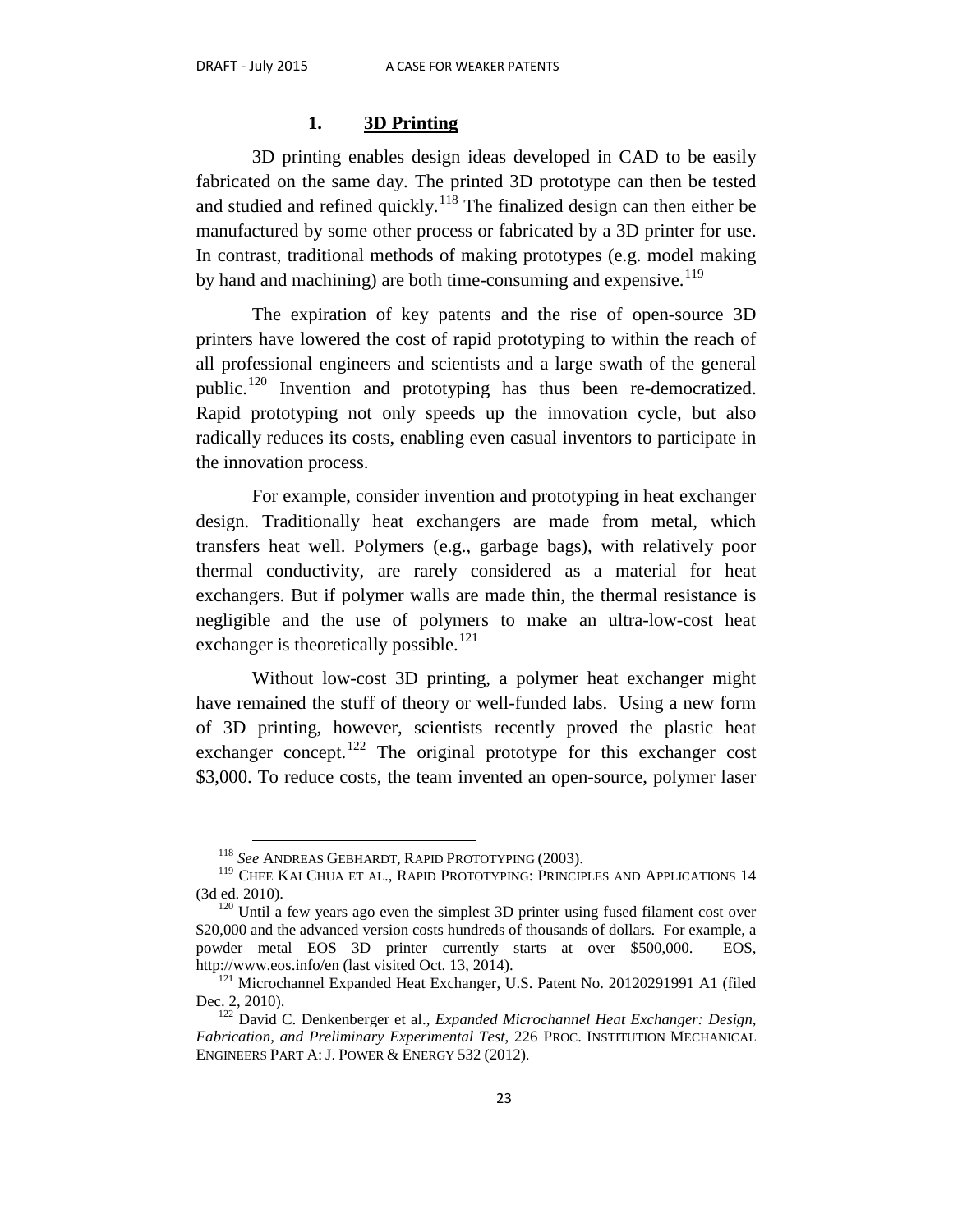#### **1. 3D Printing**

3D printing enables design ideas developed in CAD to be easily fabricated on the same day. The printed 3D prototype can then be tested and studied and refined quickly.<sup>[118](#page-24-0)</sup> The finalized design can then either be manufactured by some other process or fabricated by a 3D printer for use. In contrast, traditional methods of making prototypes (e.g. model making by hand and machining) are both time-consuming and expensive.  $119$ 

The expiration of key patents and the rise of open-source 3D printers have lowered the cost of rapid prototyping to within the reach of all professional engineers and scientists and a large swath of the general public.<sup>[120](#page-24-2)</sup> Invention and prototyping has thus been re-democratized. Rapid prototyping not only speeds up the innovation cycle, but also radically reduces its costs, enabling even casual inventors to participate in the innovation process.

For example, consider invention and prototyping in heat exchanger design. Traditionally heat exchangers are made from metal, which transfers heat well. Polymers (e.g., garbage bags), with relatively poor thermal conductivity, are rarely considered as a material for heat exchangers. But if polymer walls are made thin, the thermal resistance is negligible and the use of polymers to make an ultra-low-cost heat exchanger is theoretically possible.<sup>[121](#page-24-3)</sup>

Without low-cost 3D printing, a polymer heat exchanger might have remained the stuff of theory or well-funded labs. Using a new form of 3D printing, however, scientists recently proved the plastic heat exchanger concept.<sup>[122](#page-24-4)</sup> The original prototype for this exchanger cost \$3,000. To reduce costs, the team invented an open-source, polymer laser

 <sup>118</sup> *See* ANDREAS GEBHARDT, RAPID PROTOTYPING (2003).

<span id="page-24-1"></span><span id="page-24-0"></span> $^{119}$  CHEE KAI CHUA ET AL., RAPID PROTOTYPING: PRINCIPLES AND APPLICATIONS  $14$   $(3\mathbf{d}$  ed.  $2010).$ 

<span id="page-24-2"></span> $120$  Until a few years ago even the simplest 3D printer using fused filament cost over \$20,000 and the advanced version costs hundreds of thousands of dollars. For example, a powder metal EOS 3D printer currently starts at over \$500,000. EOS, http://www.eos.info/en (last visited Oct. 13, 2014).<br><sup>121</sup> Microchannel Expanded Heat Exchanger, U.S. Patent No. 20120291991 A1 (filed

<span id="page-24-3"></span>Dec. 2, 2010). <sup>122</sup> David C. Denkenberger et al., *Expanded Microchannel Heat Exchanger: Design,* 

<span id="page-24-4"></span>*Fabrication, and Preliminary Experimental Test*, 226 PROC. INSTITUTION MECHANICAL ENGINEERS PART A: J. POWER & ENERGY 532 (2012).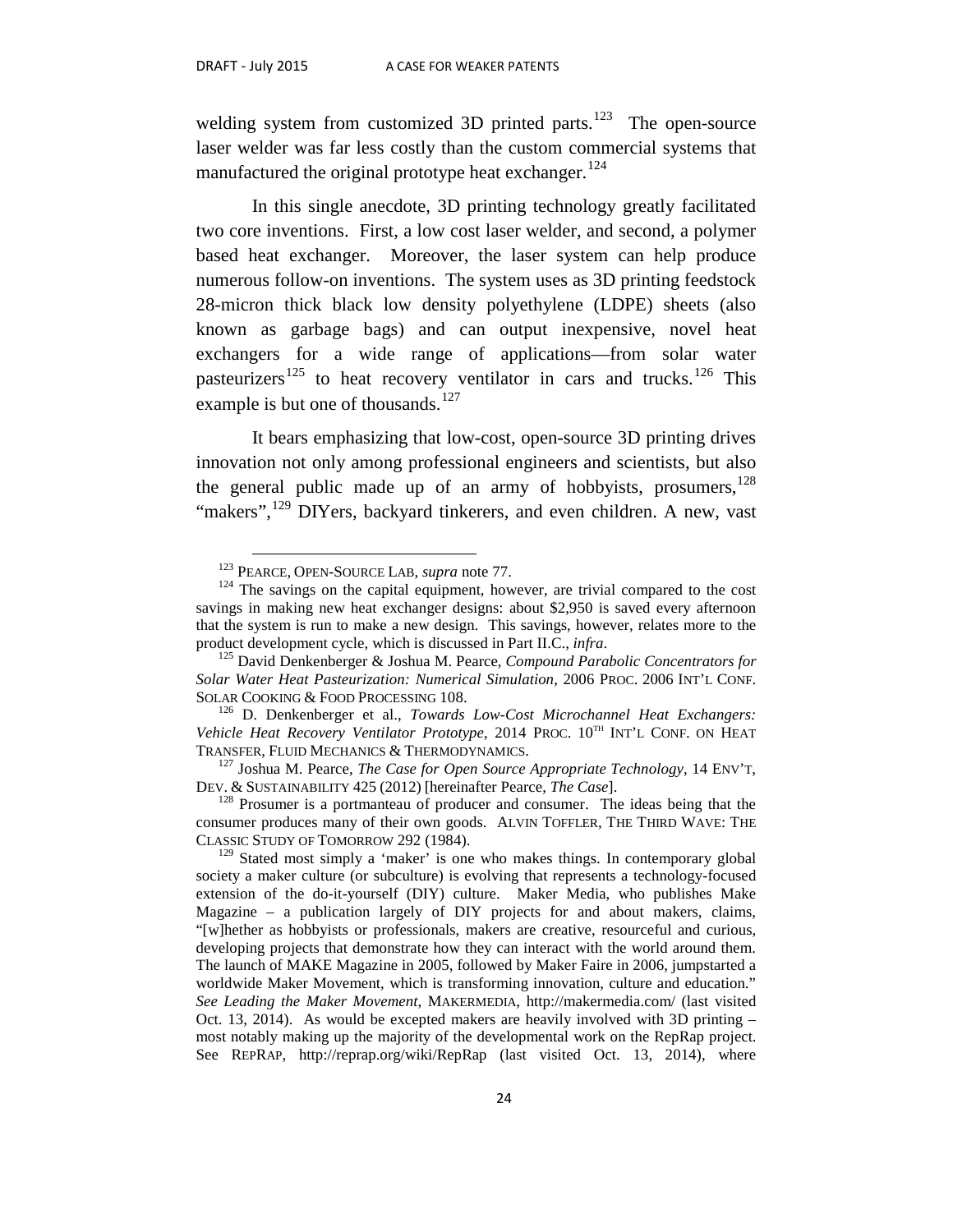welding system from customized 3D printed parts. $123$  The open-source laser welder was far less costly than the custom commercial systems that manufactured the original prototype heat exchanger.<sup>[124](#page-25-1)</sup>

In this single anecdote, 3D printing technology greatly facilitated two core inventions. First, a low cost laser welder, and second, a polymer based heat exchanger. Moreover, the laser system can help produce numerous follow-on inventions. The system uses as 3D printing feedstock 28-micron thick black low density polyethylene (LDPE) sheets (also known as garbage bags) and can output inexpensive, novel heat exchangers for a wide range of applications—from solar water pasteurizers<sup>[125](#page-25-2)</sup> to heat recovery ventilator in cars and trucks.<sup>[126](#page-25-3)</sup> This example is but one of thousands.<sup>[127](#page-25-4)</sup>

It bears emphasizing that low-cost, open-source 3D printing drives innovation not only among professional engineers and scientists, but also the general public made up of an army of hobbyists, prosumers,  $128$ "makers",<sup>[129](#page-25-6)</sup> DIYers, backyard tinkerers, and even children. A new, vast

<span id="page-25-1"></span><span id="page-25-0"></span><sup>&</sup>lt;sup>123</sup> PEARCE, OPEN-SOURCE LAB, *supra* note 77.<br><sup>124</sup> The savings on the capital equipment, however, are trivial compared to the cost savings in making new heat exchanger designs: about \$2,950 is saved every afternoon that the system is run to make a new design. This savings, however, relates more to the product development cycle, which is discussed in Part II.C., *infra*. <sup>125</sup> David Denkenberger & Joshua M. Pearce, *Compound Parabolic Concentrators for* 

<span id="page-25-2"></span>*Solar Water Heat Pasteurization: Numerical Simulation*, 2006 PROC. 2006 INT'L CONF. SOLAR COOKING & FOOD PROCESSING 108. 126 D. Denkenberger et al., *Towards Low-Cost Microchannel Heat Exchangers:* 

<span id="page-25-3"></span>Vehicle Heat Recovery Ventilator Prototype, 2014 PROC. 10<sup>TH</sup> INT'L CONF. ON HEAT

<span id="page-25-4"></span>TRANSFER, FLUID MECHANICS & THERMODYNAMICS.<br><sup>127</sup> Joshua M. Pearce, *The Case for Open Source Appropriate Technology*, 14 ENV'T,<br>DEV. & SUSTAINABILITY 425 (2012) [hereinafter Pearce, *The Case*].

<span id="page-25-5"></span><sup>&</sup>lt;sup>128</sup> Prosumer is a portmanteau of producer and consumer. The ideas being that the consumer produces many of their own goods. ALVIN TOFFLER, THE THIRD WAVE: THE CLASSIC STUDY OF TOMORROW 292 (1984).

<span id="page-25-6"></span> $129$  Stated most simply a 'maker' is one who makes things. In contemporary global society a maker culture (or subculture) is evolving that represents a technology-focused extension of the do-it-yourself (DIY) culture. Maker Media, who publishes Make Magazine – a publication largely of DIY projects for and about makers, claims, "[w]hether as hobbyists or professionals, makers are creative, resourceful and curious, developing projects that demonstrate how they can interact with the world around them. The launch of MAKE Magazine in 2005, followed by Maker Faire in 2006, jumpstarted a worldwide Maker Movement, which is transforming innovation, culture and education." *See Leading the Maker Movement*, MAKERMEDIA, http://makermedia.com/ (last visited Oct. 13, 2014). As would be excepted makers are heavily involved with 3D printing – most notably making up the majority of the developmental work on the RepRap project. See REPRAP, http://reprap.org/wiki/RepRap (last visited Oct. 13, 2014), where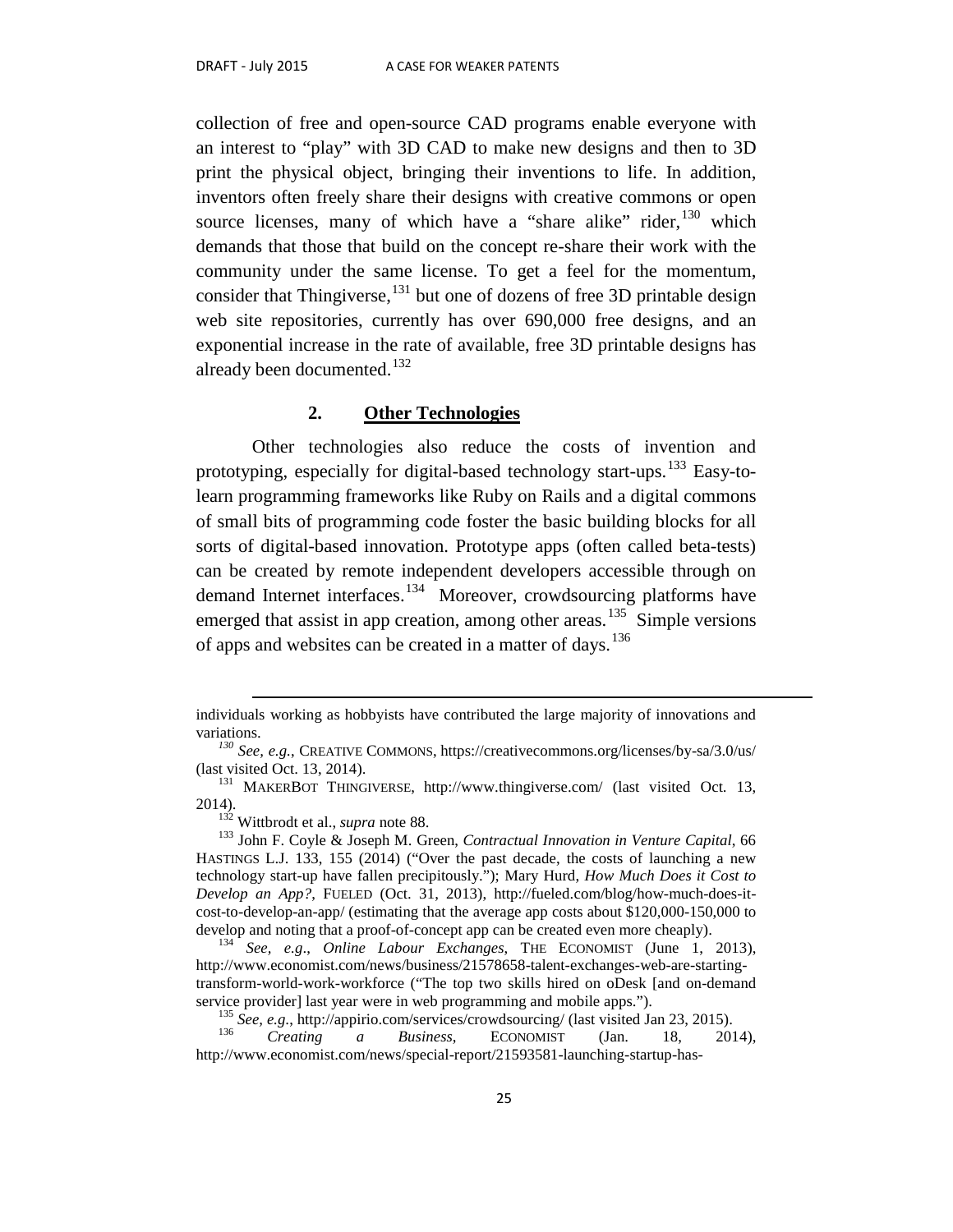collection of free and open-source CAD programs enable everyone with an interest to "play" with 3D CAD to make new designs and then to 3D print the physical object, bringing their inventions to life. In addition, inventors often freely share their designs with creative commons or open source licenses, many of which have a "share alike" rider, <sup>[130](#page-26-0)</sup> which demands that those that build on the concept re-share their work with the community under the same license. To get a feel for the momentum, consider that Thingiverse,<sup>[131](#page-26-1)</sup> but one of dozens of free 3D printable design web site repositories, currently has over 690,000 free designs, and an exponential increase in the rate of available, free 3D printable designs has already been documented. $132$ 

### **2. Other Technologies**

Other technologies also reduce the costs of invention and prototyping, especially for digital-based technology start-ups.<sup>[133](#page-26-3)</sup> Easy-tolearn programming frameworks like Ruby on Rails and a digital commons of small bits of programming code foster the basic building blocks for all sorts of digital-based innovation. Prototype apps (often called beta-tests) can be created by remote independent developers accessible through on demand Internet interfaces.<sup>[134](#page-26-4)</sup> Moreover, crowdsourcing platforms have emerged that assist in app creation, among other areas.<sup>135</sup> Simple versions of apps and websites can be created in a matter of days.<sup>[136](#page-26-6)</sup>

individuals working as hobbyists have contributed the large majority of innovations and variations.

<span id="page-26-0"></span><sup>&</sup>lt;sup>130</sup> *See, e.g.*, CREATIVE COMMONS, https://creativecommons.org/licenses/by-sa/3.0/us/ (last visited Oct. 13, 2014).

<span id="page-26-1"></span><sup>&</sup>lt;sup>131</sup> MAKERBOT THINGIVERSE, http://www.thingiverse.com/ (last visited Oct. 13, 2014). 132 Wittbrodt et al., *supra* note 88. <sup>133</sup> John F. Coyle & Joseph M. Green, *Contractual Innovation in Venture Capital*, 66

<span id="page-26-3"></span><span id="page-26-2"></span>HASTINGS L.J. 133, 155 (2014) ("Over the past decade, the costs of launching a new technology start-up have fallen precipitously."); Mary Hurd, *How Much Does it Cost to Develop an App?*, FUELED (Oct. 31, 2013), http://fueled.com/blog/how-much-does-itcost-to-develop-an-app/ (estimating that the average app costs about \$120,000-150,000 to develop and noting that a proof-of-concept app can be created even more cheaply). <sup>134</sup> *See, e.g*., *Online Labour Exchanges*, THE ECONOMIST (June 1, 2013),

<span id="page-26-4"></span>http://www.economist.com/news/business/21578658-talent-exchanges-web-are-startingtransform-world-work-workforce ("The top two skills hired on oDesk [and on-demand service provider] last year were in web programming and mobile apps.").<br><sup>135</sup> *See, e.g.*, http://appirio.com/services/crowdsourcing/ (last visited Jan 23, 2015).<br><sup>136</sup> *Creating a Business*, ECONOMIST (Jan. 18, 2014),

<span id="page-26-6"></span><span id="page-26-5"></span>http://www.economist.com/news/special-report/21593581-launching-startup-has-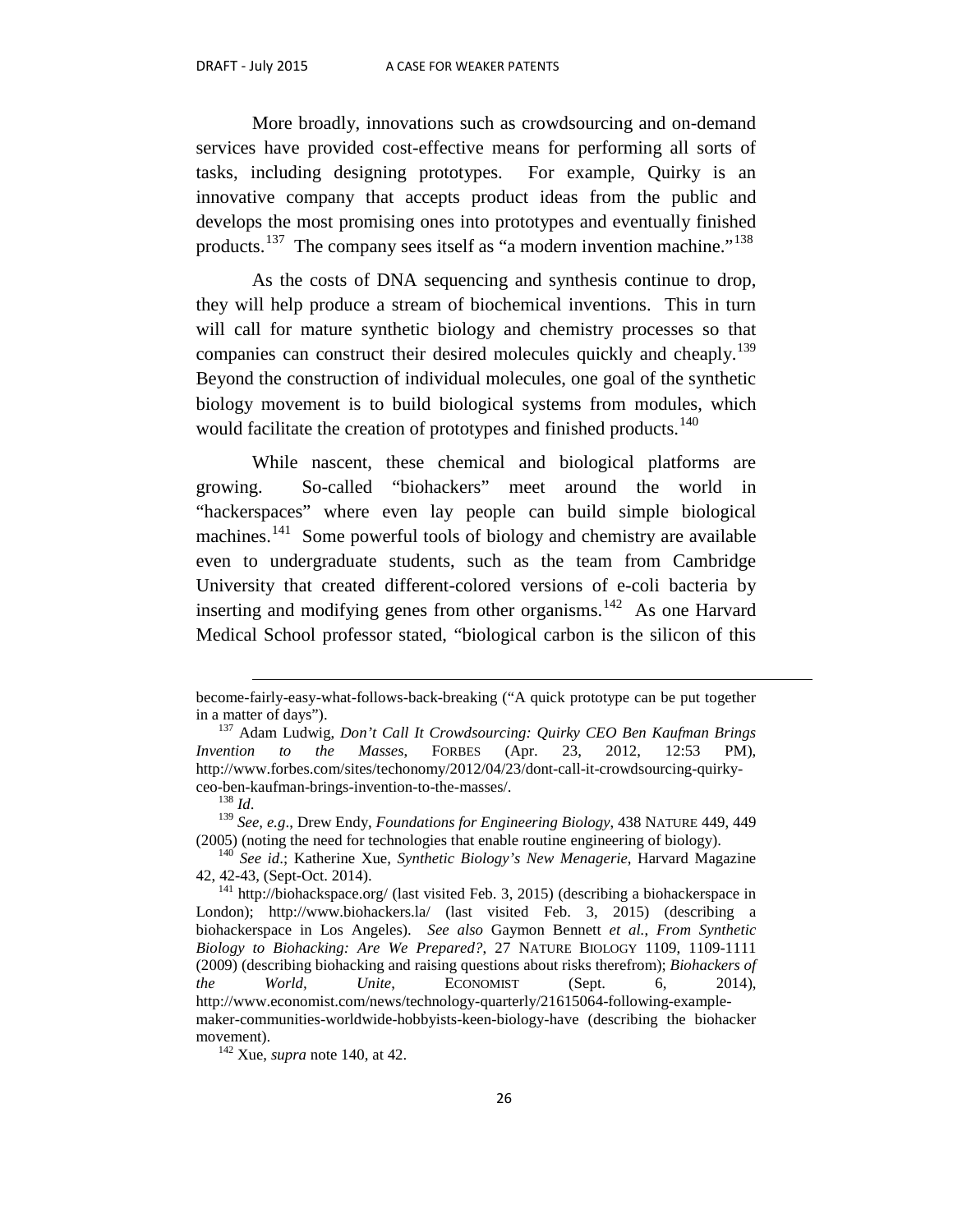More broadly, innovations such as crowdsourcing and on-demand services have provided cost-effective means for performing all sorts of tasks, including designing prototypes. For example, Quirky is an innovative company that accepts product ideas from the public and develops the most promising ones into prototypes and eventually finished products.<sup>[137](#page-27-0)</sup> The company sees itself as "a modern invention machine."<sup>[138](#page-27-1)</sup>

As the costs of DNA sequencing and synthesis continue to drop, they will help produce a stream of biochemical inventions. This in turn will call for mature synthetic biology and chemistry processes so that companies can construct their desired molecules quickly and cheaply.<sup>[139](#page-27-2)</sup> Beyond the construction of individual molecules, one goal of the synthetic biology movement is to build biological systems from modules, which would facilitate the creation of prototypes and finished products.<sup>[140](#page-27-3)</sup>

While nascent, these chemical and biological platforms are growing. So-called "biohackers" meet around the world in "hackerspaces" where even lay people can build simple biological machines.<sup>[141](#page-27-4)</sup> Some powerful tools of biology and chemistry are available even to undergraduate students, such as the team from Cambridge University that created different-colored versions of e-coli bacteria by inserting and modifying genes from other organisms.<sup>142</sup> As one Harvard Medical School professor stated, "biological carbon is the silicon of this

 $\overline{a}$ 

become-fairly-easy-what-follows-back-breaking ("A quick prototype can be put together

<span id="page-27-0"></span><sup>&</sup>lt;sup>137</sup> Adam Ludwig, *Don't Call It Crowdsourcing: Quirky CEO Ben Kaufman Brings Invention to the Masses*, FORBES (Apr. 23, 2012, 12:53 PM), http://www.forbes.com/sites/techonomy/2012/04/23/dont-call-it-crowdsourcing-quirky-

<span id="page-27-2"></span><span id="page-27-1"></span><sup>&</sup>lt;sup>138</sup> Id.<br><sup>139</sup> See, e.g., Drew Endy, *Foundations for Engineering Biology*, 438 NATURE 449, 449 (2005) (noting the need for technologies that enable routine engineering of biology). <sup>140</sup> *See id*.; Katherine Xue, *Synthetic Biology's New Menagerie*, Harvard Magazine

<span id="page-27-3"></span><sup>42, 42-43, (</sup>Sept-Oct. 2014).<br> $141$  http://biohackspace.org/ (last visited Feb. 3, 2015) (describing a biohackerspace in

<span id="page-27-4"></span>London); http://www.biohackers.la/ (last visited Feb. 3, 2015) (describing a biohackerspace in Los Angeles). *See also* Gaymon Bennett *et al.*, *From Synthetic Biology to Biohacking: Are We Prepared?*, 27 NATURE BIOLOGY 1109, 1109-1111 (2009) (describing biohacking and raising questions about risks therefrom); *Biohackers of the World, Unite*, ECONOMIST (Sept. 6, 2014), http://www.economist.com/news/technology-quarterly/21615064-following-examplemaker-communities-worldwide-hobbyists-keen-biology-have (describing the biohacker movement).<br><sup>142</sup> Xue, *supra* note 140, at 42.

<span id="page-27-5"></span>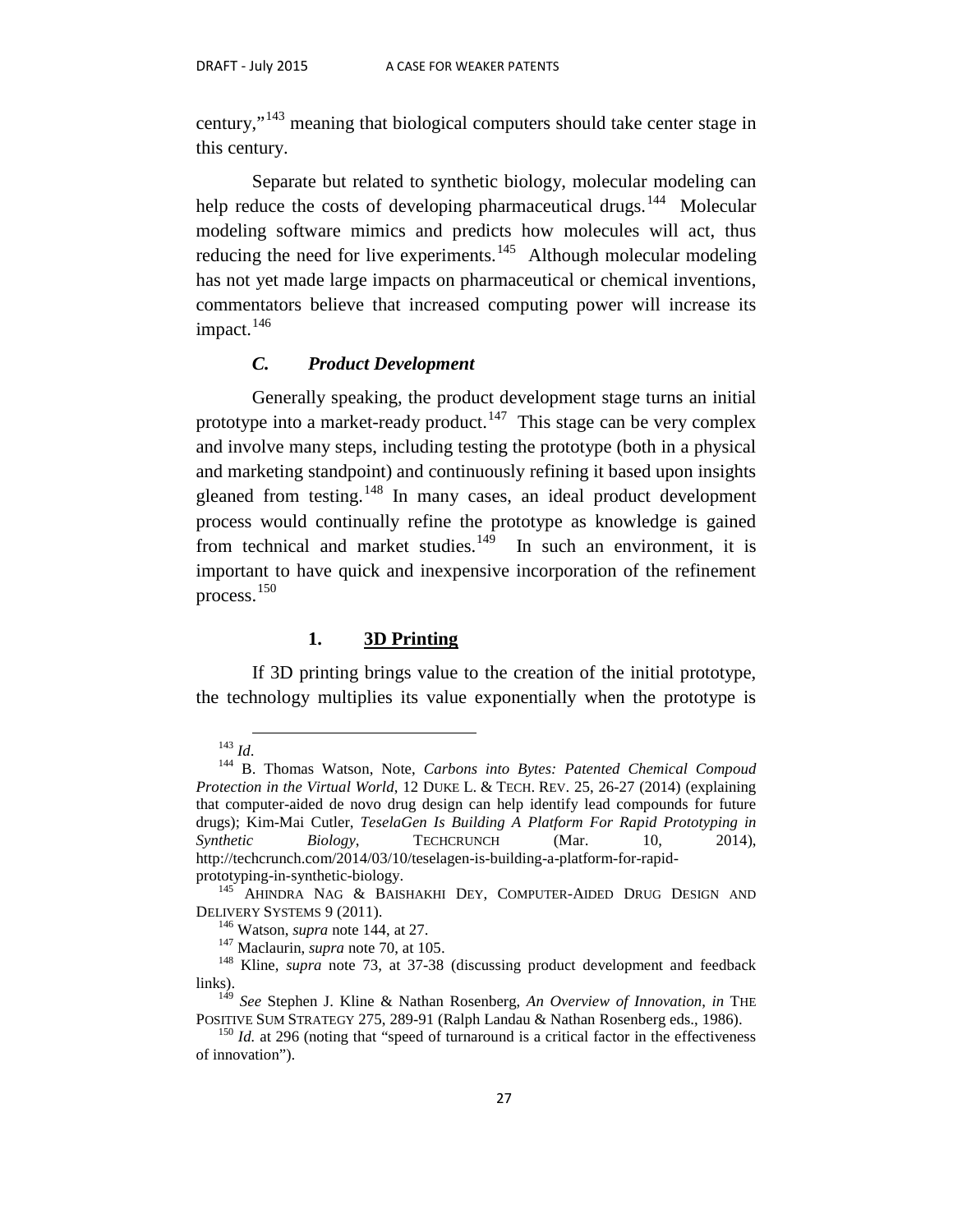century,"[143](#page-28-0) meaning that biological computers should take center stage in this century.

Separate but related to synthetic biology, molecular modeling can help reduce the costs of developing pharmaceutical drugs.<sup>[144](#page-28-1)</sup> Molecular modeling software mimics and predicts how molecules will act, thus reducing the need for live experiments.<sup>145</sup> Although molecular modeling has not yet made large impacts on pharmaceutical or chemical inventions, commentators believe that increased computing power will increase its impact.<sup>[146](#page-28-3)</sup>

#### *C. Product Development*

Generally speaking, the product development stage turns an initial prototype into a market-ready product.<sup>147</sup> This stage can be very complex and involve many steps, including testing the prototype (both in a physical and marketing standpoint) and continuously refining it based upon insights gleaned from testing.<sup>[148](#page-28-5)</sup> In many cases, an ideal product development process would continually refine the prototype as knowledge is gained from technical and market studies.<sup>149</sup> In such an environment, it is important to have quick and inexpensive incorporation of the refinement process.[150](#page-28-7)

#### **1. 3D Printing**

If 3D printing brings value to the creation of the initial prototype, the technology multiplies its value exponentially when the prototype is

<span id="page-28-1"></span><span id="page-28-0"></span><sup>143</sup> *Id*. <sup>144</sup> B. Thomas Watson, Note, *Carbons into Bytes: Patented Chemical Compoud Protection in the Virtual World*, 12 DUKE L. & TECH. REV. 25, 26-27 (2014) (explaining that computer-aided de novo drug design can help identify lead compounds for future drugs); Kim-Mai Cutler, *TeselaGen Is Building A Platform For Rapid Prototyping in Synthetic Biology*, TECHCRUNCH (Mar. 10, 2014), http://techcrunch.com/2014/03/10/teselagen-is-building-a-platform-for-rapid-

<span id="page-28-2"></span>prototyping-in-synthetic-biology.<br><sup>145</sup> AHINDRA NAG & BAISHAKHI DEY, COMPUTER-AIDED DRUG DESIGN AND DELIVERY SYSTEMS 9 (2011).<br><sup>146</sup> Watson, *supra* note 144, at 27.<br><sup>147</sup> Maclaurin, *supra* note 70, at 105.<br><sup>148</sup> Kline, *supra* note 73, at 37-38 (discussing product development and feedback

<span id="page-28-5"></span><span id="page-28-4"></span><span id="page-28-3"></span>links).

<span id="page-28-6"></span><sup>&</sup>lt;sup>149</sup> *See* Stephen J. Kline & Nathan Rosenberg, *An Overview of Innovation*, *in* THE POSITIVE SUM STRATEGY 275, 289-91 (Ralph Landau & Nathan Rosenberg eds., 1986).

<span id="page-28-7"></span> $P<sup>150</sup>$  *Id.* at 296 (noting that "speed of turnaround is a critical factor in the effectiveness of innovation").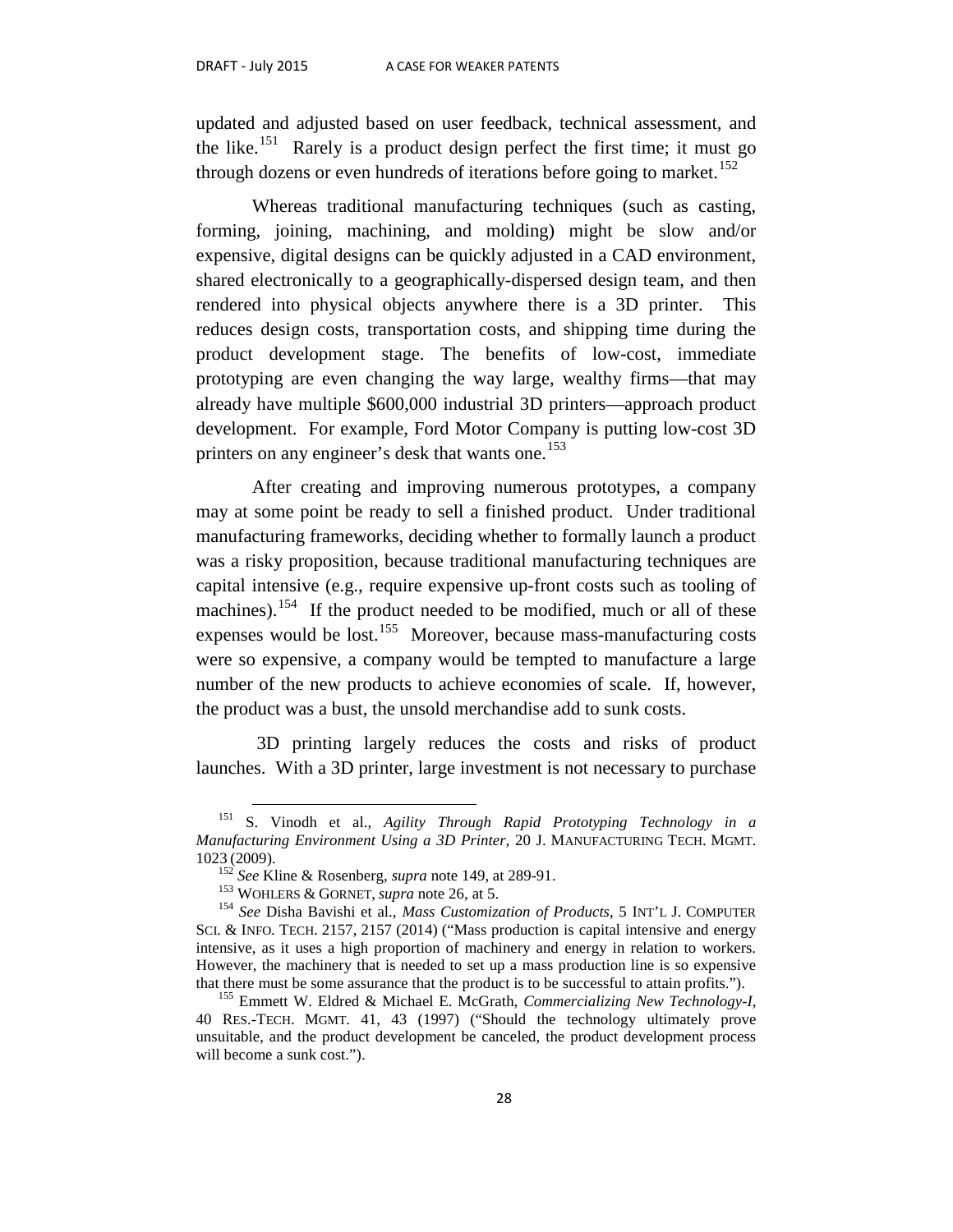updated and adjusted based on user feedback, technical assessment, and the like.<sup>[151](#page-29-0)</sup> Rarely is a product design perfect the first time; it must go through dozens or even hundreds of iterations before going to market.<sup>[152](#page-29-1)</sup>

Whereas traditional manufacturing techniques (such as casting, forming, joining, machining, and molding) might be slow and/or expensive, digital designs can be quickly adjusted in a CAD environment, shared electronically to a geographically-dispersed design team, and then rendered into physical objects anywhere there is a 3D printer. This reduces design costs, transportation costs, and shipping time during the product development stage. The benefits of low-cost, immediate prototyping are even changing the way large, wealthy firms—that may already have multiple \$600,000 industrial 3D printers—approach product development. For example, Ford Motor Company is putting low-cost 3D printers on any engineer's desk that wants one.<sup>[153](#page-29-2)</sup>

After creating and improving numerous prototypes, a company may at some point be ready to sell a finished product. Under traditional manufacturing frameworks, deciding whether to formally launch a product was a risky proposition, because traditional manufacturing techniques are capital intensive (e.g., require expensive up-front costs such as tooling of machines).<sup>[154](#page-29-3)</sup> If the product needed to be modified, much or all of these expenses would be lost.<sup>155</sup> Moreover, because mass-manufacturing costs were so expensive, a company would be tempted to manufacture a large number of the new products to achieve economies of scale. If, however, the product was a bust, the unsold merchandise add to sunk costs.

3D printing largely reduces the costs and risks of product launches. With a 3D printer, large investment is not necessary to purchase

<span id="page-29-0"></span> <sup>151</sup> S. Vinodh et al., *Agility Through Rapid Prototyping Technology in a Manufacturing Environment Using a 3D Printer*, 20 J. MANUFACTURING TECH. MGMT. 1023 (2009).<br><sup>152</sup> *See* Kline & Rosenberg, *supra* note 149, at 289-91.<br><sup>153</sup> WOHLERS & GORNET, *supra* note 26, at 5.<br><sup>154</sup> *See* Disha Bavishi et al., *Mass Customization of Products*, 5 INT'L J. COMPUTER

<span id="page-29-3"></span><span id="page-29-2"></span><span id="page-29-1"></span>SCI. & INFO. TECH. 2157, 2157 (2014) ("Mass production is capital intensive and energy intensive, as it uses a high proportion of machinery and energy in relation to workers. However, the machinery that is needed to set up a mass production line is so expensive that there must be some assurance that the product is to be successful to attain profits.").

<span id="page-29-4"></span><sup>&</sup>lt;sup>155</sup> Emmett W. Eldred & Michael E. McGrath, *Commercializing New Technology-I*, 40 RES.-TECH. MGMT. 41, 43 (1997) ("Should the technology ultimately prove unsuitable, and the product development be canceled, the product development process will become a sunk cost.").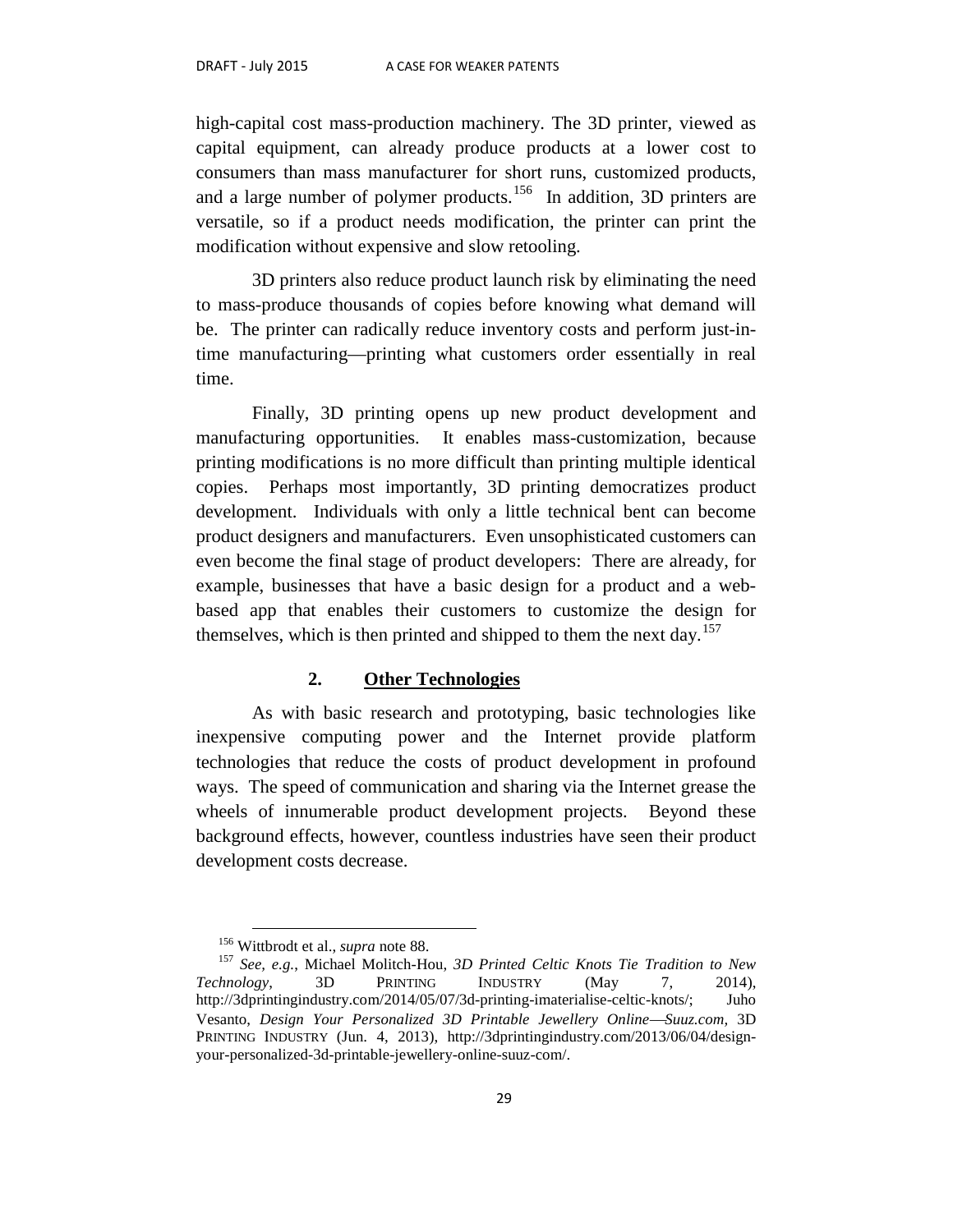high-capital cost mass-production machinery. The 3D printer, viewed as capital equipment, can already produce products at a lower cost to consumers than mass manufacturer for short runs, customized products, and a large number of polymer products.<sup>[156](#page-30-0)</sup> In addition, 3D printers are versatile, so if a product needs modification, the printer can print the modification without expensive and slow retooling.

3D printers also reduce product launch risk by eliminating the need to mass-produce thousands of copies before knowing what demand will be. The printer can radically reduce inventory costs and perform just-intime manufacturing—printing what customers order essentially in real time.

Finally, 3D printing opens up new product development and manufacturing opportunities. It enables mass-customization, because printing modifications is no more difficult than printing multiple identical copies. Perhaps most importantly, 3D printing democratizes product development. Individuals with only a little technical bent can become product designers and manufacturers. Even unsophisticated customers can even become the final stage of product developers: There are already, for example, businesses that have a basic design for a product and a webbased app that enables their customers to customize the design for themselves, which is then printed and shipped to them the next day.<sup>[157](#page-30-1)</sup>

#### **2. Other Technologies**

As with basic research and prototyping, basic technologies like inexpensive computing power and the Internet provide platform technologies that reduce the costs of product development in profound ways. The speed of communication and sharing via the Internet grease the wheels of innumerable product development projects. Beyond these background effects, however, countless industries have seen their product development costs decrease.

<span id="page-30-1"></span><span id="page-30-0"></span><sup>&</sup>lt;sup>156</sup> Wittbrodt et al., *supra* note 88.<br><sup>157</sup> *See, e.g.*, Michael Molitch-Hou, *3D Printed Celtic Knots Tie Tradition to New Technology*, 3D PRINTING INDUSTRY (May 7, 2014), http://3dprintingindustry.com/2014/05/07/3d-printing-imaterialise-celtic-knots/; Juho Vesanto, *Design Your Personalized 3D Printable Jewellery OnlineSuuz.com,* 3D PRINTING INDUSTRY (Jun. 4, 2013), http://3dprintingindustry.com/2013/06/04/designyour-personalized-3d-printable-jewellery-online-suuz-com/.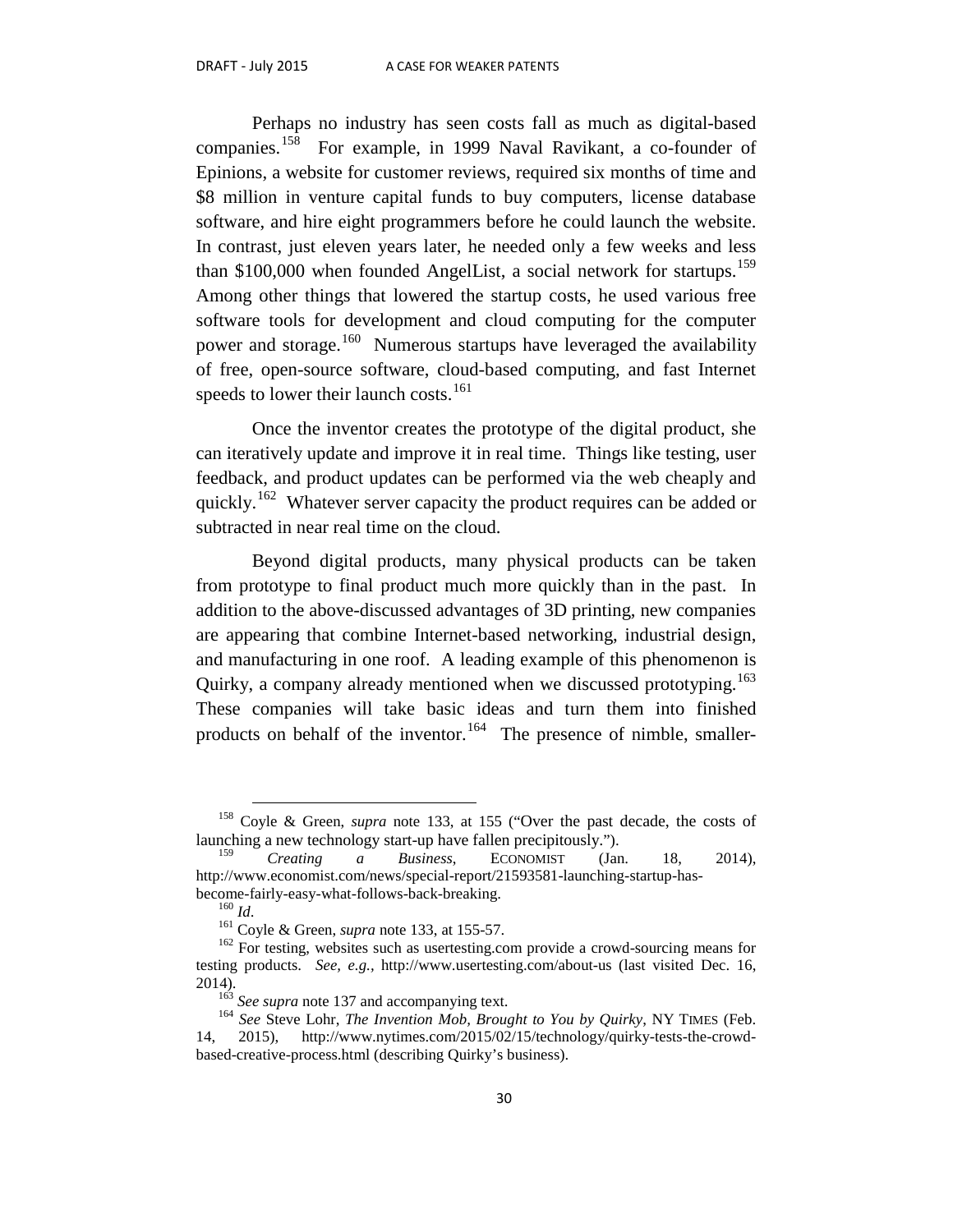Perhaps no industry has seen costs fall as much as digital-based companies.<sup>[158](#page-31-0)</sup> For example, in 1999 Naval Ravikant, a co-founder of Epinions, a website for customer reviews, required six months of time and \$8 million in venture capital funds to buy computers, license database software, and hire eight programmers before he could launch the website. In contrast, just eleven years later, he needed only a few weeks and less than \$100,000 when founded AngelList, a social network for startups.<sup>[159](#page-31-1)</sup> Among other things that lowered the startup costs, he used various free software tools for development and cloud computing for the computer power and storage.<sup>160</sup> Numerous startups have leveraged the availability of free, open-source software, cloud-based computing, and fast Internet speeds to lower their launch costs.<sup>[161](#page-31-3)</sup>

Once the inventor creates the prototype of the digital product, she can iteratively update and improve it in real time. Things like testing, user feedback, and product updates can be performed via the web cheaply and quickly.<sup>162</sup> Whatever server capacity the product requires can be added or subtracted in near real time on the cloud.

Beyond digital products, many physical products can be taken from prototype to final product much more quickly than in the past. In addition to the above-discussed advantages of 3D printing, new companies are appearing that combine Internet-based networking, industrial design, and manufacturing in one roof. A leading example of this phenomenon is Quirky, a company already mentioned when we discussed prototyping.<sup>[163](#page-31-5)</sup> These companies will take basic ideas and turn them into finished products on behalf of the inventor.<sup>164</sup> The presence of nimble, smaller-

<span id="page-31-0"></span> <sup>158</sup> Coyle & Green, *supra* note 133, at 155 ("Over the past decade, the costs of launching a new technology start-up have fallen precipitously.").

<span id="page-31-1"></span><sup>159</sup> *Creating a Business*, ECONOMIST (Jan. 18, 2014), http://www.economist.com/news/special-report/21593581-launching-startup-has-

<span id="page-31-4"></span><span id="page-31-3"></span><span id="page-31-2"></span>become-fairly-easy-what-follows-back-breaking.<br><sup>160</sup> *Id*. <sup>161</sup> Coyle & Green, *supra* note 133, at 155-57.<br><sup>162</sup> For testing, websites such as usertesting.com provide a crowd-sourcing means for testing products. *See, e.g.,* http://www.usertesting.com/about-us (last visited Dec. 16,

<span id="page-31-6"></span><span id="page-31-5"></span><sup>&</sup>lt;sup>163</sup> *See supra* note 137 and accompanying text.<br><sup>164</sup> *See* Steve Lohr, *The Invention Mob, Brought to You by Quirky*, NY TIMES (Feb. 14, 2015), http://www.nytimes.com/2015/02/15/technology/quirky-tests-the-crowdbased-creative-process.html (describing Quirky's business).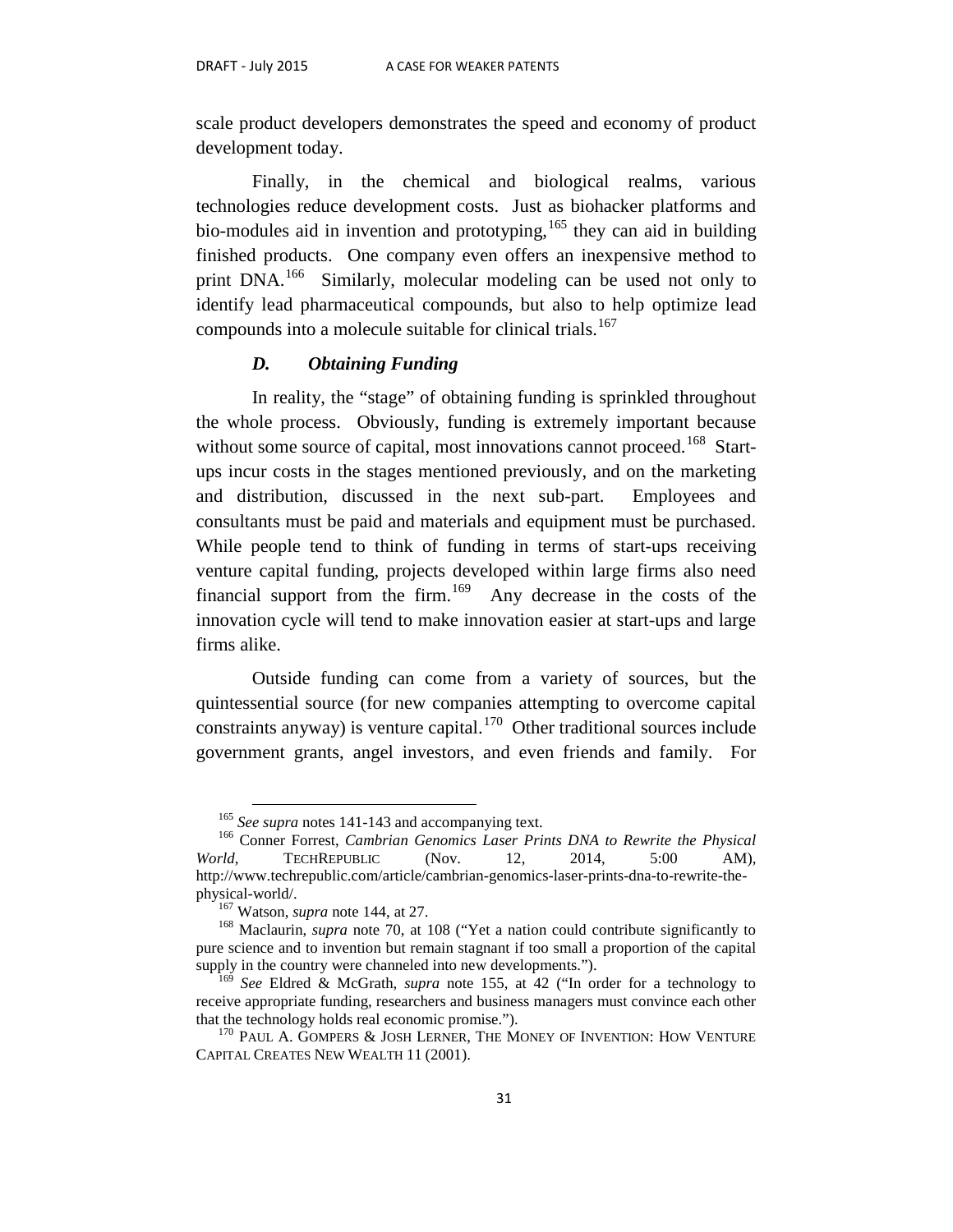scale product developers demonstrates the speed and economy of product development today.

Finally, in the chemical and biological realms, various technologies reduce development costs. Just as biohacker platforms and bio-modules aid in invention and prototyping, <sup>[165](#page-32-0)</sup> they can aid in building finished products. One company even offers an inexpensive method to print DNA.<sup>166</sup> Similarly, molecular modeling can be used not only to identify lead pharmaceutical compounds, but also to help optimize lead compounds into a molecule suitable for clinical trials.<sup>[167](#page-32-2)</sup>

#### *D. Obtaining Funding*

In reality, the "stage" of obtaining funding is sprinkled throughout the whole process. Obviously, funding is extremely important because without some source of capital, most innovations cannot proceed.<sup>168</sup> Startups incur costs in the stages mentioned previously, and on the marketing and distribution, discussed in the next sub-part. Employees and consultants must be paid and materials and equipment must be purchased. While people tend to think of funding in terms of start-ups receiving venture capital funding, projects developed within large firms also need financial support from the firm.<sup>169</sup> Any decrease in the costs of the innovation cycle will tend to make innovation easier at start-ups and large firms alike.

Outside funding can come from a variety of sources, but the quintessential source (for new companies attempting to overcome capital constraints anyway) is venture capital.<sup>[170](#page-32-5)</sup> Other traditional sources include government grants, angel investors, and even friends and family. For

<span id="page-32-1"></span><span id="page-32-0"></span><sup>&</sup>lt;sup>165</sup> *See supra* notes 141-143 and accompanying text.<br><sup>166</sup> Conner Forrest, *Cambrian Genomics Laser Prints DNA to Rewrite the Physical World*, TECHREPUBLIC (Nov. 12, 2014, 5:00 AM), http://www.techrepublic.com/article/cambrian-genomics-laser-prints-dna-to-rewrite-the-

<span id="page-32-3"></span><span id="page-32-2"></span><sup>&</sup>lt;sup>167</sup> Watson, *supra* note 144, at 27.<br><sup>168</sup> Maclaurin, *supra* note 70, at 108 ("Yet a nation could contribute significantly to pure science and to invention but remain stagnant if too small a proportion of the capital supply in the country were channeled into new developments.").

<span id="page-32-4"></span><sup>169</sup> *See* Eldred & McGrath, *supra* note 155, at 42 ("In order for a technology to receive appropriate funding, researchers and business managers must convince each other that the technology holds real economic promise.").<br><sup>170</sup> PAUL A. GOMPERS & JOSH LERNER, THE MONEY OF INVENTION: HOW VENTURE

<span id="page-32-5"></span>CAPITAL CREATES NEW WEALTH 11 (2001).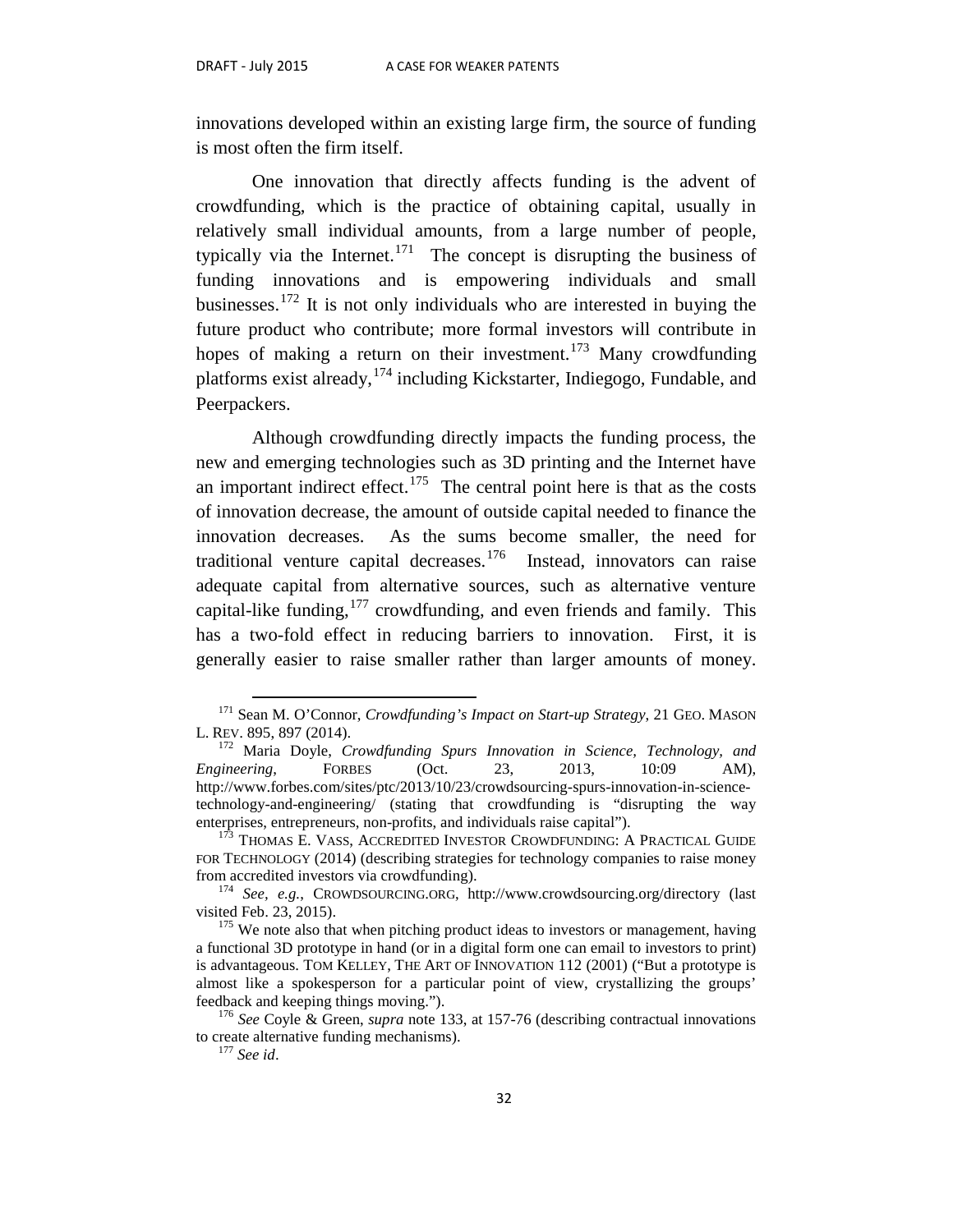innovations developed within an existing large firm, the source of funding is most often the firm itself.

One innovation that directly affects funding is the advent of crowdfunding, which is the practice of obtaining capital, usually in relatively small individual amounts, from a large number of people, typically via the Internet.<sup>[171](#page-33-0)</sup> The concept is disrupting the business of funding innovations and is empowering individuals and small businesses.<sup>[172](#page-33-1)</sup> It is not only individuals who are interested in buying the future product who contribute; more formal investors will contribute in hopes of making a return on their investment.<sup>[173](#page-33-2)</sup> Many crowdfunding platforms exist already,[174](#page-33-3) including Kickstarter, Indiegogo*,* Fundable, and Peerpackers.

Although crowdfunding directly impacts the funding process, the new and emerging technologies such as 3D printing and the Internet have an important indirect effect.<sup>175</sup> The central point here is that as the costs of innovation decrease, the amount of outside capital needed to finance the innovation decreases. As the sums become smaller, the need for traditional venture capital decreases.<sup>[176](#page-33-5)</sup> Instead, innovators can raise adequate capital from alternative sources, such as alternative venture capital-like funding,  $177$  crowdfunding, and even friends and family. This has a two-fold effect in reducing barriers to innovation. First, it is generally easier to raise smaller rather than larger amounts of money.

<span id="page-33-0"></span><sup>&</sup>lt;sup>171</sup> Sean M. O'Connor, *Crowdfunding's Impact on Start-up Strategy*, 21 GEO. MASON L. REV. 895, 897 (2014).

<span id="page-33-1"></span><sup>&</sup>lt;sup>172</sup> Maria Doyle, *Crowdfunding Spurs Innovation in Science*, *Technology*, and <br>
gineering, FORBES (Oct. 23, 2013, 10:09 AM), *Engineering*, FORBES (Oct. 23, 2013, 10:09 AM), http://www.forbes.com/sites/ptc/2013/10/23/crowdsourcing-spurs-innovation-in-sciencetechnology-and-engineering/ (stating that crowdfunding is "disrupting the way enterprises, entrepreneurs, non-profits, and individuals raise capital").

<span id="page-33-2"></span><sup>&</sup>lt;sup>173</sup> THOMAS E. VASS, ACCREDITED INVESTOR CROWDFUNDING: A PRACTICAL GUIDE FOR TECHNOLOGY (2014) (describing strategies for technology companies to raise money from accredited investors via crowdfunding).

<span id="page-33-3"></span><sup>&</sup>lt;sup>174</sup> See, e.g., CROWDSOURCING.ORG, http://www.crowdsourcing.org/directory (last

<span id="page-33-4"></span>visited Feb. 23, 2015). <sup>175</sup> We note also that when pitching product ideas to investors or management, having a functional 3D prototype in hand (or in a digital form one can email to investors to print) is advantageous. TOM KELLEY, THE ART OF INNOVATION 112 (2001) ("But a prototype is almost like a spokesperson for a particular point of view, crystallizing the groups' feedback and keeping things moving."). <sup>176</sup> *See* Coyle & Green, *supra* note 133, at 157-76 (describing contractual innovations

<span id="page-33-6"></span><span id="page-33-5"></span>to create alternative funding mechanisms). <sup>177</sup> *See id*.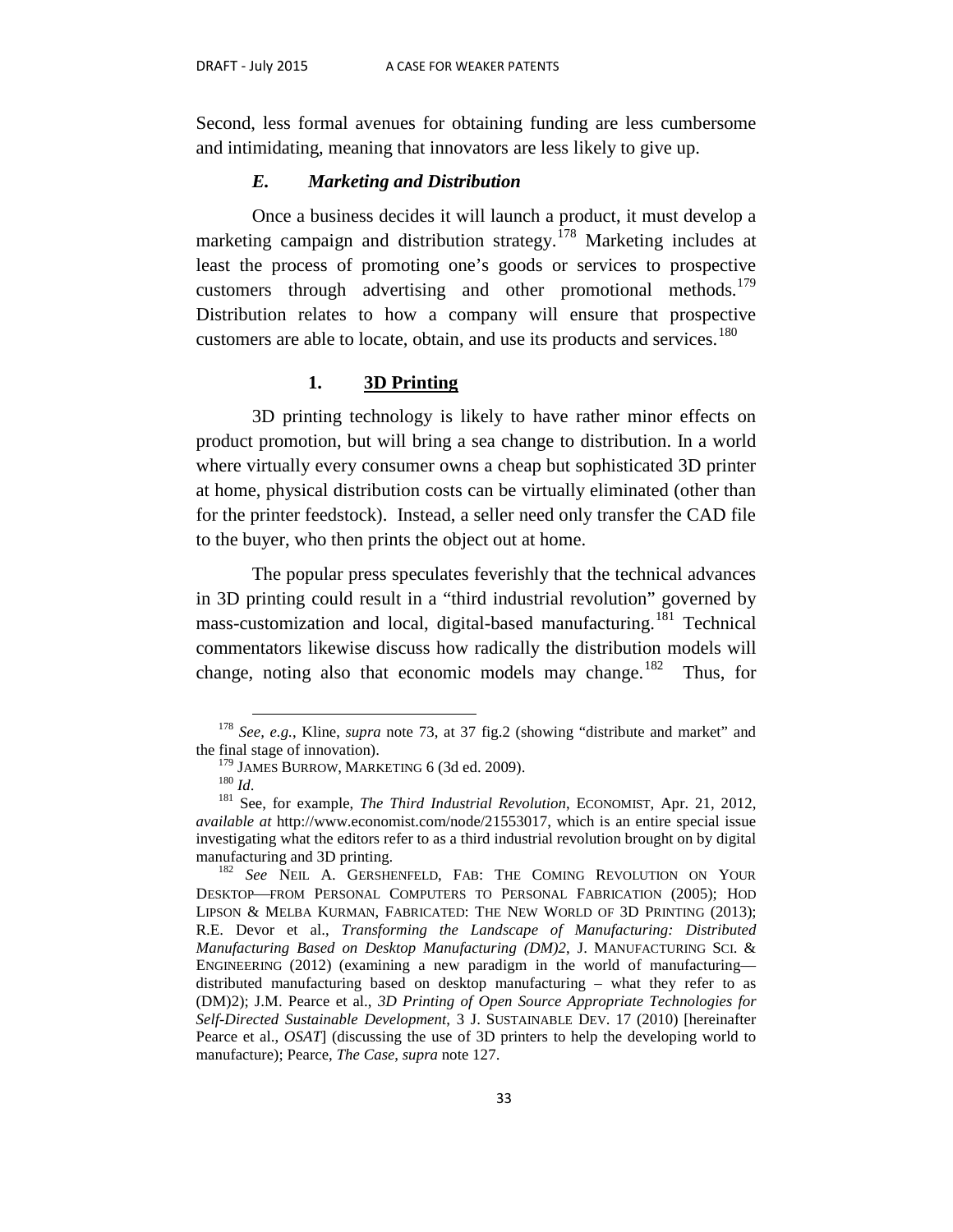Second, less formal avenues for obtaining funding are less cumbersome and intimidating, meaning that innovators are less likely to give up.

#### *E. Marketing and Distribution*

Once a business decides it will launch a product, it must develop a marketing campaign and distribution strategy.<sup>[178](#page-34-0)</sup> Marketing includes at least the process of promoting one's goods or services to prospective customers through advertising and other promotional methods.<sup>[179](#page-34-1)</sup> Distribution relates to how a company will ensure that prospective customers are able to locate, obtain, and use its products and services.<sup>[180](#page-34-2)</sup>

#### **1. 3D Printing**

3D printing technology is likely to have rather minor effects on product promotion, but will bring a sea change to distribution. In a world where virtually every consumer owns a cheap but sophisticated 3D printer at home, physical distribution costs can be virtually eliminated (other than for the printer feedstock). Instead, a seller need only transfer the CAD file to the buyer, who then prints the object out at home.

The popular press speculates feverishly that the technical advances in 3D printing could result in a "third industrial revolution" governed by mass-customization and local, digital-based manufacturing.<sup>[181](#page-34-3)</sup> Technical commentators likewise discuss how radically the distribution models will change, noting also that economic models may change.<sup>[182](#page-34-4)</sup> Thus, for

<span id="page-34-0"></span> <sup>178</sup> *See, e.g.*, Kline, *supra* note 73, at 37 fig.2 (showing "distribute and market" and the final stage of innovation).<br><sup>179</sup> JAMES BURROW, MARKETING 6 (3d ed. 2009).

<span id="page-34-3"></span><span id="page-34-2"></span><span id="page-34-1"></span><sup>180</sup> *Id.*<br><sup>180</sup> *Id.* 2012, <sup>181</sup> See, for example, *The Third Industrial Revolution*, ECONOMIST, Apr. 21, 2012, *available at* http://www.economist.com/node/21553017, which is an entire special issue investigating what the editors refer to as a third industrial revolution brought on by digital manufacturing and 3D printing.<br><sup>182</sup> *See* NEIL A. GERSHENFELD, FAB: THE COMING REVOLUTION ON YOUR

<span id="page-34-4"></span>DESKTOP-FROM PERSONAL COMPUTERS TO PERSONAL FABRICATION (2005); HOD LIPSON & MELBA KURMAN, FABRICATED: THE NEW WORLD OF 3D PRINTING (2013); R.E. Devor et al., *Transforming the Landscape of Manufacturing: Distributed Manufacturing Based on Desktop Manufacturing (DM)2*, J. MANUFACTURING SCI. & ENGINEERING (2012) (examining a new paradigm in the world of manufacturing distributed manufacturing based on desktop manufacturing – what they refer to as (DM)2); J.M. Pearce et al., *3D Printing of Open Source Appropriate Technologies for Self-Directed Sustainable Development*, 3 J. SUSTAINABLE DEV. 17 (2010) [hereinafter Pearce et al., *OSAT*] (discussing the use of 3D printers to help the developing world to manufacture); Pearce, *The Case*, *supra* note 127.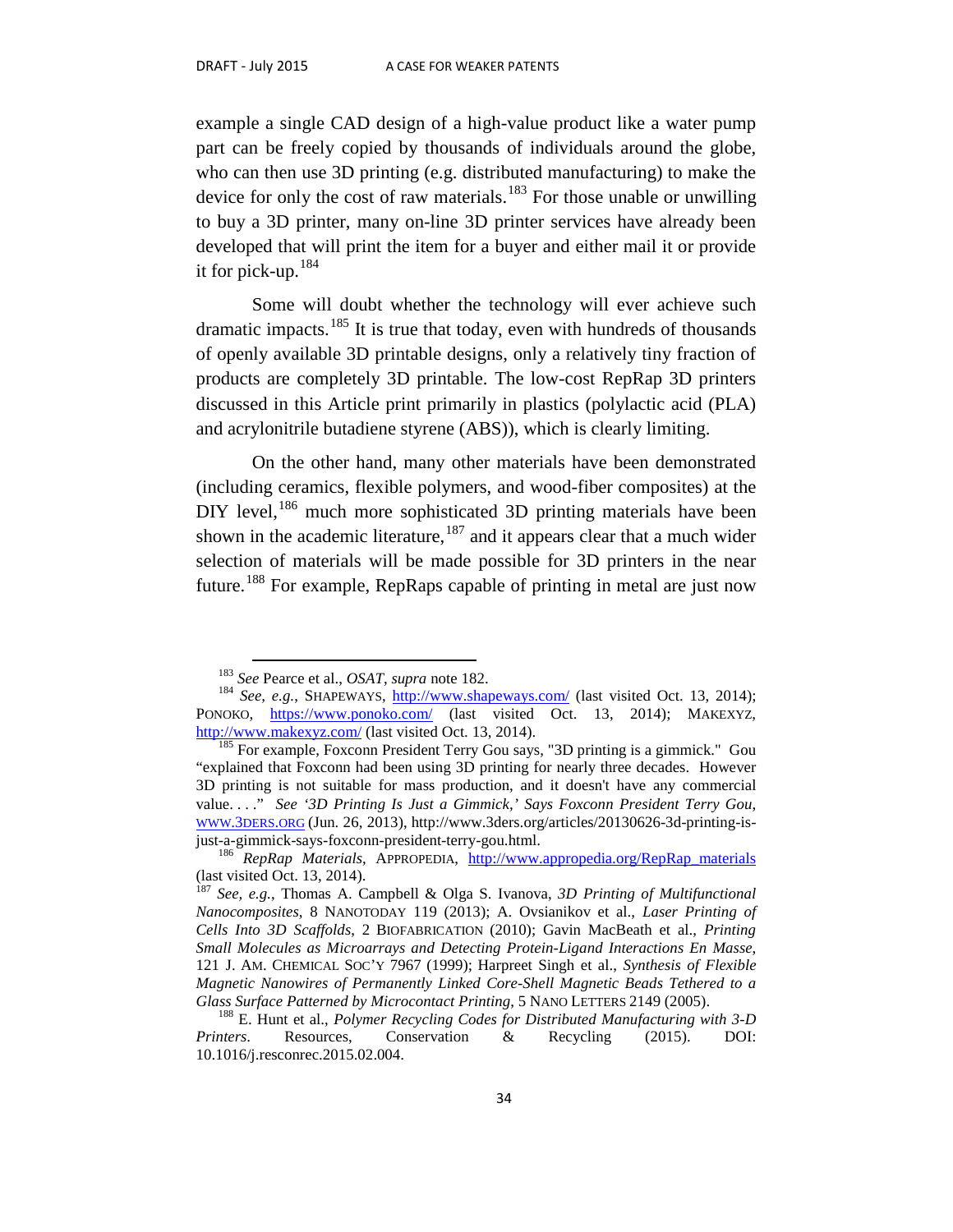example a single CAD design of a high-value product like a water pump part can be freely copied by thousands of individuals around the globe, who can then use 3D printing (e.g. distributed manufacturing) to make the device for only the cost of raw materials.<sup>[183](#page-35-0)</sup> For those unable or unwilling to buy a 3D printer, many on-line 3D printer services have already been developed that will print the item for a buyer and either mail it or provide it for pick-up. [184](#page-35-1)

Some will doubt whether the technology will ever achieve such dramatic impacts.<sup>[185](#page-35-2)</sup> It is true that today, even with hundreds of thousands of openly available 3D printable designs, only a relatively tiny fraction of products are completely 3D printable. The low-cost RepRap 3D printers discussed in this Article print primarily in plastics (polylactic acid (PLA) and acrylonitrile butadiene styrene (ABS)), which is clearly limiting.

On the other hand, many other materials have been demonstrated (including ceramics, flexible polymers, and wood-fiber composites) at the  $D IY$  level,  $186$  much more sophisticated 3D printing materials have been shown in the academic literature,  $187$  and it appears clear that a much wider selection of materials will be made possible for 3D printers in the near future.<sup>[188](#page-35-5)</sup> For example, RepRaps capable of printing in metal are just now

<span id="page-35-1"></span><span id="page-35-0"></span><sup>&</sup>lt;sup>183</sup> *See* Pearce et al., *OSAT*, *supra* note 182.<br><sup>184</sup> *See, e.g.*, SHAPEWAYS,<http://www.shapeways.com/> (last visited Oct. 13, 2014); PONOKO, <https://www.ponoko.com/> (last visited Oct. 13, 2014); MAKEXYZ, <http://www.makexyz.com/> (last visited Oct. 13, 2014).<br><sup>185</sup> For example, Foxconn President Terry Gou says, "3D printing is a gimmick." Gou

<span id="page-35-2"></span><sup>&</sup>quot;explained that Foxconn had been using 3D printing for nearly three decades. However 3D printing is not suitable for mass production, and it doesn't have any commercial value. . . ." *See '3D Printing Is Just a Gimmick,' Says Foxconn President Terry Gou*, [WWW.3DERS.ORG](http://www.3ders.org/) (Jun. 26, 2013), http://www.3ders.org/articles/20130626-3d-printing-isjust-a-gimmick-says-foxconn-president-terry-gou.html. <sup>186</sup> *RepRap Materials*, APPROPEDIA, [http://www.appropedia.org/RepRap\\_materials](http://www.appropedia.org/RepRap_materials)

<span id="page-35-3"></span><sup>(</sup>last visited Oct. 13, 2014).

<span id="page-35-4"></span><sup>187</sup> *See, e.g.*, Thomas A. Campbell & Olga S. Ivanova, *3D Printing of Multifunctional Nanocomposites*, 8 NANOTODAY 119 (2013); A. Ovsianikov et al., *Laser Printing of Cells Into 3D Scaffolds*, 2 BIOFABRICATION (2010); Gavin MacBeath et al., *Printing Small Molecules as Microarrays and Detecting Protein-Ligand Interactions En Masse*, 121 J. AM. CHEMICAL SOC'Y 7967 (1999); Harpreet Singh et al., *Synthesis of Flexible Magnetic Nanowires of Permanently Linked Core-Shell Magnetic Beads Tethered to a* 

<span id="page-35-5"></span>*Glass Surface Patterned by Microcontact Printing*, 5 NANO LETTERS 2149 (2005).<br><sup>188</sup> E. Hunt et al., *Polymer Recycling Codes for Distributed Manufacturing with 3-D <br><i>Printers.* Resources. Conservation & Recycling (2015). *Printers*. Resources, Conservation & Recycling (2015). DOI: 10.1016/j.resconrec.2015.02.004.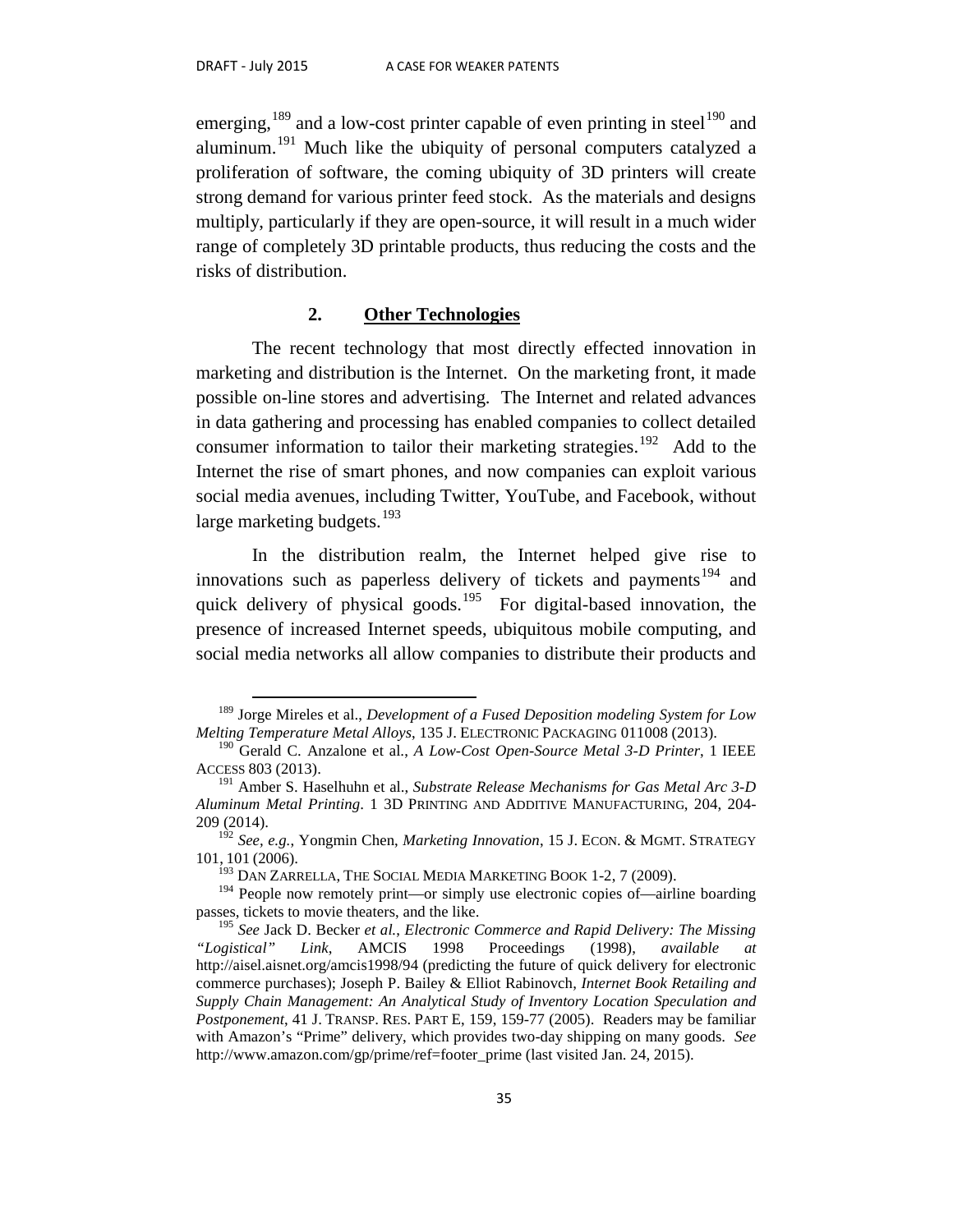emerging, <sup>[189](#page-36-0)</sup> and a low-cost printer capable of even printing in steel<sup>[190](#page-36-1)</sup> and aluminum.[191](#page-36-2) Much like the ubiquity of personal computers catalyzed a proliferation of software, the coming ubiquity of 3D printers will create strong demand for various printer feed stock. As the materials and designs multiply, particularly if they are open-source, it will result in a much wider range of completely 3D printable products, thus reducing the costs and the risks of distribution.

#### **2. Other Technologies**

The recent technology that most directly effected innovation in marketing and distribution is the Internet. On the marketing front, it made possible on-line stores and advertising. The Internet and related advances in data gathering and processing has enabled companies to collect detailed consumer information to tailor their marketing strategies.<sup>[192](#page-36-3)</sup> Add to the Internet the rise of smart phones, and now companies can exploit various social media avenues, including Twitter, YouTube, and Facebook, without large marketing budgets. $193$ 

In the distribution realm, the Internet helped give rise to innovations such as paperless delivery of tickets and payments<sup>[194](#page-36-5)</sup> and quick delivery of physical goods.<sup>[195](#page-36-6)</sup> For digital-based innovation, the presence of increased Internet speeds, ubiquitous mobile computing, and social media networks all allow companies to distribute their products and

<span id="page-36-0"></span> <sup>189</sup> Jorge Mireles et al., *Development of a Fused Deposition modeling System for Low Melting Temperature Metal Alloys*, 135 J. ELECTRONIC PACKAGING 011008 (2013).

<span id="page-36-1"></span><sup>190</sup> Gerald C. Anzalone et al., *A Low-Cost Open-Source Metal 3-D Printer*, 1 IEEE ACCESS 803 (2013).

<span id="page-36-2"></span><sup>191</sup> Amber S. Haselhuhn et al., *Substrate Release Mechanisms for Gas Metal Arc 3-D Aluminum Metal Printing*. 1 3D PRINTING AND ADDITIVE MANUFACTURING, 204, 204- 209 (2014).

<span id="page-36-3"></span><sup>192</sup> *See, e.g.*, Yongmin Chen, *Marketing Innovation*, 15 J. ECON. & MGMT. STRATEGY 101, 101 (2006).<br><sup>193</sup> Dan Zarrella, The Social Media Marketing Book 1-2, 7 (2009).

<span id="page-36-5"></span><span id="page-36-4"></span><sup>&</sup>lt;sup>194</sup> People now remotely print—or simply use electronic copies of—airline boarding passes, tickets to movie theaters, and the like.

<span id="page-36-6"></span><sup>195</sup> *See* Jack D. Becker *et al.*, *Electronic Commerce and Rapid Delivery: The Missing "Logistical" Link*, AMCIS 1998 Proceedings (1998), *available at* http://aisel.aisnet.org/amcis1998/94 (predicting the future of quick delivery for electronic commerce purchases); Joseph P. Bailey & Elliot Rabinovch, *Internet Book Retailing and Supply Chain Management: An Analytical Study of Inventory Location Speculation and Postponement*, 41 J. TRANSP. RES. PART E, 159, 159-77 (2005). Readers may be familiar with Amazon's "Prime" delivery, which provides two-day shipping on many goods. *See* http://www.amazon.com/gp/prime/ref=footer\_prime (last visited Jan. 24, 2015).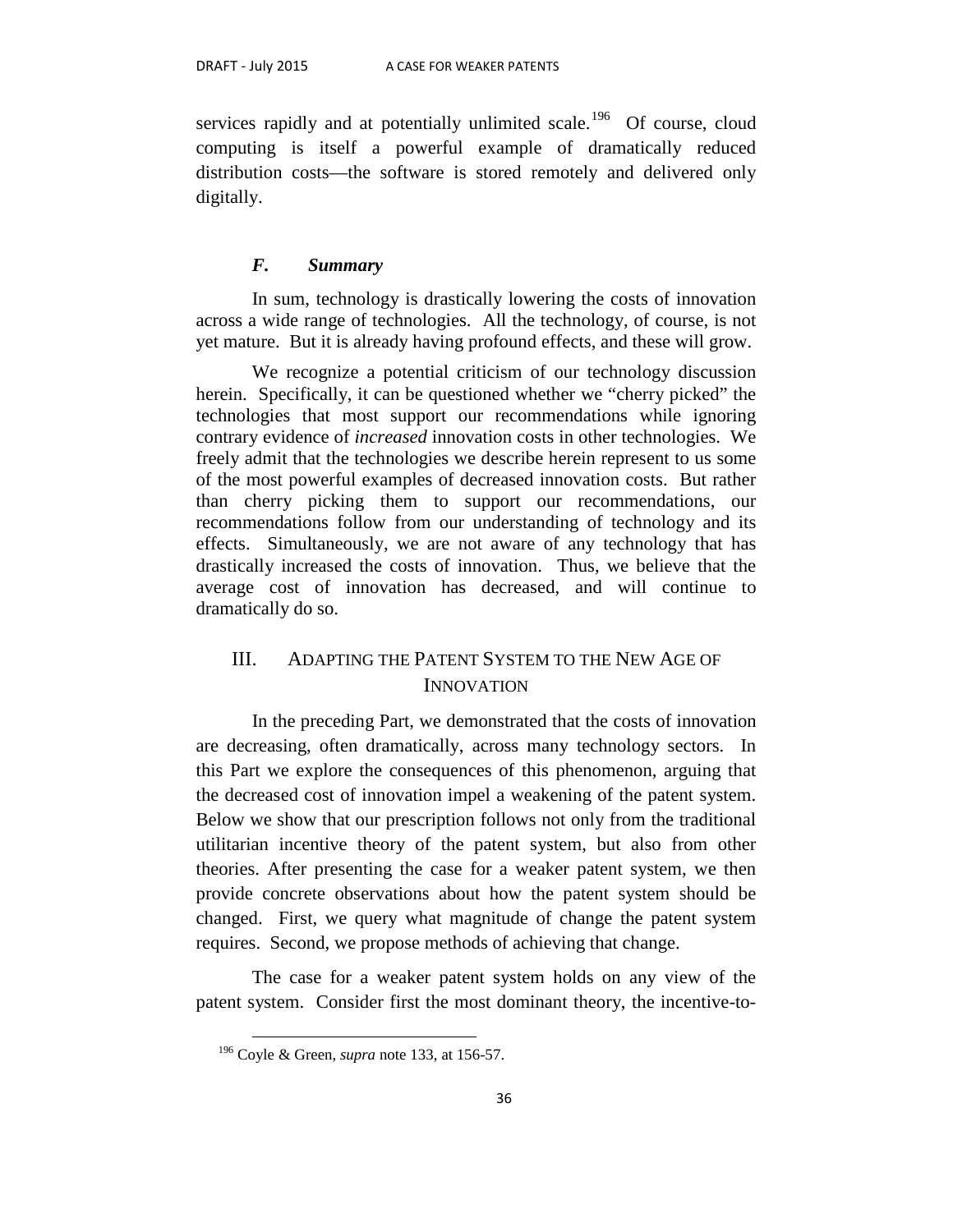services rapidly and at potentially unlimited scale.<sup>[196](#page-37-0)</sup> Of course, cloud computing is itself a powerful example of dramatically reduced distribution costs—the software is stored remotely and delivered only digitally.

#### *F. Summary*

In sum, technology is drastically lowering the costs of innovation across a wide range of technologies. All the technology, of course, is not yet mature. But it is already having profound effects, and these will grow.

We recognize a potential criticism of our technology discussion herein. Specifically, it can be questioned whether we "cherry picked" the technologies that most support our recommendations while ignoring contrary evidence of *increased* innovation costs in other technologies. We freely admit that the technologies we describe herein represent to us some of the most powerful examples of decreased innovation costs. But rather than cherry picking them to support our recommendations, our recommendations follow from our understanding of technology and its effects. Simultaneously, we are not aware of any technology that has drastically increased the costs of innovation. Thus, we believe that the average cost of innovation has decreased, and will continue to dramatically do so.

## III. ADAPTING THE PATENT SYSTEM TO THE NEW AGE OF INNOVATION

In the preceding Part, we demonstrated that the costs of innovation are decreasing, often dramatically, across many technology sectors. In this Part we explore the consequences of this phenomenon, arguing that the decreased cost of innovation impel a weakening of the patent system. Below we show that our prescription follows not only from the traditional utilitarian incentive theory of the patent system, but also from other theories. After presenting the case for a weaker patent system, we then provide concrete observations about how the patent system should be changed. First, we query what magnitude of change the patent system requires. Second, we propose methods of achieving that change.

<span id="page-37-0"></span>The case for a weaker patent system holds on any view of the patent system. Consider first the most dominant theory, the incentive-to-

 <sup>196</sup> Coyle & Green, *supra* note 133, at 156-57.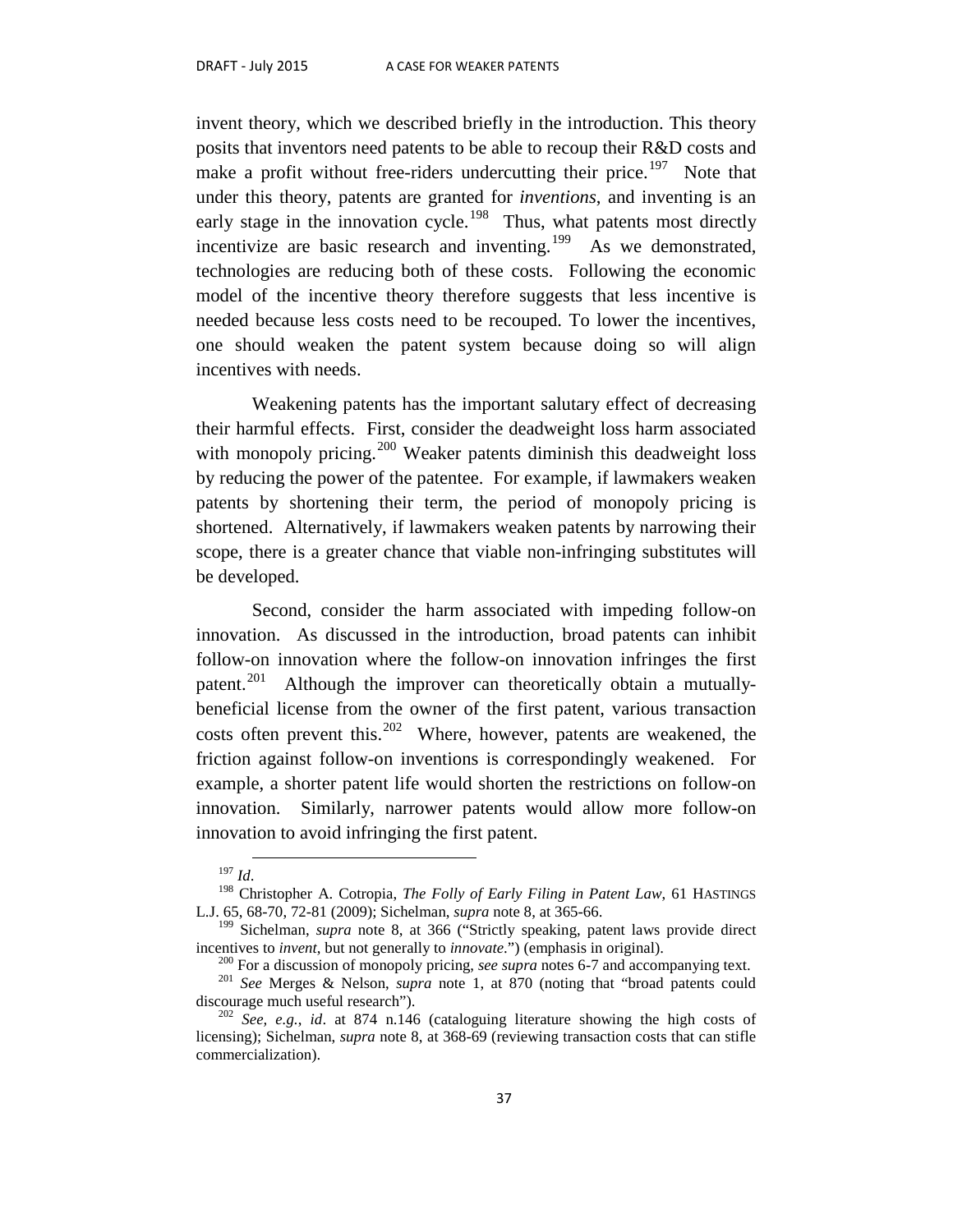invent theory, which we described briefly in the introduction. This theory posits that inventors need patents to be able to recoup their R&D costs and make a profit without free-riders undercutting their price.<sup>[197](#page-38-0)</sup> Note that under this theory, patents are granted for *inventions*, and inventing is an early stage in the innovation cycle.<sup>[198](#page-38-1)</sup> Thus, what patents most directly incentivize are basic research and inventing.<sup>199</sup> As we demonstrated, technologies are reducing both of these costs. Following the economic model of the incentive theory therefore suggests that less incentive is needed because less costs need to be recouped. To lower the incentives, one should weaken the patent system because doing so will align incentives with needs.

Weakening patents has the important salutary effect of decreasing their harmful effects. First, consider the deadweight loss harm associated with monopoly pricing.<sup>[200](#page-38-3)</sup> Weaker patents diminish this deadweight loss by reducing the power of the patentee. For example, if lawmakers weaken patents by shortening their term, the period of monopoly pricing is shortened. Alternatively, if lawmakers weaken patents by narrowing their scope, there is a greater chance that viable non-infringing substitutes will be developed.

Second, consider the harm associated with impeding follow-on innovation. As discussed in the introduction, broad patents can inhibit follow-on innovation where the follow-on innovation infringes the first patent.<sup>[201](#page-38-4)</sup> Although the improver can theoretically obtain a mutuallybeneficial license from the owner of the first patent, various transaction costs often prevent this.<sup>[202](#page-38-5)</sup> Where, however, patents are weakened, the friction against follow-on inventions is correspondingly weakened. For example, a shorter patent life would shorten the restrictions on follow-on innovation. Similarly, narrower patents would allow more follow-on innovation to avoid infringing the first patent.

<span id="page-38-1"></span><span id="page-38-0"></span><sup>&</sup>lt;sup>197</sup> *Id.* 198 *Id.* 198 Christopher A. Cotropia, *The Folly of Early Filing in Patent Law*, 61 HASTINGS L.J. 65, 68-70, 72-81 (2009); Sichelman, *supra* note 8, at 365-66.

<sup>199</sup> Sichelman, *supra* note 8, at 366 ("Strictly speaking, patent laws provide direct

<span id="page-38-3"></span><span id="page-38-2"></span>incentives to *invent*, but not generally to *innovate*.") (emphasis in original).<br><sup>200</sup> For a discussion of monopoly pricing, *see supra* notes 6-7 and accompanying text.<br><sup>201</sup> *See* Merges & Nelson, *supra* note 1, at 8

<span id="page-38-5"></span><span id="page-38-4"></span> $\frac{202}{2}$  *See, e.g., id.* at 874 n.146 (cataloguing literature showing the high costs of licensing); Sichelman, *supra* note 8, at 368-69 (reviewing transaction costs that can stifle commercialization).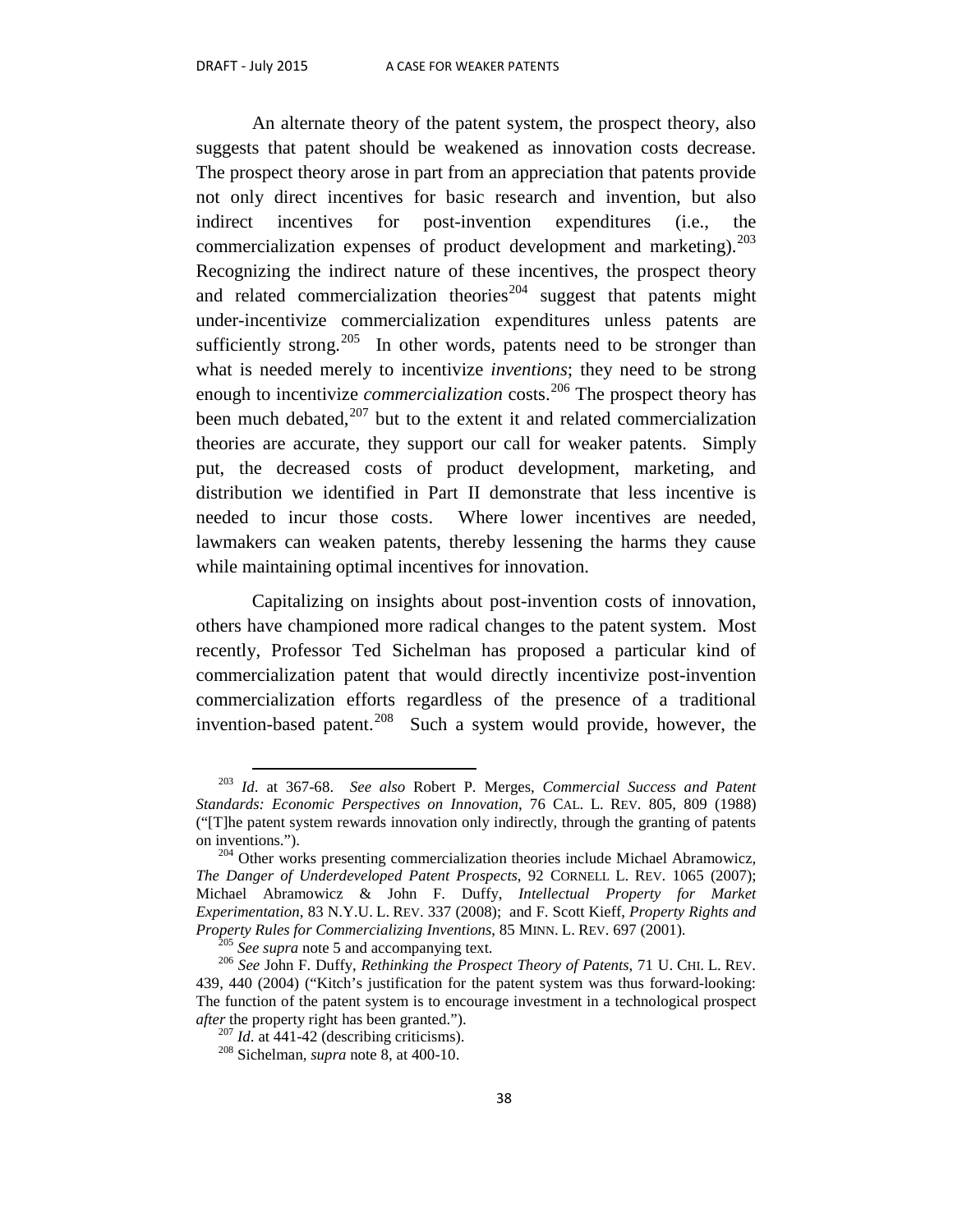An alternate theory of the patent system, the prospect theory, also suggests that patent should be weakened as innovation costs decrease. The prospect theory arose in part from an appreciation that patents provide not only direct incentives for basic research and invention, but also indirect incentives for post-invention expenditures (i.e., the commercialization expenses of product development and marketing). $^{203}$  $^{203}$  $^{203}$ Recognizing the indirect nature of these incentives, the prospect theory and related commercialization theories<sup>[204](#page-39-1)</sup> suggest that patents might under-incentivize commercialization expenditures unless patents are sufficiently strong.<sup>[205](#page-39-2)</sup> In other words, patents need to be stronger than what is needed merely to incentivize *inventions*; they need to be strong enough to incentivize *commercialization* costs.<sup>[206](#page-39-3)</sup> The prospect theory has been much debated, $207$  but to the extent it and related commercialization theories are accurate, they support our call for weaker patents. Simply put, the decreased costs of product development, marketing, and distribution we identified in Part II demonstrate that less incentive is needed to incur those costs. Where lower incentives are needed, lawmakers can weaken patents, thereby lessening the harms they cause while maintaining optimal incentives for innovation.

Capitalizing on insights about post-invention costs of innovation, others have championed more radical changes to the patent system. Most recently, Professor Ted Sichelman has proposed a particular kind of commercialization patent that would directly incentivize post-invention commercialization efforts regardless of the presence of a traditional invention-based patent.<sup>208</sup> Such a system would provide, however, the

<span id="page-39-0"></span> <sup>203</sup> *Id*. at 367-68. *See also* Robert P. Merges, *Commercial Success and Patent Standards: Economic Perspectives on Innovation*, 76 CAL. L. REV. 805, 809 (1988) ("[T]he patent system rewards innovation only indirectly, through the granting of patents on inventions.").  $^{204}$  Other works presenting commercialization theories include Michael Abramowicz,

<span id="page-39-1"></span>*The Danger of Underdeveloped Patent Prospects*, 92 CORNELL L. REV. 1065 (2007); Michael Abramowicz & John F. Duffy, *Intellectual Property for Market Experimentation*, 83 N.Y.U. L. REV. 337 (2008); and F. Scott Kieff, *Property Rights and* 

<span id="page-39-4"></span><span id="page-39-3"></span><span id="page-39-2"></span><sup>&</sup>lt;sup>205</sup> See supra note 5 and accompanying text.<br><sup>206</sup> See John F. Duffy, *Rethinking the Prospect Theory of Patents*, 71 U. CHI. L. REV. 439, 440 (2004) ("Kitch's justification for the patent system was thus forward-looking: The function of the patent system is to encourage investment in a technological prospect *after* the property right has been granted.").<br><sup>207</sup> *Id*. at 441-42 (describing criticisms).<br><sup>208</sup> Sichelman, *supra* note 8, at 400-10.

<span id="page-39-5"></span>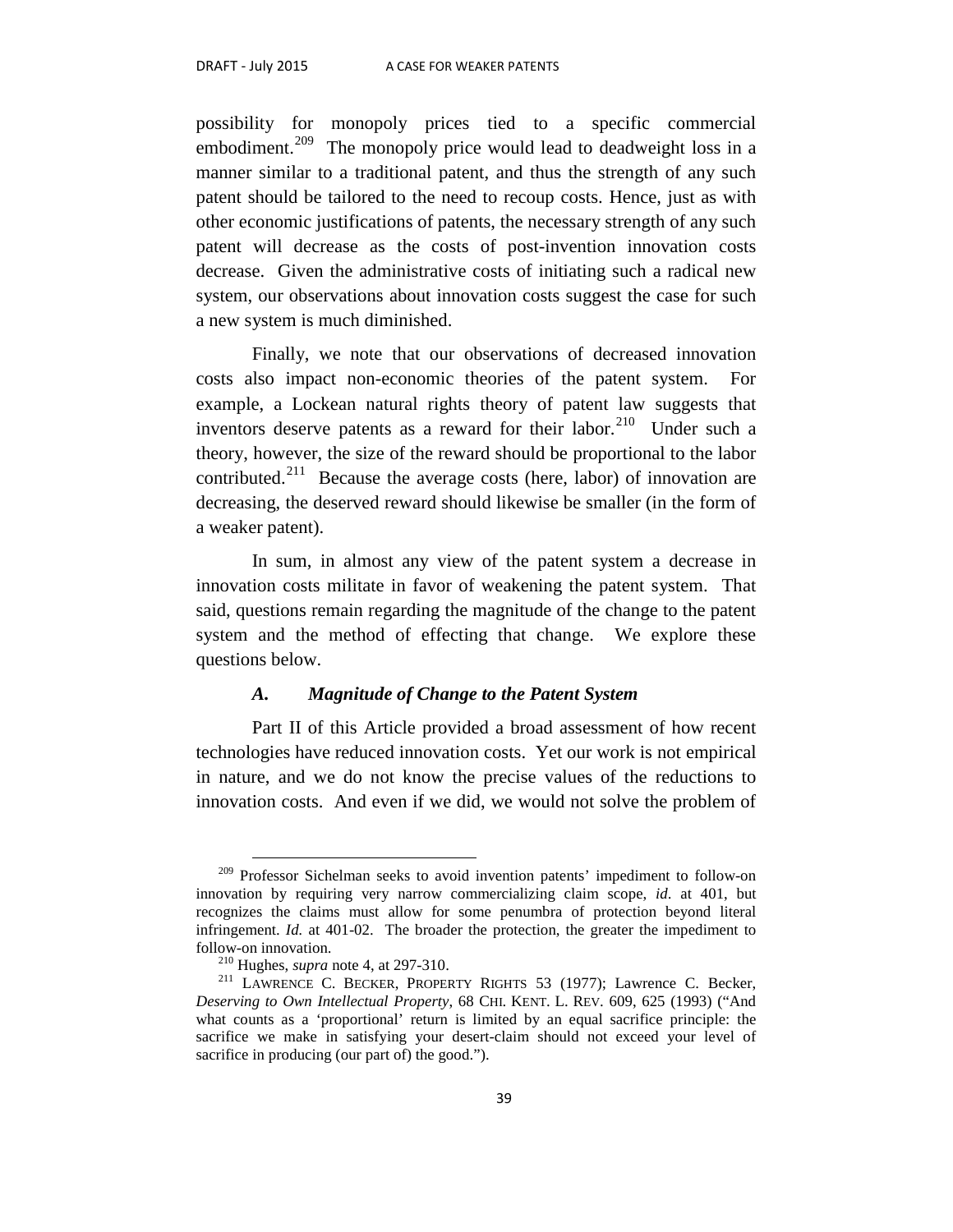possibility for monopoly prices tied to a specific commercial embodiment.<sup>[209](#page-40-0)</sup> The monopoly price would lead to deadweight loss in a manner similar to a traditional patent, and thus the strength of any such patent should be tailored to the need to recoup costs. Hence, just as with other economic justifications of patents, the necessary strength of any such patent will decrease as the costs of post-invention innovation costs decrease. Given the administrative costs of initiating such a radical new system, our observations about innovation costs suggest the case for such a new system is much diminished.

Finally, we note that our observations of decreased innovation costs also impact non-economic theories of the patent system. For example, a Lockean natural rights theory of patent law suggests that inventors deserve patents as a reward for their labor.<sup>[210](#page-40-1)</sup> Under such a theory, however, the size of the reward should be proportional to the labor contributed.<sup>[211](#page-40-2)</sup> Because the average costs (here, labor) of innovation are decreasing, the deserved reward should likewise be smaller (in the form of a weaker patent).

In sum, in almost any view of the patent system a decrease in innovation costs militate in favor of weakening the patent system. That said, questions remain regarding the magnitude of the change to the patent system and the method of effecting that change. We explore these questions below.

#### *A. Magnitude of Change to the Patent System*

Part II of this Article provided a broad assessment of how recent technologies have reduced innovation costs. Yet our work is not empirical in nature, and we do not know the precise values of the reductions to innovation costs. And even if we did, we would not solve the problem of

<span id="page-40-0"></span><sup>&</sup>lt;sup>209</sup> Professor Sichelman seeks to avoid invention patents' impediment to follow-on innovation by requiring very narrow commercializing claim scope, *id*. at 401, but recognizes the claims must allow for some penumbra of protection beyond literal infringement. *Id.* at 401-02. The broader the protection, the greater the impediment to

<span id="page-40-2"></span><span id="page-40-1"></span>follow-on innovation. <sup>210</sup> Hughes, *supra* note 4, at 297-310. <sup>211</sup> LAWRENCE C. BECKER, PROPERTY RIGHTS 53 (1977); Lawrence C. Becker, *Deserving to Own Intellectual Property*, 68 CHI. KENT. L. REV. 609, 625 (1993) ("And what counts as a 'proportional' return is limited by an equal sacrifice principle: the sacrifice we make in satisfying your desert-claim should not exceed your level of sacrifice in producing (our part of) the good.").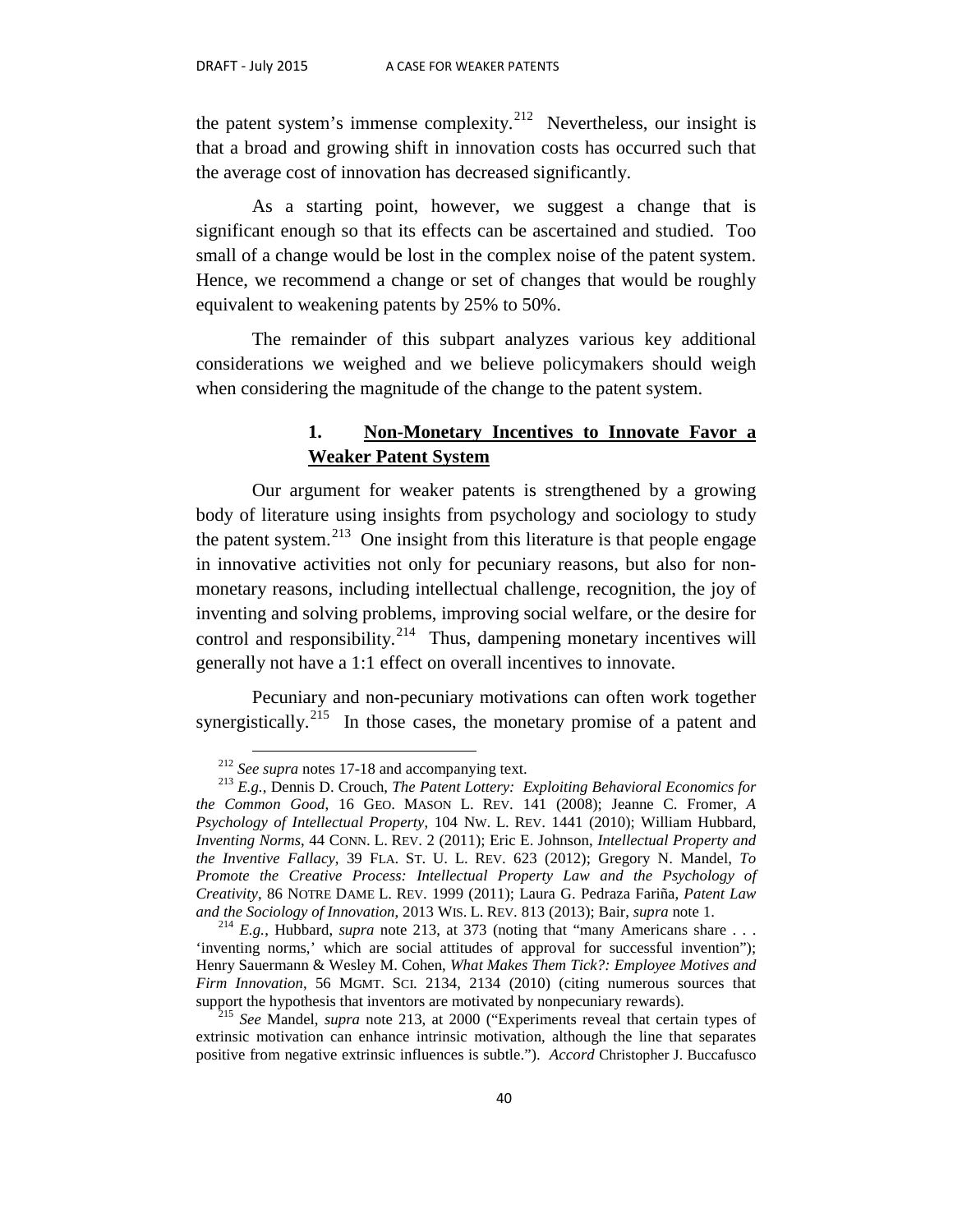the patent system's immense complexity.<sup>212</sup> Nevertheless, our insight is that a broad and growing shift in innovation costs has occurred such that the average cost of innovation has decreased significantly.

As a starting point, however, we suggest a change that is significant enough so that its effects can be ascertained and studied. Too small of a change would be lost in the complex noise of the patent system. Hence, we recommend a change or set of changes that would be roughly equivalent to weakening patents by 25% to 50%.

The remainder of this subpart analyzes various key additional considerations we weighed and we believe policymakers should weigh when considering the magnitude of the change to the patent system.

## **1. Non-Monetary Incentives to Innovate Favor a Weaker Patent System**

Our argument for weaker patents is strengthened by a growing body of literature using insights from psychology and sociology to study the patent system. $^{213}$  $^{213}$  $^{213}$  One insight from this literature is that people engage in innovative activities not only for pecuniary reasons, but also for nonmonetary reasons, including intellectual challenge, recognition, the joy of inventing and solving problems, improving social welfare, or the desire for control and responsibility.<sup>[214](#page-41-2)</sup> Thus, dampening monetary incentives will generally not have a 1:1 effect on overall incentives to innovate.

Pecuniary and non-pecuniary motivations can often work together synergistically.<sup>215</sup> In those cases, the monetary promise of a patent and

<span id="page-41-1"></span><span id="page-41-0"></span><sup>&</sup>lt;sup>212</sup> *See supra* notes 17-18 and accompanying text.<br><sup>213</sup> *E.g.*, Dennis D. Crouch, *The Patent Lottery: Exploiting Behavioral Economics for the Common Good*, 16 GEO. MASON L. REV. 141 (2008); Jeanne C. Fromer, *A Psychology of Intellectual Property*, 104 NW. L. REV. 1441 (2010); William Hubbard*, Inventing Norms*, 44 CONN. L. REV. 2 (2011); Eric E. Johnson, *Intellectual Property and the Inventive Fallacy*, 39 FLA. ST. U. L. REV. 623 (2012); Gregory N. Mandel, *To Promote the Creative Process: Intellectual Property Law and the Psychology of Creativity*, 86 NOTRE DAME L. REV. 1999 (2011); Laura G. Pedraza Fariña, *Patent Law* 

<span id="page-41-2"></span>and the Sociology of Innovation, 2013 WIS. L. REV. 813 (2013); Bair, *supra* note 1. <sup>214</sup> *E.g.*, Hubbard, *supra* note 213, at 373 (noting that "many Americans share . . . 'inventing norms,' which are social attitudes of approval for successful invention"); Henry Sauermann & Wesley M. Cohen, *What Makes Them Tick?: Employee Motives and Firm Innovation*, 56 MGMT. SCI. 2134, 2134 (2010) (citing numerous sources that support the hypothesis that inventors are motivated by nonpecuniary rewards).

<span id="page-41-3"></span><sup>&</sup>lt;sup>215</sup> See Mandel, *supra* note 213, at 2000 ("Experiments reveal that certain types of extrinsic motivation can enhance intrinsic motivation, although the line that separates positive from negative extrinsic influences is subtle."). *Accord* Christopher J. Buccafusco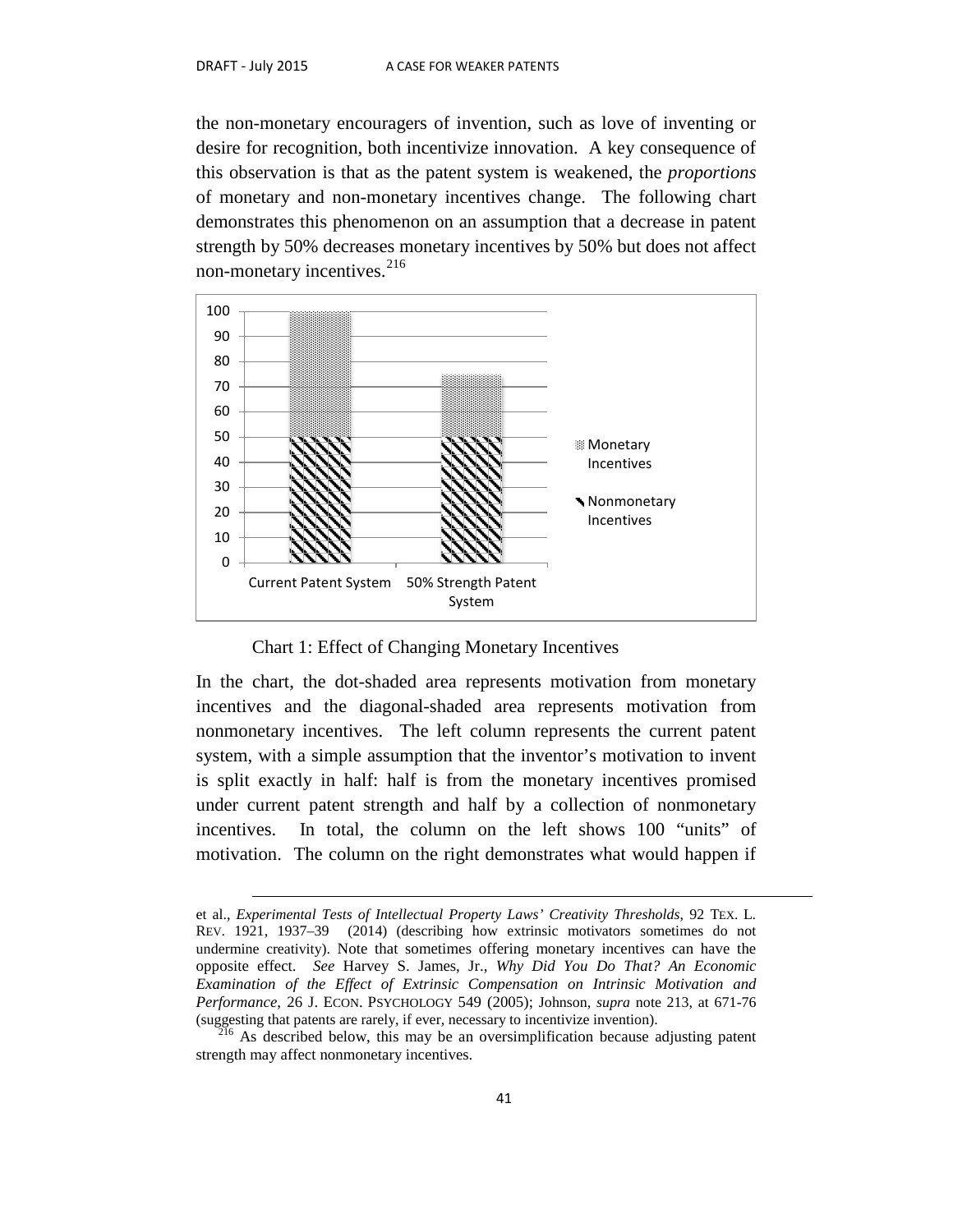the non-monetary encouragers of invention, such as love of inventing or desire for recognition, both incentivize innovation. A key consequence of this observation is that as the patent system is weakened, the *proportions* of monetary and non-monetary incentives change. The following chart demonstrates this phenomenon on an assumption that a decrease in patent strength by 50% decreases monetary incentives by 50% but does not affect non-monetary incentives. $^{216}$  $^{216}$  $^{216}$ 



Chart 1: Effect of Changing Monetary Incentives

In the chart, the dot-shaded area represents motivation from monetary incentives and the diagonal-shaded area represents motivation from nonmonetary incentives. The left column represents the current patent system, with a simple assumption that the inventor's motivation to invent is split exactly in half: half is from the monetary incentives promised under current patent strength and half by a collection of nonmonetary incentives. In total, the column on the left shows 100 "units" of motivation. The column on the right demonstrates what would happen if

et al., *Experimental Tests of Intellectual Property Laws' Creativity Thresholds*, 92 TEX. L. REV. 1921, 1937–39 (2014) (describing how extrinsic motivators sometimes do not undermine creativity). Note that sometimes offering monetary incentives can have the opposite effect. *See* Harvey S. James, Jr., *Why Did You Do That? An Economic Examination of the Effect of Extrinsic Compensation on Intrinsic Motivation and Performance*, 26 J. ECON. PSYCHOLOGY 549 (2005); Johnson, *supra* note 213, at 671-76 (suggesting that patents are rarely, if ever, necessary to incentivize invention).

<span id="page-42-0"></span> $^{16}$  As described below, this may be an oversimplification because adjusting patent strength may affect nonmonetary incentives.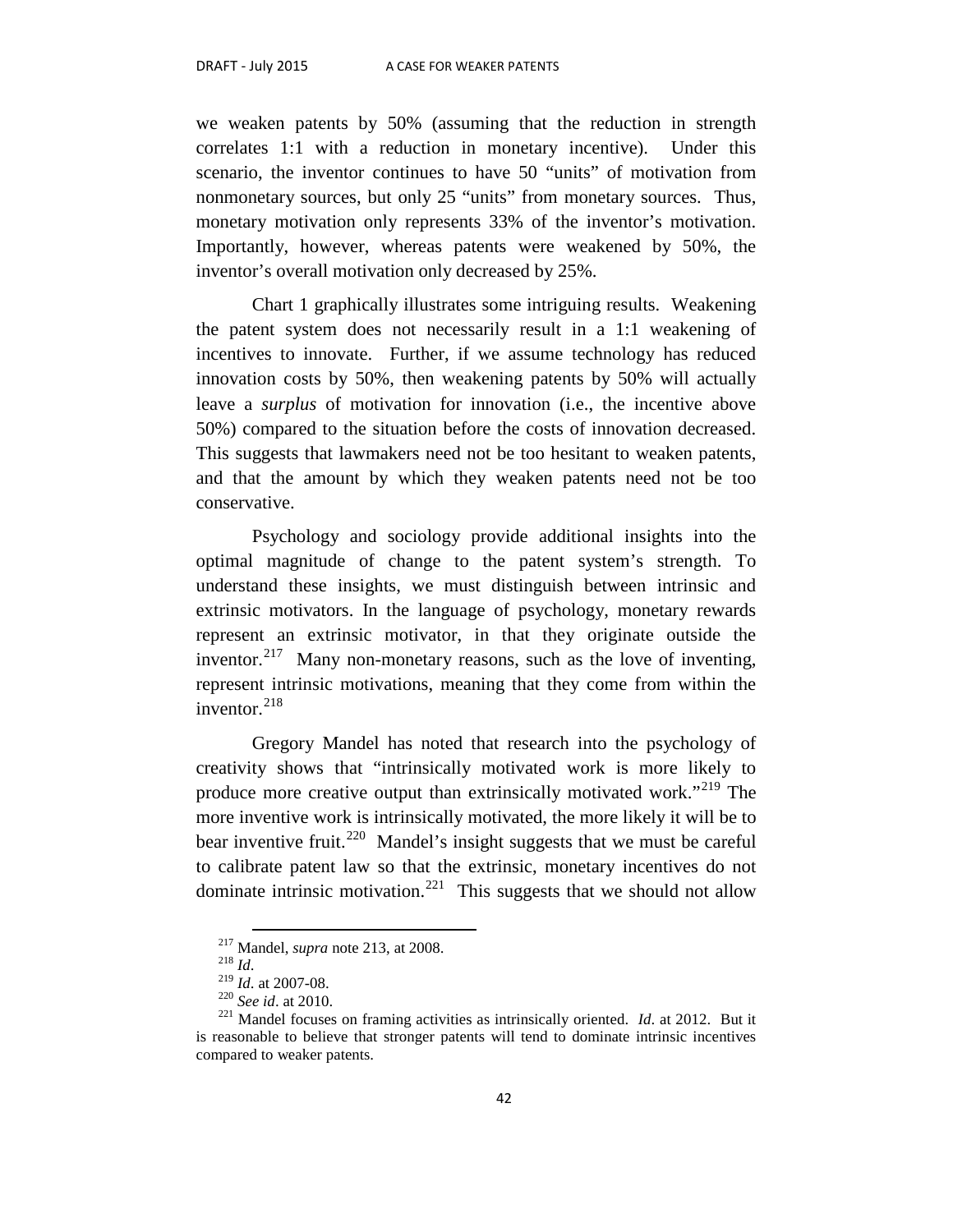we weaken patents by 50% (assuming that the reduction in strength correlates 1:1 with a reduction in monetary incentive). Under this scenario, the inventor continues to have 50 "units" of motivation from nonmonetary sources, but only 25 "units" from monetary sources. Thus, monetary motivation only represents 33% of the inventor's motivation. Importantly, however, whereas patents were weakened by 50%, the inventor's overall motivation only decreased by 25%.

Chart 1 graphically illustrates some intriguing results. Weakening the patent system does not necessarily result in a 1:1 weakening of incentives to innovate. Further, if we assume technology has reduced innovation costs by 50%, then weakening patents by 50% will actually leave a *surplus* of motivation for innovation (i.e., the incentive above 50%) compared to the situation before the costs of innovation decreased. This suggests that lawmakers need not be too hesitant to weaken patents, and that the amount by which they weaken patents need not be too conservative.

Psychology and sociology provide additional insights into the optimal magnitude of change to the patent system's strength. To understand these insights, we must distinguish between intrinsic and extrinsic motivators. In the language of psychology, monetary rewards represent an extrinsic motivator, in that they originate outside the inventor.<sup>217</sup> Many non-monetary reasons, such as the love of inventing, represent intrinsic motivations, meaning that they come from within the inventor. $^{218}$  $^{218}$  $^{218}$ 

Gregory Mandel has noted that research into the psychology of creativity shows that "intrinsically motivated work is more likely to produce more creative output than extrinsically motivated work."[219](#page-43-2) The more inventive work is intrinsically motivated, the more likely it will be to bear inventive fruit.<sup>220</sup> Mandel's insight suggests that we must be careful to calibrate patent law so that the extrinsic, monetary incentives do not dominate intrinsic motivation.<sup>221</sup> This suggests that we should not allow

<span id="page-43-4"></span><span id="page-43-3"></span><span id="page-43-2"></span><span id="page-43-1"></span><span id="page-43-0"></span><sup>&</sup>lt;sup>217</sup> Mandel, *supra* note 213, at 2008.<br><sup>218</sup> *Id.* 2<sup>19</sup> *Id.* at 2007-08.<br><sup>220</sup> *See id.* at 2010.<br><sup>221</sup> Mandel focuses on framing activities as intrinsically oriented. *Id.* at 2012. But it is reasonable to believe that stronger patents will tend to dominate intrinsic incentives compared to weaker patents.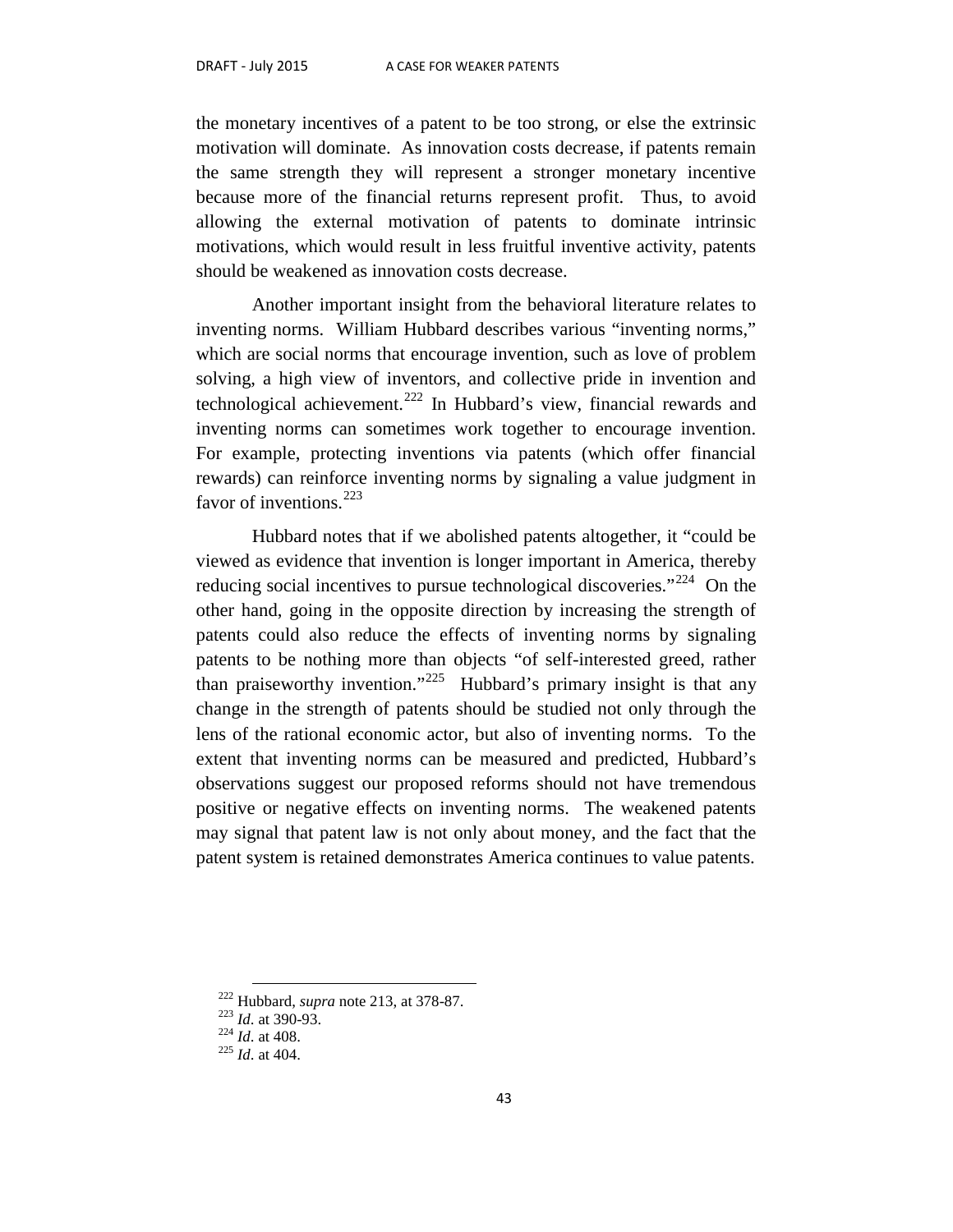the monetary incentives of a patent to be too strong, or else the extrinsic motivation will dominate. As innovation costs decrease, if patents remain the same strength they will represent a stronger monetary incentive because more of the financial returns represent profit. Thus, to avoid allowing the external motivation of patents to dominate intrinsic motivations, which would result in less fruitful inventive activity, patents should be weakened as innovation costs decrease.

Another important insight from the behavioral literature relates to inventing norms. William Hubbard describes various "inventing norms," which are social norms that encourage invention, such as love of problem solving, a high view of inventors, and collective pride in invention and technological achievement.[222](#page-44-0) In Hubbard's view, financial rewards and inventing norms can sometimes work together to encourage invention. For example, protecting inventions via patents (which offer financial rewards) can reinforce inventing norms by signaling a value judgment in favor of inventions.  $223$ 

Hubbard notes that if we abolished patents altogether, it "could be viewed as evidence that invention is longer important in America, thereby reducing social incentives to pursue technological discoveries."<sup>224</sup> On the other hand, going in the opposite direction by increasing the strength of patents could also reduce the effects of inventing norms by signaling patents to be nothing more than objects "of self-interested greed, rather than praiseworthy invention."[225](#page-44-3) Hubbard's primary insight is that any change in the strength of patents should be studied not only through the lens of the rational economic actor, but also of inventing norms. To the extent that inventing norms can be measured and predicted, Hubbard's observations suggest our proposed reforms should not have tremendous positive or negative effects on inventing norms. The weakened patents may signal that patent law is not only about money, and the fact that the patent system is retained demonstrates America continues to value patents.

<span id="page-44-0"></span><sup>222</sup> Hubbard, *supra* note 213, at 378-87. <sup>223</sup> *Id*. at 390-93. <sup>224</sup> *Id*. at 408. <sup>225</sup> *Id*. at 404.

<span id="page-44-3"></span><span id="page-44-2"></span><span id="page-44-1"></span>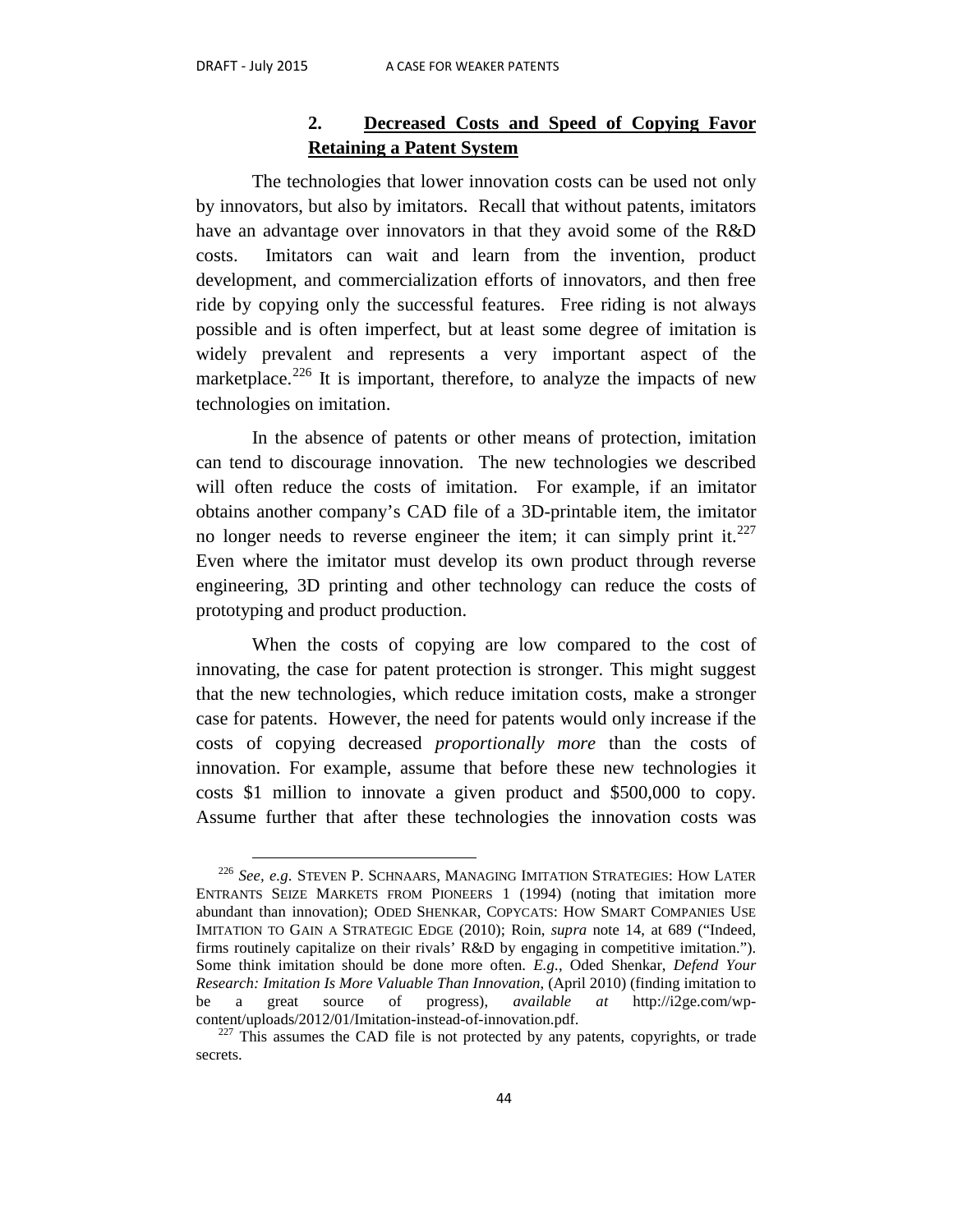## **2. Decreased Costs and Speed of Copying Favor Retaining a Patent System**

The technologies that lower innovation costs can be used not only by innovators, but also by imitators. Recall that without patents, imitators have an advantage over innovators in that they avoid some of the R&D costs. Imitators can wait and learn from the invention, product development, and commercialization efforts of innovators, and then free ride by copying only the successful features. Free riding is not always possible and is often imperfect, but at least some degree of imitation is widely prevalent and represents a very important aspect of the marketplace.<sup>[226](#page-45-0)</sup> It is important, therefore, to analyze the impacts of new technologies on imitation.

In the absence of patents or other means of protection, imitation can tend to discourage innovation. The new technologies we described will often reduce the costs of imitation. For example, if an imitator obtains another company's CAD file of a 3D-printable item, the imitator no longer needs to reverse engineer the item; it can simply print it.<sup>[227](#page-45-1)</sup> Even where the imitator must develop its own product through reverse engineering, 3D printing and other technology can reduce the costs of prototyping and product production.

When the costs of copying are low compared to the cost of innovating, the case for patent protection is stronger. This might suggest that the new technologies, which reduce imitation costs, make a stronger case for patents. However, the need for patents would only increase if the costs of copying decreased *proportionally more* than the costs of innovation. For example, assume that before these new technologies it costs \$1 million to innovate a given product and \$500,000 to copy. Assume further that after these technologies the innovation costs was

<span id="page-45-0"></span> <sup>226</sup> *See, e.g*. STEVEN P. SCHNAARS, MANAGING IMITATION STRATEGIES: HOW LATER ENTRANTS SEIZE MARKETS FROM PIONEERS 1 (1994) (noting that imitation more abundant than innovation); ODED SHENKAR, COPYCATS: HOW SMART COMPANIES USE IMITATION TO GAIN A STRATEGIC EDGE (2010); Roin, *supra* note 14, at 689 ("Indeed, firms routinely capitalize on their rivals' R&D by engaging in competitive imitation."). Some think imitation should be done more often. *E.g.*, Oded Shenkar, *Defend Your Research: Imitation Is More Valuable Than Innovation*, (April 2010) (finding imitation to be a great source of progress), *available at* http://i2ge.com/wpcontent/uploads/2012/01/Imitation-instead-of-innovation.pdf.  $^{227}$  This assumes the CAD file is not protected by any patents, copyrights, or trade

<span id="page-45-1"></span>secrets.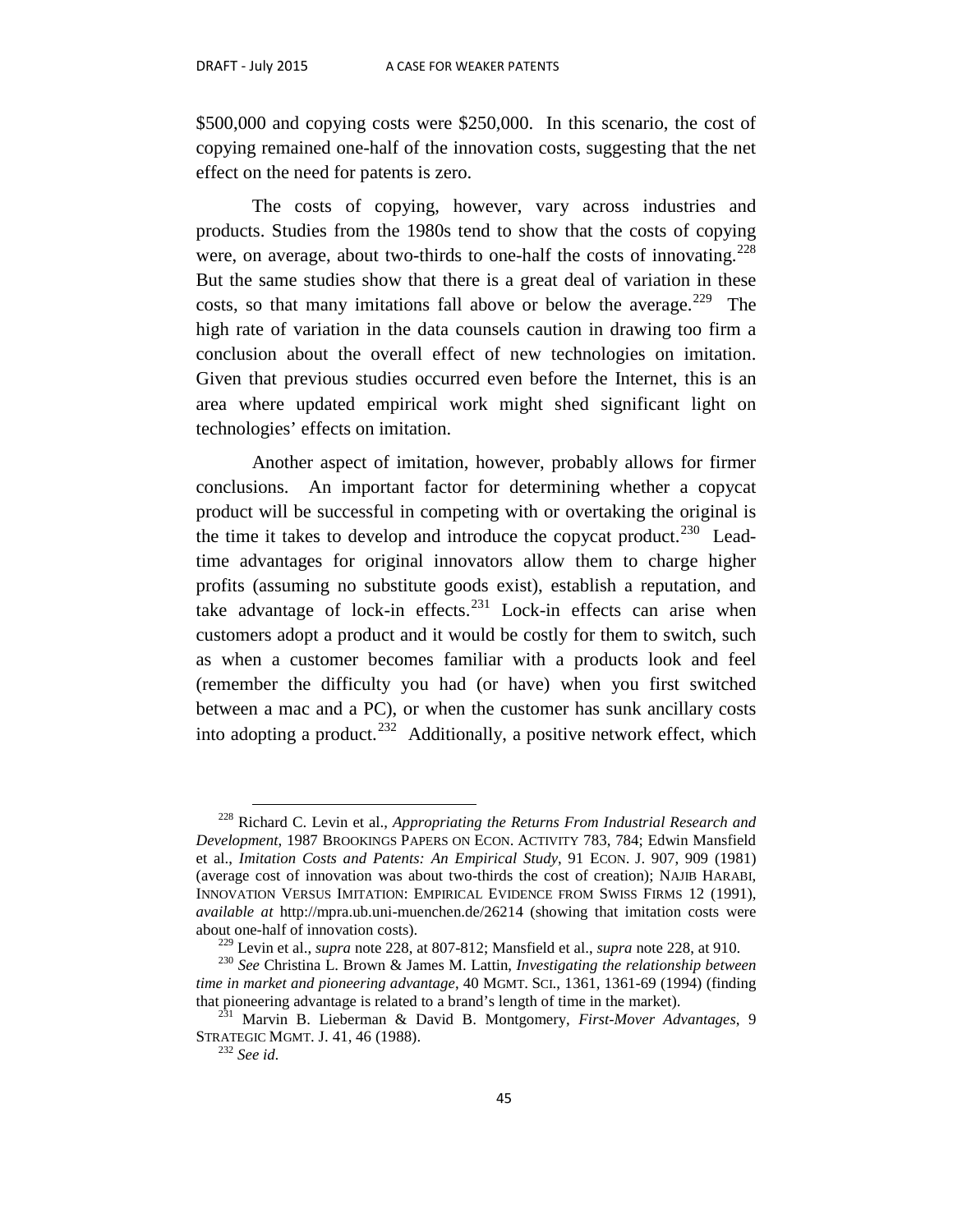\$500,000 and copying costs were \$250,000. In this scenario, the cost of copying remained one-half of the innovation costs, suggesting that the net effect on the need for patents is zero.

The costs of copying, however, vary across industries and products. Studies from the 1980s tend to show that the costs of copying were, on average, about two-thirds to one-half the costs of innovating.<sup>[228](#page-46-0)</sup> But the same studies show that there is a great deal of variation in these costs, so that many imitations fall above or below the average.<sup>229</sup> The high rate of variation in the data counsels caution in drawing too firm a conclusion about the overall effect of new technologies on imitation. Given that previous studies occurred even before the Internet, this is an area where updated empirical work might shed significant light on technologies' effects on imitation.

Another aspect of imitation, however, probably allows for firmer conclusions. An important factor for determining whether a copycat product will be successful in competing with or overtaking the original is the time it takes to develop and introduce the copycat product.<sup>230</sup> Leadtime advantages for original innovators allow them to charge higher profits (assuming no substitute goods exist), establish a reputation, and take advantage of lock-in effects.<sup>[231](#page-46-3)</sup> Lock-in effects can arise when customers adopt a product and it would be costly for them to switch, such as when a customer becomes familiar with a products look and feel (remember the difficulty you had (or have) when you first switched between a mac and a PC), or when the customer has sunk ancillary costs into adopting a product.<sup>[232](#page-46-4)</sup> Additionally, a positive network effect, which

<span id="page-46-0"></span> <sup>228</sup> Richard C. Levin et al., *Appropriating the Returns From Industrial Research and Development*, 1987 BROOKINGS PAPERS ON ECON. ACTIVITY 783, 784; Edwin Mansfield et al., *Imitation Costs and Patents: An Empirical Study*, 91 ECON. J. 907, 909 (1981) (average cost of innovation was about two-thirds the cost of creation); NAJIB HARABI, INNOVATION VERSUS IMITATION: EMPIRICAL EVIDENCE FROM SWISS FIRMS 12 (1991), *available at* http://mpra.ub.uni-muenchen.de/26214 (showing that imitation costs were about one-half of innovation costs).<br><sup>229</sup> Levin et al., *supra* note 228, at 807-812; Mansfield et al., *supra* note 228, at 910.<br><sup>230</sup> See Christina L. Brown & James M. Lattin, *Investigating the relationship between* 

<span id="page-46-2"></span><span id="page-46-1"></span>*time in market and pioneering advantage*, 40 MGMT. SCI., 1361, 1361-69 (1994) (finding that pioneering advantage is related to a brand's length of time in the market).

<span id="page-46-4"></span><span id="page-46-3"></span><sup>&</sup>lt;sup>231</sup> Marvin B. Lieberman & David B. Montgomery, *First-Mover Advantages*, 9 STRATEGIC MGMT. J. 41, 46 (1988). <sup>232</sup> *See id.*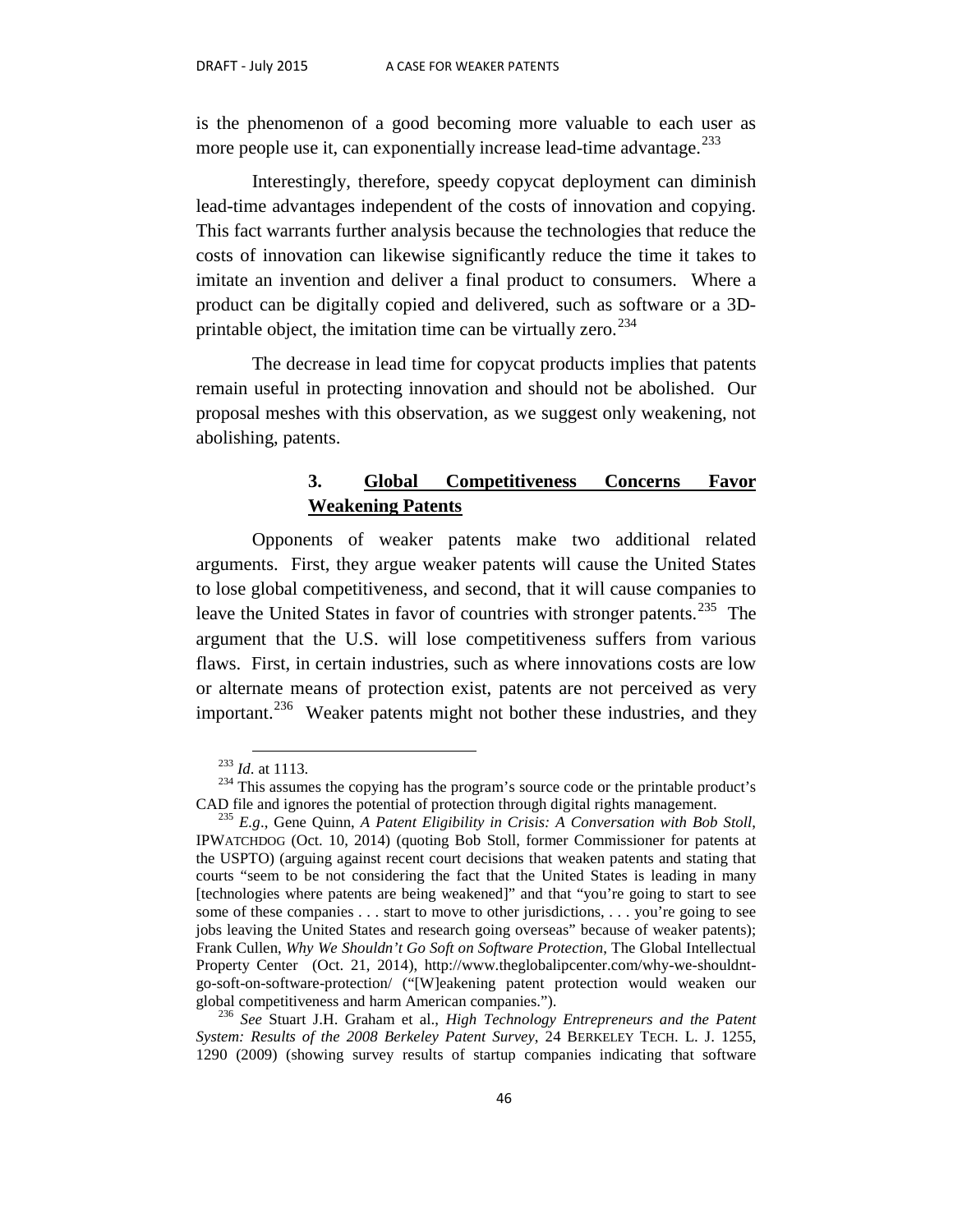is the phenomenon of a good becoming more valuable to each user as more people use it, can exponentially increase lead-time advantage.<sup>[233](#page-47-0)</sup>

Interestingly, therefore, speedy copycat deployment can diminish lead-time advantages independent of the costs of innovation and copying. This fact warrants further analysis because the technologies that reduce the costs of innovation can likewise significantly reduce the time it takes to imitate an invention and deliver a final product to consumers. Where a product can be digitally copied and delivered, such as software or a 3Dprintable object, the imitation time can be virtually zero. $234$ 

The decrease in lead time for copycat products implies that patents remain useful in protecting innovation and should not be abolished. Our proposal meshes with this observation, as we suggest only weakening, not abolishing, patents.

## **3. Global Competitiveness Concerns Favor Weakening Patents**

Opponents of weaker patents make two additional related arguments. First, they argue weaker patents will cause the United States to lose global competitiveness, and second, that it will cause companies to leave the United States in favor of countries with stronger patents.<sup>[235](#page-47-2)</sup> The argument that the U.S. will lose competitiveness suffers from various flaws. First, in certain industries, such as where innovations costs are low or alternate means of protection exist, patents are not perceived as very important.<sup>[236](#page-47-3)</sup> Weaker patents might not bother these industries, and they

<span id="page-47-1"></span><span id="page-47-0"></span><sup>&</sup>lt;sup>233</sup> *Id.* at 1113.<br><sup>234</sup> This assumes the copying has the program's source code or the printable product's CAD file and ignores the potential of protection through digital rights management.

<span id="page-47-2"></span><sup>&</sup>lt;sup>235</sup> E.g., Gene Quinn, *A Patent Eligibility in Crisis: A Conversation with Bob Stoll*, IPWATCHDOG (Oct. 10, 2014) (quoting Bob Stoll, former Commissioner for patents at the USPTO) (arguing against recent court decisions that weaken patents and stating that courts "seem to be not considering the fact that the United States is leading in many [technologies where patents are being weakened]" and that "you're going to start to see some of these companies . . . start to move to other jurisdictions, . . . you're going to see jobs leaving the United States and research going overseas" because of weaker patents); Frank Cullen, *Why We Shouldn't Go Soft on Software Protection*, The Global Intellectual Property Center (Oct. 21, 2014), http://www.theglobalipcenter.com/why-we-shouldntgo-soft-on-software-protection/ ("[W]eakening patent protection would weaken our

<span id="page-47-3"></span>global competitiveness and harm American companies."). 236 *See* Stuart J.H. Graham et al., *High Technology Entrepreneurs and the Patent System: Results of the 2008 Berkeley Patent Survey*, 24 BERKELEY TECH. L. J. 1255, 1290 (2009) (showing survey results of startup companies indicating that software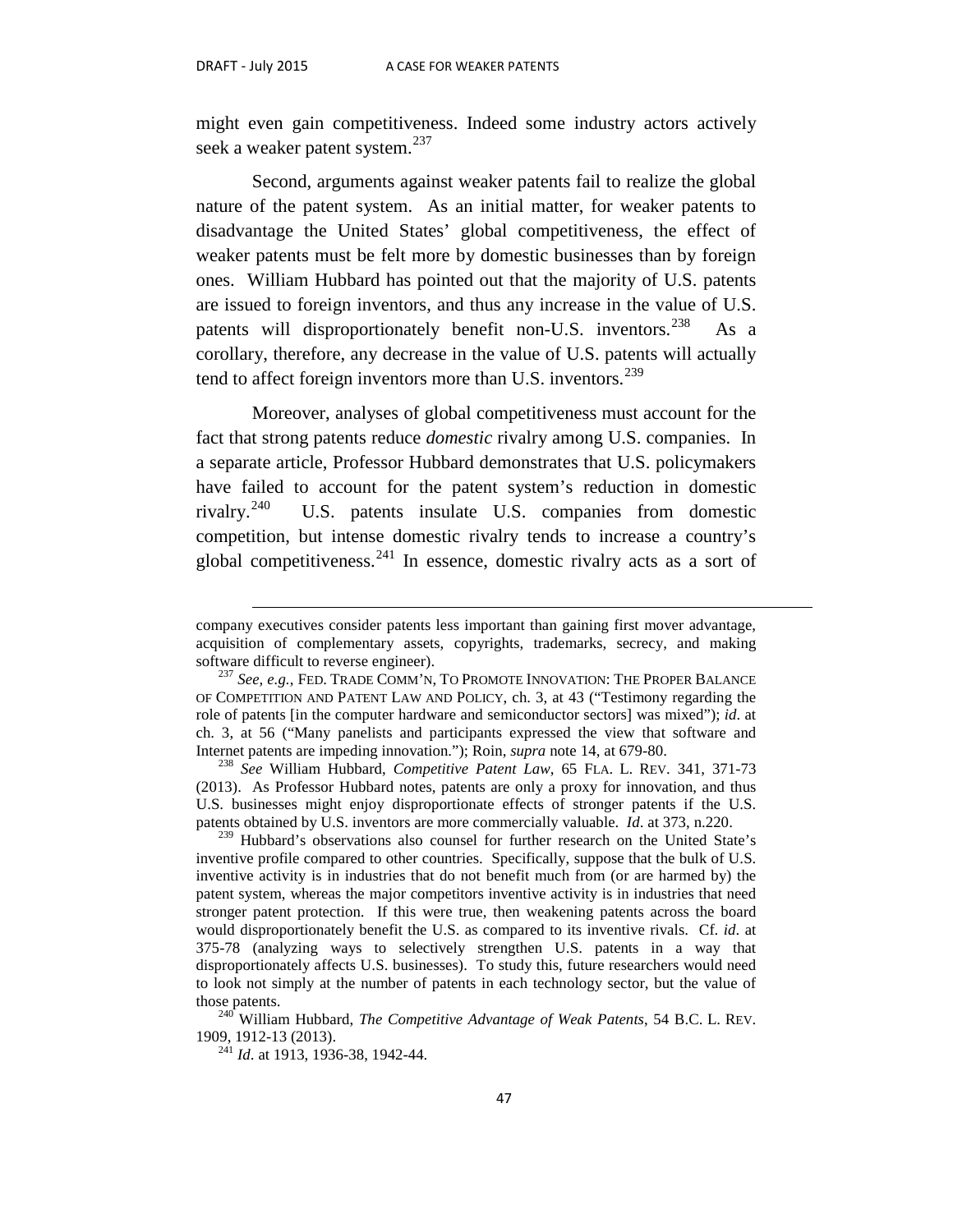$\overline{a}$ 

might even gain competitiveness. Indeed some industry actors actively seek a weaker patent system.<sup>237</sup>

Second, arguments against weaker patents fail to realize the global nature of the patent system. As an initial matter, for weaker patents to disadvantage the United States' global competitiveness, the effect of weaker patents must be felt more by domestic businesses than by foreign ones. William Hubbard has pointed out that the majority of U.S. patents are issued to foreign inventors, and thus any increase in the value of U.S. patents will disproportionately benefit non-U.S. inventors.<sup>238</sup> As a corollary, therefore, any decrease in the value of U.S. patents will actually tend to affect foreign inventors more than U.S. inventors.  $239$ 

Moreover, analyses of global competitiveness must account for the fact that strong patents reduce *domestic* rivalry among U.S. companies. In a separate article, Professor Hubbard demonstrates that U.S. policymakers have failed to account for the patent system's reduction in domestic rivalry.<sup>240</sup> U.S. patents insulate U.S. companies from domestic competition, but intense domestic rivalry tends to increase a country's global competitiveness.<sup>[241](#page-48-4)</sup> In essence, domestic rivalry acts as a sort of

company executives consider patents less important than gaining first mover advantage, acquisition of complementary assets, copyrights, trademarks, secrecy, and making software difficult to reverse engineer).

<span id="page-48-0"></span><sup>&</sup>lt;sup>237</sup> See, e.g., FED. TRADE COMM'N, TO PROMOTE INNOVATION: THE PROPER BALANCE OF COMPETITION AND PATENT LAW AND POLICY, ch. 3, at 43 ("Testimony regarding the role of patents [in the computer hardware and semiconductor sectors] was mixed"); *id*. at ch. 3, at 56 ("Many panelists and participants expressed the view that software and Internet patents are impeding innovation."); Roin, *supra* note 14, at 679-80.<br><sup>238</sup> *See* William Hubbard, *Competitive Patent Law*, 65 FLA. L. REV. 341, 371-73

<span id="page-48-1"></span><sup>(2013).</sup> As Professor Hubbard notes, patents are only a proxy for innovation, and thus U.S. businesses might enjoy disproportionate effects of stronger patents if the U.S. patents obtained by U.S. inventors are more commercially valuable. *Id*. at 373, n.220.

<span id="page-48-2"></span><sup>&</sup>lt;sup>239</sup> Hubbard's observations also counsel for further research on the United State's inventive profile compared to other countries. Specifically, suppose that the bulk of U.S. inventive activity is in industries that do not benefit much from (or are harmed by) the patent system, whereas the major competitors inventive activity is in industries that need stronger patent protection. If this were true, then weakening patents across the board would disproportionately benefit the U.S. as compared to its inventive rivals. Cf. *id*. at 375-78 (analyzing ways to selectively strengthen U.S. patents in a way that disproportionately affects U.S. businesses). To study this, future researchers would need to look not simply at the number of patents in each technology sector, but the value of

<span id="page-48-4"></span><span id="page-48-3"></span>those patents.<br><sup>240</sup> William Hubbard, *The Competitive Advantage of Weak Patents*, 54 B.C. L. REV.<br>1909, 1912-13 (2013).

<sup>&</sup>lt;sup>241</sup> *Id.* at 1913, 1936-38, 1942-44.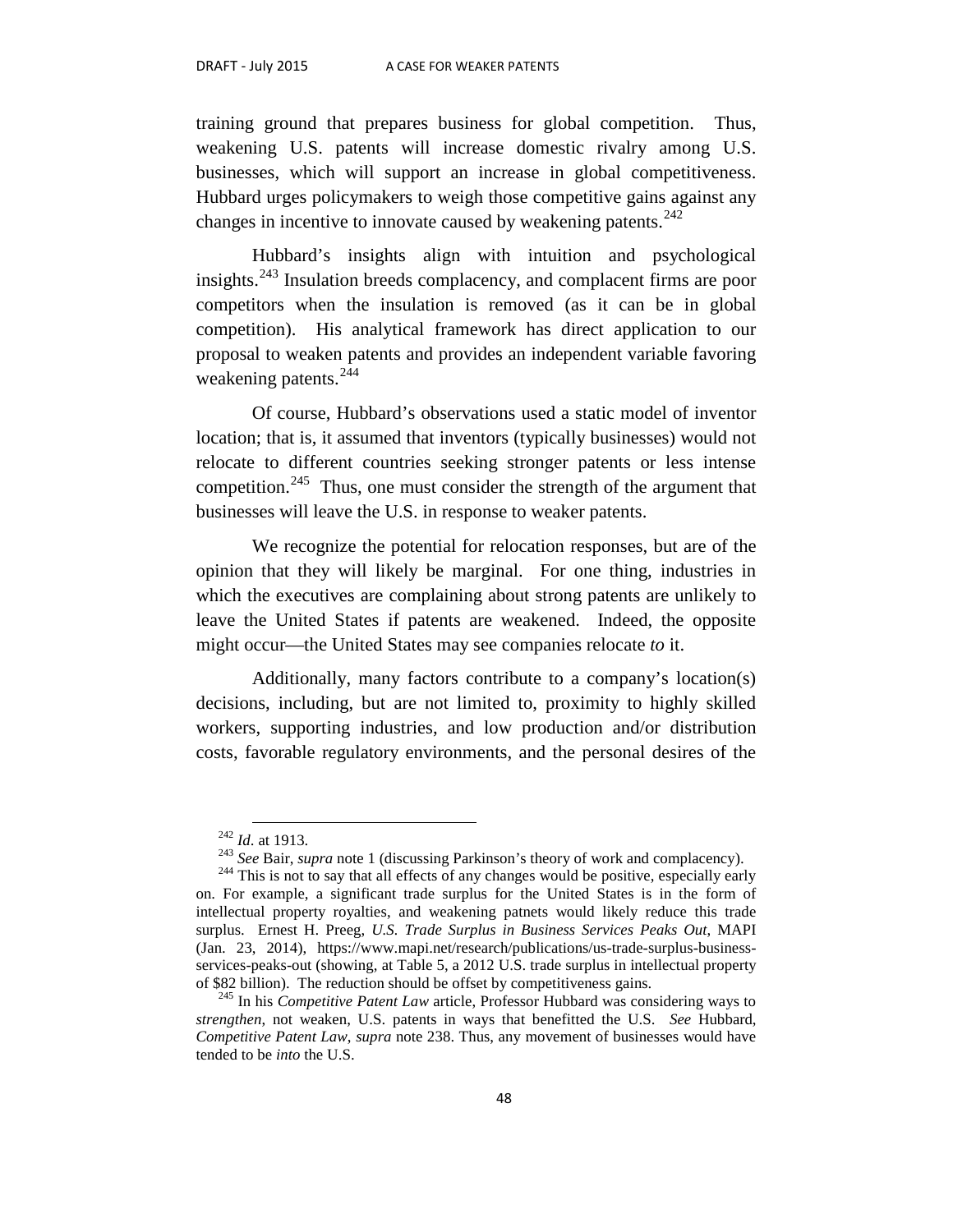training ground that prepares business for global competition. Thus, weakening U.S. patents will increase domestic rivalry among U.S. businesses, which will support an increase in global competitiveness. Hubbard urges policymakers to weigh those competitive gains against any changes in incentive to innovate caused by weakening patents.<sup>[242](#page-49-0)</sup>

Hubbard's insights align with intuition and psychological insights.<sup>[243](#page-49-1)</sup> Insulation breeds complacency, and complacent firms are poor competitors when the insulation is removed (as it can be in global competition). His analytical framework has direct application to our proposal to weaken patents and provides an independent variable favoring weakening patents.<sup>244</sup>

Of course, Hubbard's observations used a static model of inventor location; that is, it assumed that inventors (typically businesses) would not relocate to different countries seeking stronger patents or less intense competition.<sup>[245](#page-49-3)</sup> Thus, one must consider the strength of the argument that businesses will leave the U.S. in response to weaker patents.

We recognize the potential for relocation responses, but are of the opinion that they will likely be marginal. For one thing, industries in which the executives are complaining about strong patents are unlikely to leave the United States if patents are weakened. Indeed, the opposite might occur—the United States may see companies relocate *to* it.

Additionally, many factors contribute to a company's location(s) decisions, including, but are not limited to, proximity to highly skilled workers, supporting industries, and low production and/or distribution costs, favorable regulatory environments, and the personal desires of the

<span id="page-49-2"></span><span id="page-49-1"></span><span id="page-49-0"></span><sup>&</sup>lt;sup>242</sup> *Id.* at 1913.<br><sup>243</sup> *See* Bair, *supra* note 1 (discussing Parkinson's theory of work and complacency).<br><sup>244</sup> This is not to say that all effects of any changes would be positive, especially early on. For example, a significant trade surplus for the United States is in the form of intellectual property royalties, and weakening patnets would likely reduce this trade surplus. Ernest H. Preeg, *U.S. Trade Surplus in Business Services Peaks Out*, MAPI (Jan. 23, 2014), https://www.mapi.net/research/publications/us-trade-surplus-businessservices-peaks-out (showing, at Table 5, a 2012 U.S. trade surplus in intellectual property of \$82 billion). The reduction should be offset by competitiveness gains.

<span id="page-49-3"></span><sup>245</sup> In his *Competitive Patent Law* article, Professor Hubbard was considering ways to *strengthen*, not weaken, U.S. patents in ways that benefitted the U.S. *See* Hubbard, *Competitive Patent Law*, *supra* note 238. Thus, any movement of businesses would have tended to be *into* the U.S.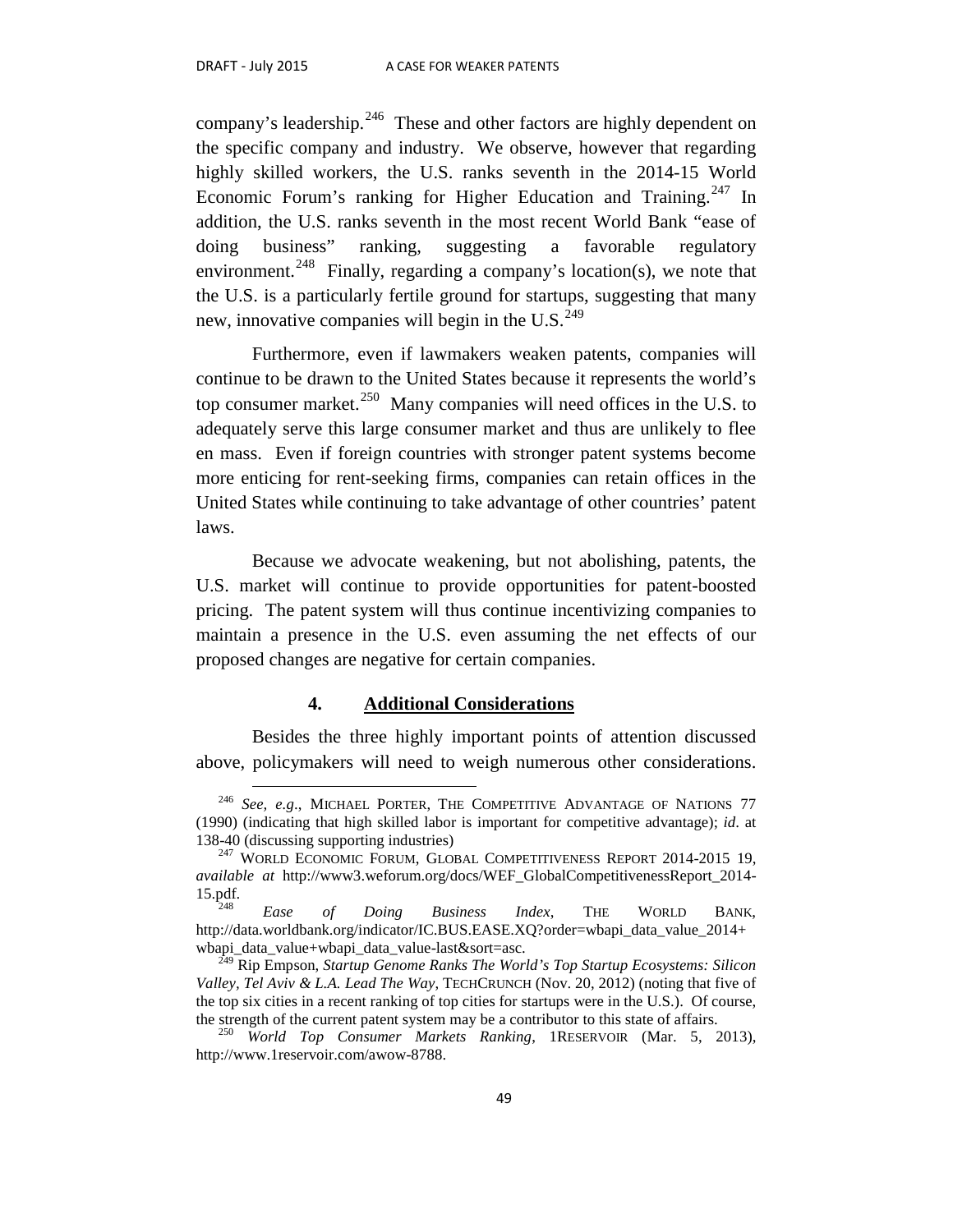company's leadership.<sup>246</sup> These and other factors are highly dependent on the specific company and industry. We observe, however that regarding highly skilled workers, the U.S. ranks seventh in the 2014-15 World Economic Forum's ranking for Higher Education and Training.<sup>[247](#page-50-1)</sup> In addition, the U.S. ranks seventh in the most recent World Bank "ease of doing business" ranking, suggesting a favorable regulatory environment.<sup>[248](#page-50-2)</sup> Finally, regarding a company's location(s), we note that the U.S. is a particularly fertile ground for startups, suggesting that many new, innovative companies will begin in the U.S. $^{249}$  $^{249}$  $^{249}$ 

Furthermore, even if lawmakers weaken patents, companies will continue to be drawn to the United States because it represents the world's top consumer market.<sup>250</sup> Many companies will need offices in the U.S. to adequately serve this large consumer market and thus are unlikely to flee en mass. Even if foreign countries with stronger patent systems become more enticing for rent-seeking firms, companies can retain offices in the United States while continuing to take advantage of other countries' patent laws.

Because we advocate weakening, but not abolishing, patents, the U.S. market will continue to provide opportunities for patent-boosted pricing. The patent system will thus continue incentivizing companies to maintain a presence in the U.S. even assuming the net effects of our proposed changes are negative for certain companies.

#### **4. Additional Considerations**

Besides the three highly important points of attention discussed above, policymakers will need to weigh numerous other considerations.

<span id="page-50-0"></span><sup>&</sup>lt;sup>246</sup> See, e.g., MICHAEL PORTER, THE COMPETITIVE ADVANTAGE OF NATIONS 77 (1990) (indicating that high skilled labor is important for competitive advantage); *id*. at 138-40 (discussing supporting industries)

<span id="page-50-1"></span><sup>&</sup>lt;sup>247</sup> WORLD ECONOMIC FORUM, GLOBAL COMPETITIVENESS REPORT 2014-2015 19, *available at* http://www3.weforum.org/docs/WEF\_GlobalCompetitivenessReport\_2014- 15.pdf. <sup>248</sup> *Ease of Doing Business Index*, THE WORLD BANK,

<span id="page-50-2"></span>http://data.worldbank.org/indicator/IC.BUS.EASE.XQ?order=wbapi\_data\_value\_2014+ wbapi\_data\_value+wbapi\_data\_value-last&sort=asc. <sup>249</sup> Rip Empson, *Startup Genome Ranks The World's Top Startup Ecosystems: Silicon* 

<span id="page-50-3"></span>*Valley, Tel Aviv & L.A. Lead The Way*, TECHCRUNCH (Nov. 20, 2012) (noting that five of the top six cities in a recent ranking of top cities for startups were in the U.S.). Of course, the strength of the current patent system may be a contributor to this state of affairs. <sup>250</sup> *World Top Consumer Markets Ranking*, 1RESERVOIR (Mar. 5, 2013),

<span id="page-50-4"></span>http://www.1reservoir.com/awow-8788.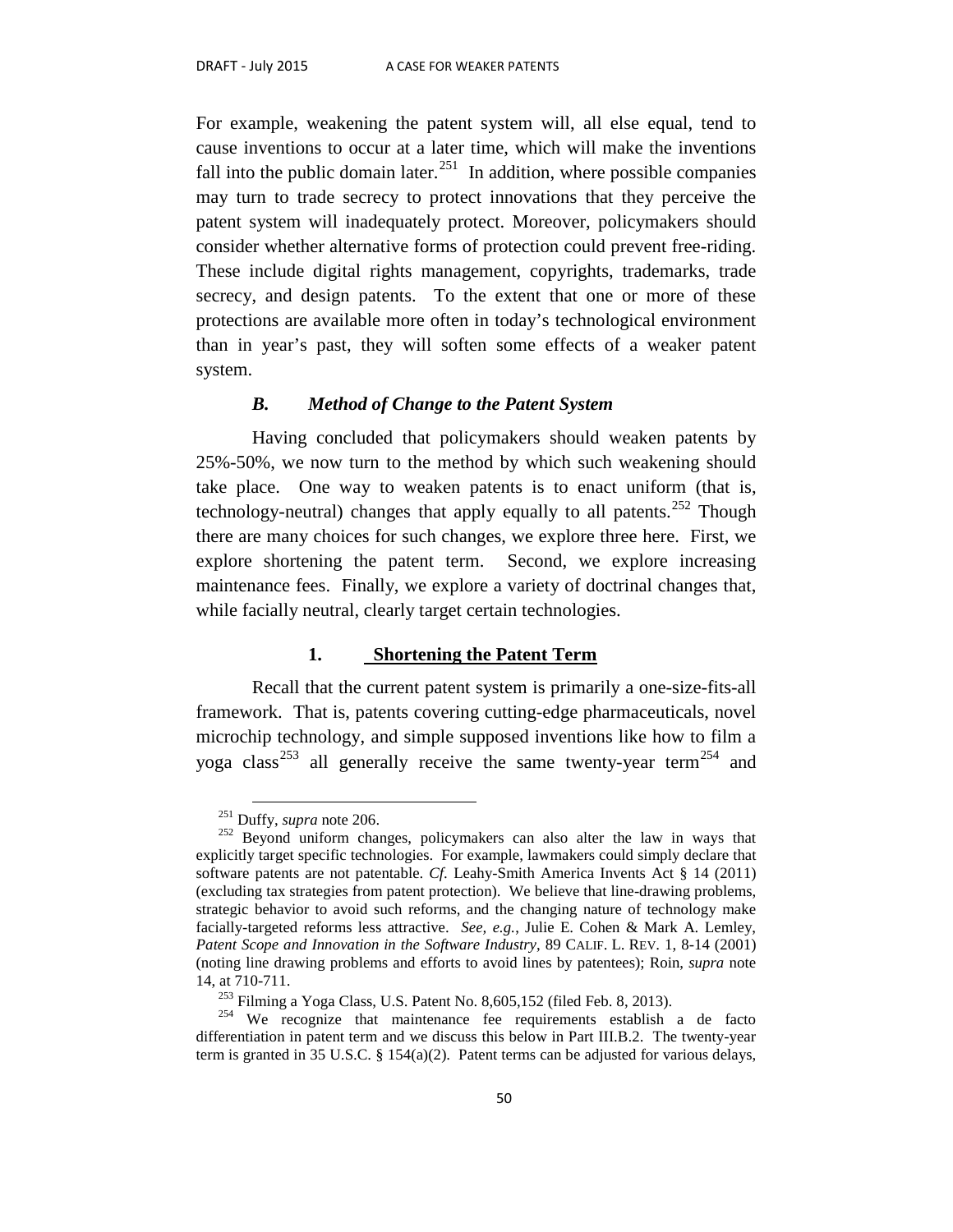For example, weakening the patent system will, all else equal, tend to cause inventions to occur at a later time, which will make the inventions fall into the public domain later.<sup>251</sup> In addition, where possible companies may turn to trade secrecy to protect innovations that they perceive the patent system will inadequately protect. Moreover, policymakers should consider whether alternative forms of protection could prevent free-riding. These include digital rights management, copyrights, trademarks, trade secrecy, and design patents. To the extent that one or more of these protections are available more often in today's technological environment than in year's past, they will soften some effects of a weaker patent system.

#### *B. Method of Change to the Patent System*

Having concluded that policymakers should weaken patents by 25%-50%, we now turn to the method by which such weakening should take place. One way to weaken patents is to enact uniform (that is, technology-neutral) changes that apply equally to all patents.<sup>[252](#page-51-1)</sup> Though there are many choices for such changes, we explore three here. First, we explore shortening the patent term. Second, we explore increasing maintenance fees. Finally, we explore a variety of doctrinal changes that, while facially neutral, clearly target certain technologies.

#### **1. Shortening the Patent Term**

Recall that the current patent system is primarily a one-size-fits-all framework. That is, patents covering cutting-edge pharmaceuticals, novel microchip technology, and simple supposed inventions like how to film a yoga class<sup>[253](#page-51-2)</sup> all generally receive the same twenty-year term<sup>[254](#page-51-3)</sup> and

<span id="page-51-1"></span><span id="page-51-0"></span><sup>&</sup>lt;sup>251</sup> Duffy, *supra* note 206.<br><sup>252</sup> Beyond uniform changes, policymakers can also alter the law in ways that explicitly target specific technologies. For example, lawmakers could simply declare that software patents are not patentable. *Cf*. Leahy-Smith America Invents Act § 14 (2011) (excluding tax strategies from patent protection). We believe that line-drawing problems, strategic behavior to avoid such reforms, and the changing nature of technology make facially-targeted reforms less attractive. *See, e.g.*, Julie E. Cohen & Mark A. Lemley, *Patent Scope and Innovation in the Software Industry*, 89 CALIF. L. REV. 1, 8-14 (2001) (noting line drawing problems and efforts to avoid lines by patentees); Roin, *supra* note

<span id="page-51-3"></span><span id="page-51-2"></span><sup>14,</sup> at 710-711.<br><sup>253</sup> Filming a Yoga Class, U.S. Patent No. 8,605,152 (filed Feb. 8, 2013).<br><sup>254</sup> We recognize that maintenance fee requirements establish a de facto differentiation in patent term and we discuss this below in Part III.B.2. The twenty-year term is granted in 35 U.S.C. § 154(a)(2). Patent terms can be adjusted for various delays,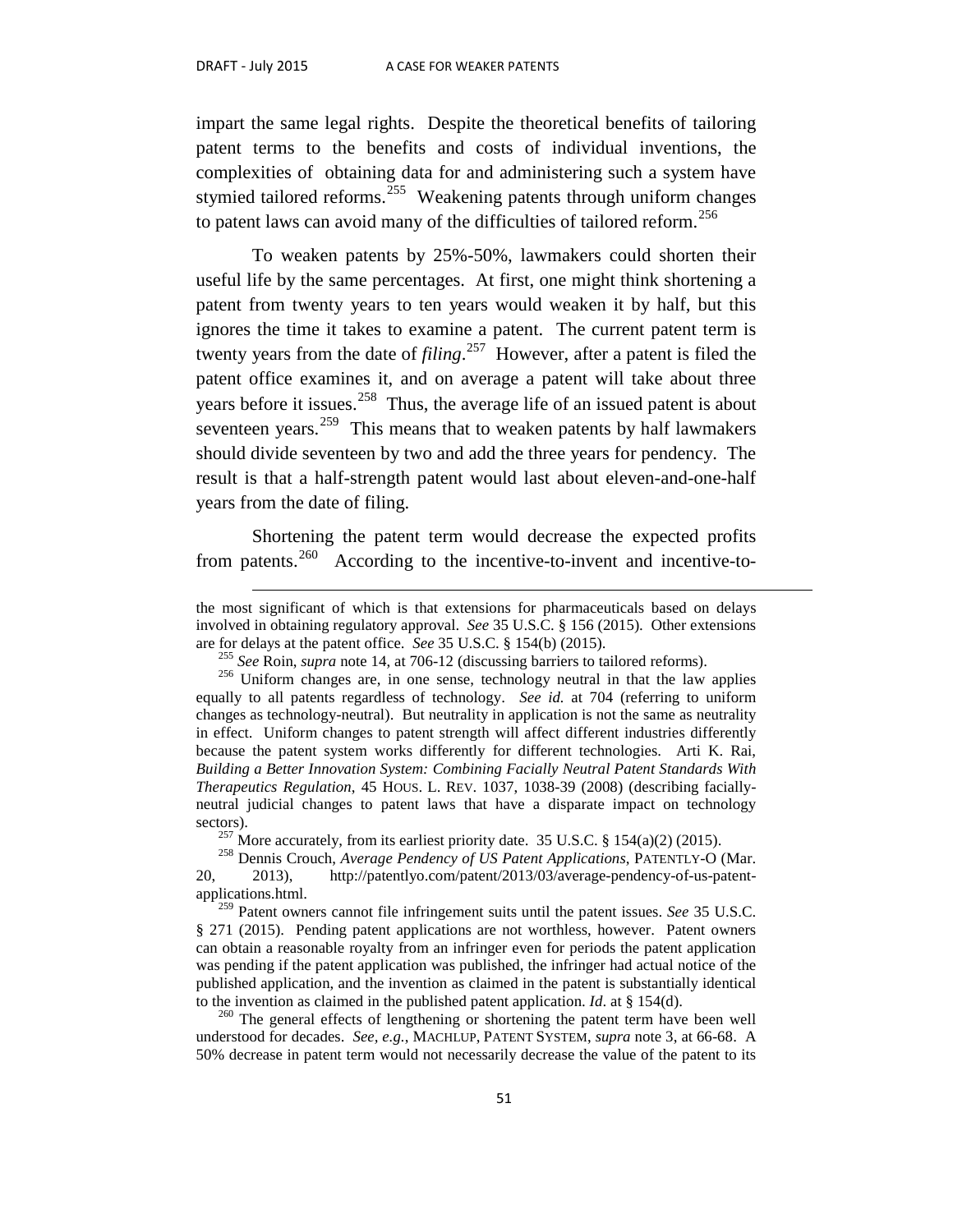$\overline{a}$ 

impart the same legal rights. Despite the theoretical benefits of tailoring patent terms to the benefits and costs of individual inventions, the complexities of obtaining data for and administering such a system have stymied tailored reforms.<sup>[255](#page-52-0)</sup> Weakening patents through uniform changes to patent laws can avoid many of the difficulties of tailored reform.<sup>[256](#page-52-1)</sup>

To weaken patents by 25%-50%, lawmakers could shorten their useful life by the same percentages. At first, one might think shortening a patent from twenty years to ten years would weaken it by half, but this ignores the time it takes to examine a patent. The current patent term is twenty years from the date of *filing*. [257](#page-52-2) However, after a patent is filed the patent office examines it, and on average a patent will take about three years before it issues.<sup>[258](#page-52-3)</sup> Thus, the average life of an issued patent is about seventeen years.<sup>259</sup> This means that to weaken patents by half lawmakers should divide seventeen by two and add the three years for pendency. The result is that a half-strength patent would last about eleven-and-one-half years from the date of filing.

Shortening the patent term would decrease the expected profits from patents.[260](#page-52-5) According to the incentive-to-invent and incentive-to-

the most significant of which is that extensions for pharmaceuticals based on delays involved in obtaining regulatory approval. *See* 35 U.S.C. § 156 (2015). Other extensions are for delays at the patent office. *See* 35 U.S.C. § 154(b) (2015).<br><sup>255</sup> See Roin, *supra* note 14, at 706-12 (discussing barriers to tailored reforms).<br><sup>256</sup> Uniform changes are, in one sense, technology neutral in th

<span id="page-52-3"></span><span id="page-52-2"></span>20, 2013), http://patentlyo.com/patent/2013/03/average-pendency-of-us-patent-

<span id="page-52-4"></span>applications.html. <sup>259</sup> Patent owners cannot file infringement suits until the patent issues. *See* 35 U.S.C. § 271 (2015). Pending patent applications are not worthless, however. Patent owners can obtain a reasonable royalty from an infringer even for periods the patent application was pending if the patent application was published, the infringer had actual notice of the published application, and the invention as claimed in the patent is substantially identical to the invention as claimed in the published patent application. *Id*. at § 154(d).<br><sup>260</sup> The general effects of lengthening or shortening the patent term have been well

<span id="page-52-5"></span>understood for decades. *See, e.g.*, MACHLUP, PATENT SYSTEM, *supra* note 3, at 66-68. A 50% decrease in patent term would not necessarily decrease the value of the patent to its

<span id="page-52-1"></span><span id="page-52-0"></span>equally to all patents regardless of technology. *See id.* at 704 (referring to uniform changes as technology-neutral). But neutrality in application is not the same as neutrality in effect. Uniform changes to patent strength will affect different industries differently because the patent system works differently for different technologies. Arti K. Rai, *Building a Better Innovation System: Combining Facially Neutral Patent Standards With Therapeutics Regulation*, 45 HOUS. L. REV. 1037, 1038-39 (2008) (describing faciallyneutral judicial changes to patent laws that have a disparate impact on technology sectors). <sup>257</sup> More accurately, from its earliest priority date. 35 U.S.C. § 154(a)(2) (2015). <sup>258</sup> Dennis Crouch, *Average Pendency of US Patent Applications*, PATENTLY-O (Mar.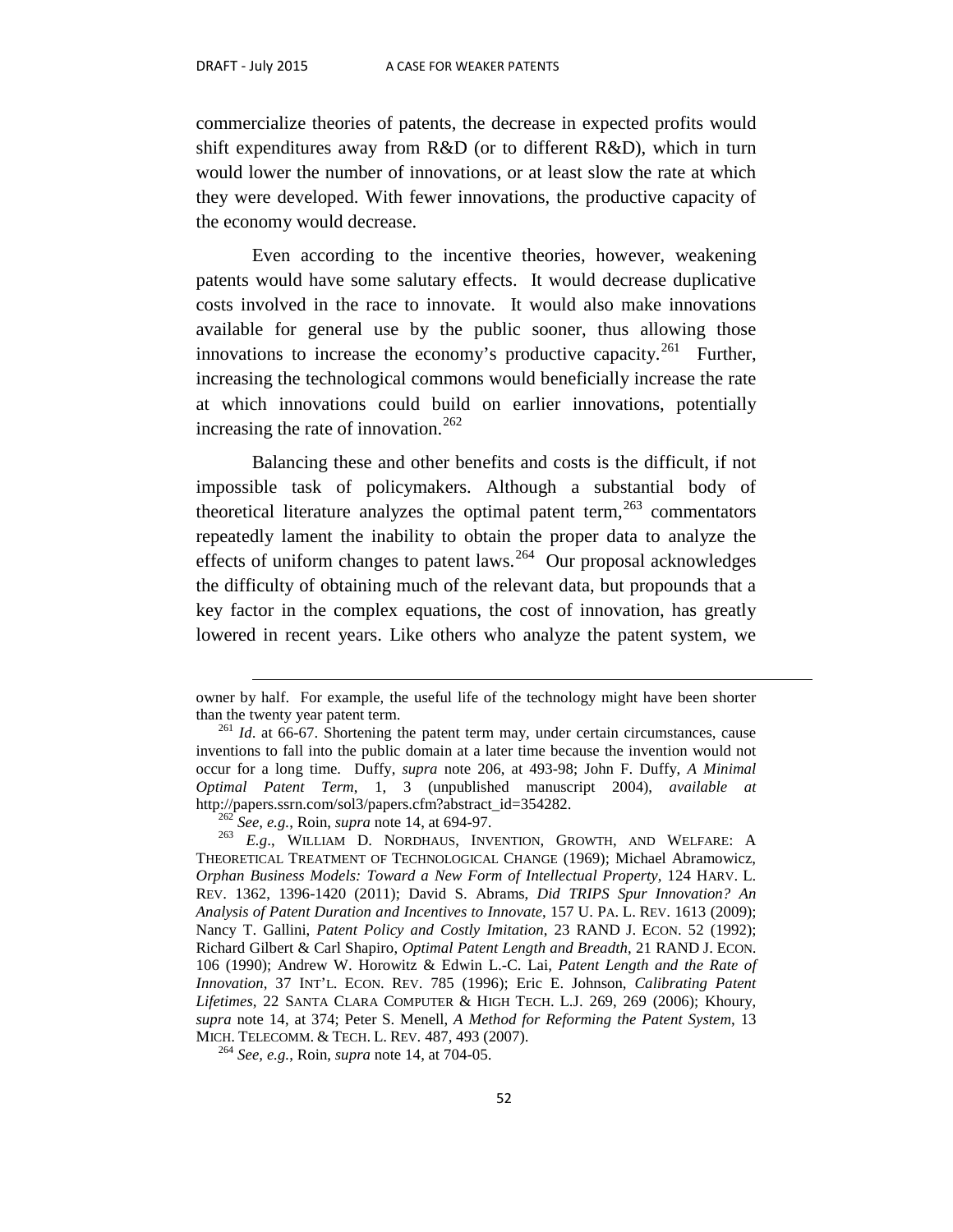$\overline{a}$ 

commercialize theories of patents, the decrease in expected profits would shift expenditures away from R&D (or to different R&D), which in turn would lower the number of innovations, or at least slow the rate at which they were developed. With fewer innovations, the productive capacity of the economy would decrease.

Even according to the incentive theories, however, weakening patents would have some salutary effects. It would decrease duplicative costs involved in the race to innovate. It would also make innovations available for general use by the public sooner, thus allowing those innovations to increase the economy's productive capacity.<sup>[261](#page-53-0)</sup> Further, increasing the technological commons would beneficially increase the rate at which innovations could build on earlier innovations, potentially increasing the rate of innovation.<sup>[262](#page-53-1)</sup>

Balancing these and other benefits and costs is the difficult, if not impossible task of policymakers. Although a substantial body of theoretical literature analyzes the optimal patent term,  $263$  commentators repeatedly lament the inability to obtain the proper data to analyze the effects of uniform changes to patent laws.<sup>264</sup> Our proposal acknowledges the difficulty of obtaining much of the relevant data, but propounds that a key factor in the complex equations, the cost of innovation, has greatly lowered in recent years. Like others who analyze the patent system, we

owner by half. For example, the useful life of the technology might have been shorter than the twenty year patent term. <sup>261</sup> *Id*. at 66-67. Shortening the patent term may, under certain circumstances, cause

<span id="page-53-0"></span>inventions to fall into the public domain at a later time because the invention would not occur for a long time. Duffy, *supra* note 206, at 493-98; John F. Duffy, *A Minimal Optimal Patent Term*, 1, 3 (unpublished manuscript 2004), *available at* http://papers.ssrn.com/sol3/papers.cfm?abstract\_id=354282.<br><sup>262</sup> *See, e.g.*, Roin, *supra* note 14, at 694-97.<br><sup>263</sup> *E.g.*, WILLIAM D. NORDHAUS, INVENTION, GROWTH, AND WELFARE: A

<span id="page-53-2"></span><span id="page-53-1"></span>THEORETICAL TREATMENT OF TECHNOLOGICAL CHANGE (1969); Michael Abramowicz, *Orphan Business Models: Toward a New Form of Intellectual Property*, 124 HARV. L. REV. 1362, 1396-1420 (2011); David S. Abrams, *Did TRIPS Spur Innovation? An Analysis of Patent Duration and Incentives to Innovate*, 157 U. PA. L. REV. 1613 (2009); Nancy T. Gallini, *Patent Policy and Costly Imitation*, 23 RAND J. ECON. 52 (1992); Richard Gilbert & Carl Shapiro, *Optimal Patent Length and Breadth*, 21 RAND J. ECON. 106 (1990); Andrew W. Horowitz & Edwin L.-C. Lai, *Patent Length and the Rate of Innovation*, 37 INT'L. ECON. REV. 785 (1996); Eric E. Johnson, *Calibrating Patent Lifetimes*, 22 SANTA CLARA COMPUTER & HIGH TECH. L.J. 269, 269 (2006); Khoury, *supra* note 14, at 374; Peter S. Menell, *A Method for Reforming the Patent System*, 13

<span id="page-53-3"></span><sup>&</sup>lt;sup>264</sup> See, e.g., Roin, *supra* note 14, at 704-05.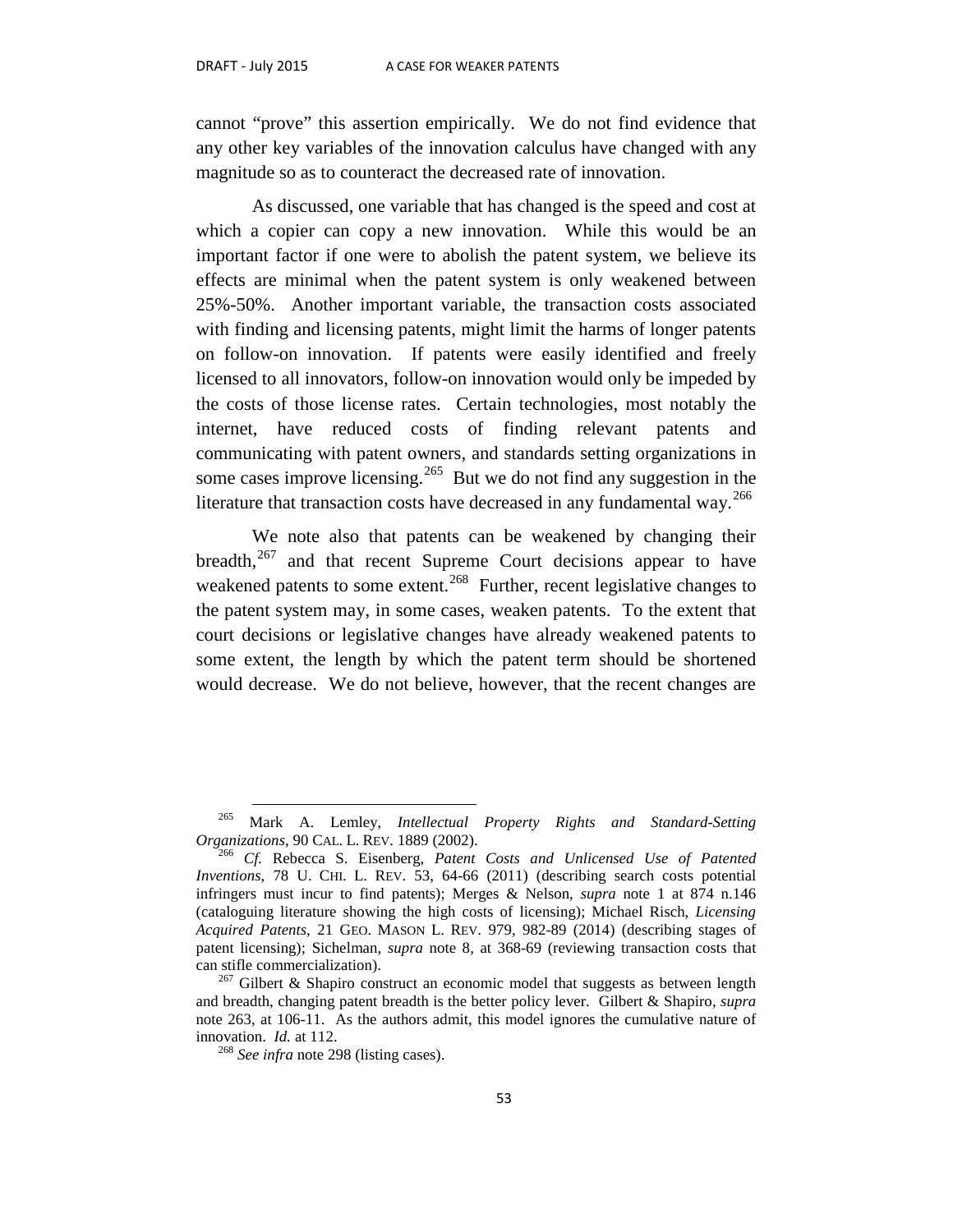cannot "prove" this assertion empirically. We do not find evidence that any other key variables of the innovation calculus have changed with any magnitude so as to counteract the decreased rate of innovation.

As discussed, one variable that has changed is the speed and cost at which a copier can copy a new innovation. While this would be an important factor if one were to abolish the patent system, we believe its effects are minimal when the patent system is only weakened between 25%-50%. Another important variable, the transaction costs associated with finding and licensing patents, might limit the harms of longer patents on follow-on innovation. If patents were easily identified and freely licensed to all innovators, follow-on innovation would only be impeded by the costs of those license rates. Certain technologies, most notably the internet, have reduced costs of finding relevant patents and communicating with patent owners, and standards setting organizations in some cases improve licensing.<sup>265</sup> But we do not find any suggestion in the literature that transaction costs have decreased in any fundamental way.<sup>[266](#page-54-1)</sup>

We note also that patents can be weakened by changing their breadth,<sup>[267](#page-54-2)</sup> and that recent Supreme Court decisions appear to have weakened patents to some extent.<sup>[268](#page-54-3)</sup> Further, recent legislative changes to the patent system may, in some cases, weaken patents. To the extent that court decisions or legislative changes have already weakened patents to some extent, the length by which the patent term should be shortened would decrease. We do not believe, however, that the recent changes are

<span id="page-54-0"></span><sup>&</sup>lt;sup>265</sup> Mark A. Lemley, *Intellectual Property Rights and Standard-Setting Organizations*, 90 CAL. L. REV. 1889 (2002).

<span id="page-54-1"></span><sup>&</sup>lt;sup>266</sup> Cf. Rebecca S. Eisenberg, Patent Costs and Unlicensed Use of Patented *Inventions*, 78 U. CHI. L. REV. 53, 64-66 (2011) (describing search costs potential infringers must incur to find patents); Merges & Nelson, *supra* note 1 at 874 n.146 (cataloguing literature showing the high costs of licensing); Michael Risch, *Licensing Acquired Patents*, 21 GEO. MASON L. REV. 979, 982-89 (2014) (describing stages of patent licensing); Sichelman, *supra* note 8, at 368-69 (reviewing transaction costs that can stifle commercialization).<br><sup>267</sup> Gilbert & Shapiro construct an economic model that suggests as between length

<span id="page-54-3"></span><span id="page-54-2"></span>and breadth, changing patent breadth is the better policy lever. Gilbert & Shapiro, *supra* note 263, at 106-11. As the authors admit, this model ignores the cumulative nature of innovation.  $Id$  at 112.

<sup>&</sup>lt;sup>268</sup> See *infra* note 298 (listing cases).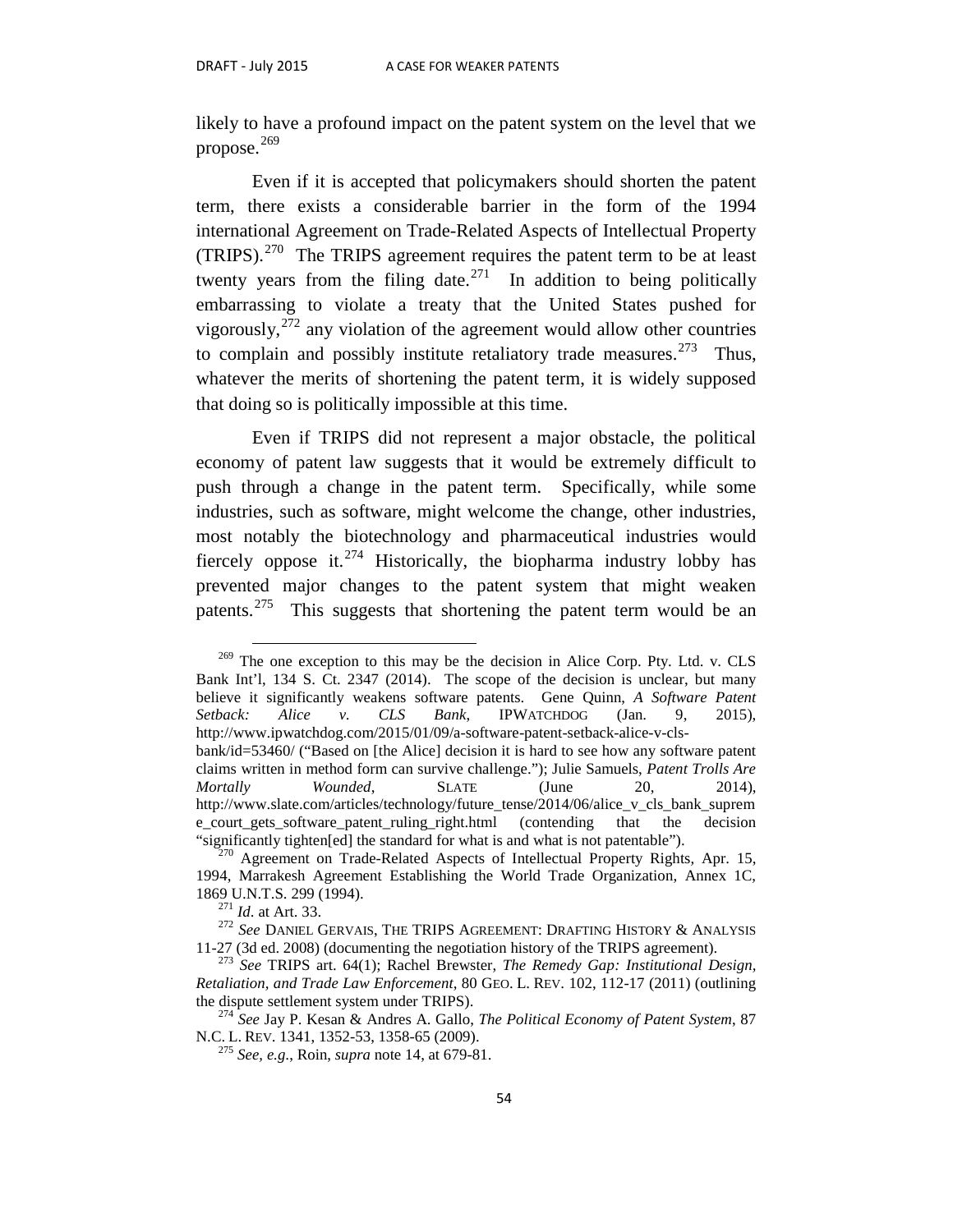likely to have a profound impact on the patent system on the level that we propose. $269$ 

Even if it is accepted that policymakers should shorten the patent term, there exists a considerable barrier in the form of the 1994 international Agreement on Trade-Related Aspects of Intellectual Property (TRIPS).[270](#page-55-1) The TRIPS agreement requires the patent term to be at least twenty years from the filing date.<sup>271</sup> In addition to being politically embarrassing to violate a treaty that the United States pushed for vigorously,  $272$  any violation of the agreement would allow other countries to complain and possibly institute retaliatory trade measures.<sup>[273](#page-55-4)</sup> Thus, whatever the merits of shortening the patent term, it is widely supposed that doing so is politically impossible at this time.

Even if TRIPS did not represent a major obstacle, the political economy of patent law suggests that it would be extremely difficult to push through a change in the patent term. Specifically, while some industries, such as software, might welcome the change, other industries, most notably the biotechnology and pharmaceutical industries would fiercely oppose it.<sup>[274](#page-55-5)</sup> Historically, the biopharma industry lobby has prevented major changes to the patent system that might weaken patents.<sup>275</sup> This suggests that shortening the patent term would be an

<span id="page-55-0"></span> $269$  The one exception to this may be the decision in Alice Corp. Pty. Ltd. v. CLS Bank Int'l, 134 S. Ct. 2347 (2014). The scope of the decision is unclear, but many believe it significantly weakens software patents. Gene Quinn, *A Software Patent Setback: Alice v. CLS Bank*, IPWATCHDOG (Jan. 9, 2015), http://www.ipwatchdog.com/2015/01/09/a-software-patent-setback-alice-v-clsbank/id=53460/ ("Based on [the Alice] decision it is hard to see how any software patent claims written in method form can survive challenge."); Julie Samuels, *Patent Trolls Are Mortally Wounded*, **SLATE** (June 20, 2014), http://www.slate.com/articles/technology/future\_tense/2014/06/alice\_v\_cls\_bank\_suprem e\_court\_gets\_software\_patent\_ruling\_right.html (contending that the decision "significantly tighten[ed] the standard for what is and what is not patentable").

<span id="page-55-1"></span> $^{270}$  Agreement on Trade-Related Aspects of Intellectual Property Rights, Apr. 15, 1994, Marrakesh Agreement Establishing the World Trade Organization, Annex 1C,

<span id="page-55-2"></span><sup>1869</sup> U.N.T.S. 299 (1994). <sup>271</sup> *Id*. at Art. 33. <sup>272</sup> *See* DANIEL GERVAIS, THE TRIPS AGREEMENT: DRAFTING HISTORY & ANALYSIS 11-27 (3d ed. 2008) (documenting the negotiation history of the TRIPS agreement).

<span id="page-55-4"></span><span id="page-55-3"></span><sup>273</sup> *See* TRIPS art. 64(1); Rachel Brewster, *The Remedy Gap: Institutional Design, Retaliation, and Trade Law Enforcement*, 80 GEO. L. REV. 102, 112-17 (2011) (outlining

<span id="page-55-6"></span><span id="page-55-5"></span><sup>&</sup>lt;sup>274</sup> *See Jay P. Kesan & Andres A. Gallo, <i>The Political Economy of Patent System, 87* N.C. L. REV. 1341, 1352-53, 1358-65 (2009).

<sup>&</sup>lt;sup>275</sup> See, e.g., Roin, *supra* note 14, at 679-81.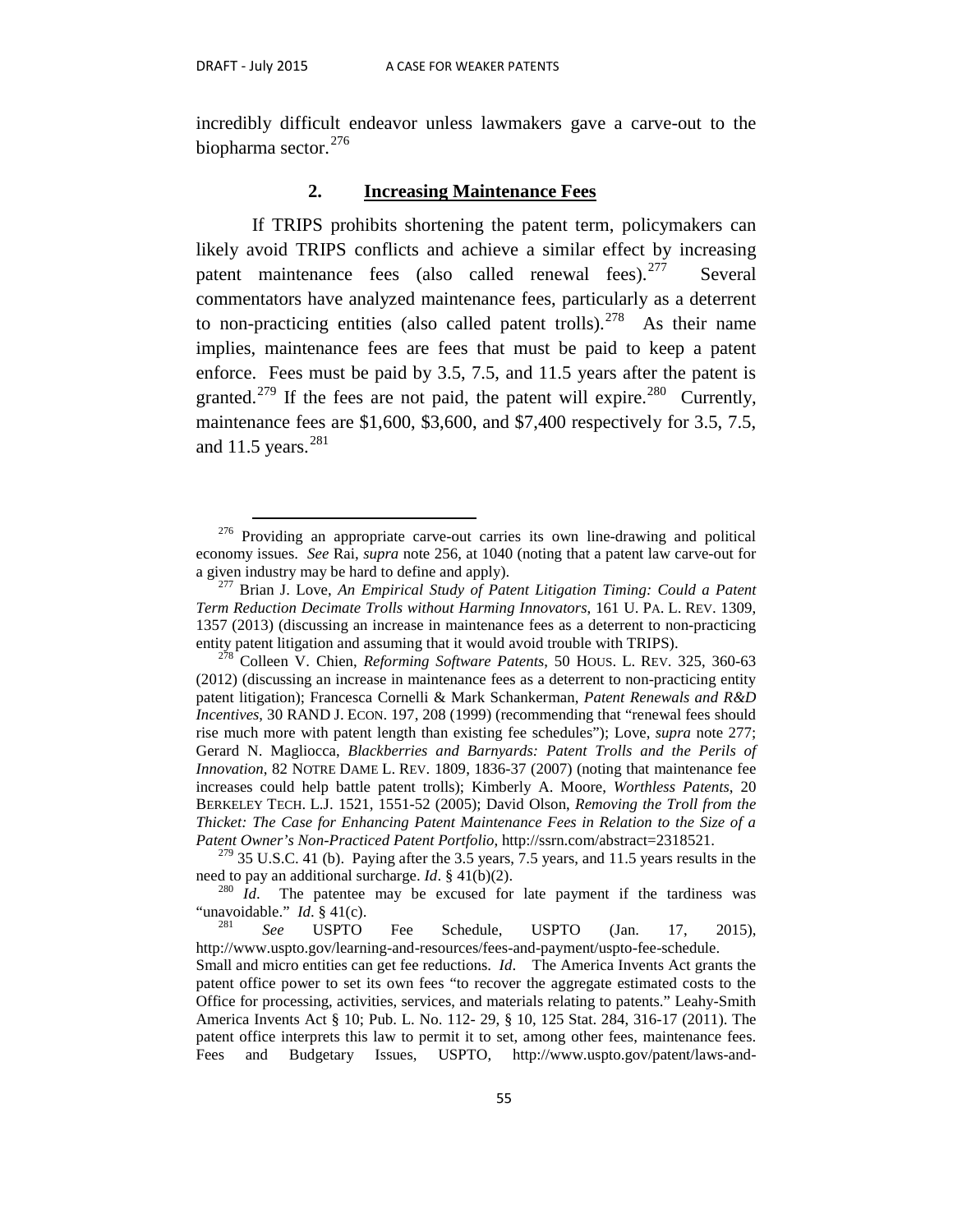incredibly difficult endeavor unless lawmakers gave a carve-out to the biopharma sector.<sup>276</sup>

#### **2. Increasing Maintenance Fees**

If TRIPS prohibits shortening the patent term, policymakers can likely avoid TRIPS conflicts and achieve a similar effect by increasing patent maintenance fees (also called renewal fees).  $277$  Several commentators have analyzed maintenance fees, particularly as a deterrent to non-practicing entities (also called patent trolls).<sup>[278](#page-56-2)</sup> As their name implies, maintenance fees are fees that must be paid to keep a patent enforce. Fees must be paid by 3.5, 7.5, and 11.5 years after the patent is granted.<sup>[279](#page-56-3)</sup> If the fees are not paid, the patent will expire.<sup>[280](#page-56-4)</sup> Currently, maintenance fees are \$1,600, \$3,600, and \$7,400 respectively for 3.5, 7.5, and 11.5 years. $^{281}$  $^{281}$  $^{281}$ 

<span id="page-56-0"></span>Providing an appropriate carve-out carries its own line-drawing and political economy issues. *See* Rai, *supra* note 256, at 1040 (noting that a patent law carve-out for a given industry may be hard to define and apply).

<span id="page-56-1"></span><sup>&</sup>lt;sup>277</sup> Brian J. Love, *An Empirical Study of Patent Litigation Timing: Could a Patent Term Reduction Decimate Trolls without Harming Innovators*, 161 U. PA. L. REV. 1309, 1357 (2013) (discussing an increase in maintenance fees as a deterrent to non-practicing entity patent litigation and assuming that it would avoid trouble with TRIPS). 278 Colleen V. Chien, *Reforming Software Patents*, 50 HOUS. L. REV. 325, 360-63

<span id="page-56-2"></span><sup>(2012) (</sup>discussing an increase in maintenance fees as a deterrent to non-practicing entity patent litigation); Francesca Cornelli & Mark Schankerman, *Patent Renewals and R&D Incentives*, 30 RAND J. ECON. 197, 208 (1999) (recommending that "renewal fees should rise much more with patent length than existing fee schedules"); Love, *supra* note 277; Gerard N. Magliocca, *Blackberries and Barnyards: Patent Trolls and the Perils of Innovation*, 82 NOTRE DAME L. REV. 1809, 1836-37 (2007) (noting that maintenance fee increases could help battle patent trolls); Kimberly A. Moore, *Worthless Patents*, 20 BERKELEY TECH. L.J. 1521, 1551-52 (2005); David Olson, *Removing the Troll from the Thicket: The Case for Enhancing Patent Maintenance Fees in Relation to the Size of a* 

<span id="page-56-3"></span>*Patent Owner's Non-Practiced Patent Portfolio*, http://ssrn.com/abstract=2318521.<br><sup>279</sup> 35 U.S.C. 41 (b). Paying after the 3.5 years, 7.5 years, and 11.5 years results in the need to pay an additional surcharge. *Id*. § 4

<span id="page-56-4"></span><sup>&</sup>lt;sup>280</sup> *Id*. The patentee may be excused for late payment if the tardiness was "unavoidable." *Id*. § 41(c). <sup>281</sup> *See* USPTO Fee Schedule, USPTO (Jan. 17, 2015),

<span id="page-56-5"></span>http://www.uspto.gov/learning-and-resources/fees-and-payment/uspto-fee-schedule. Small and micro entities can get fee reductions. *Id*. The America Invents Act grants the patent office power to set its own fees "to recover the aggregate estimated costs to the Office for processing, activities, services, and materials relating to patents." Leahy-Smith America Invents Act § 10; Pub. L. No. 112- 29, § 10, 125 Stat. 284, 316-17 (2011). The patent office interprets this law to permit it to set, among other fees, maintenance fees. Fees and Budgetary Issues, USPTO, http://www.uspto.gov/patent/laws-and-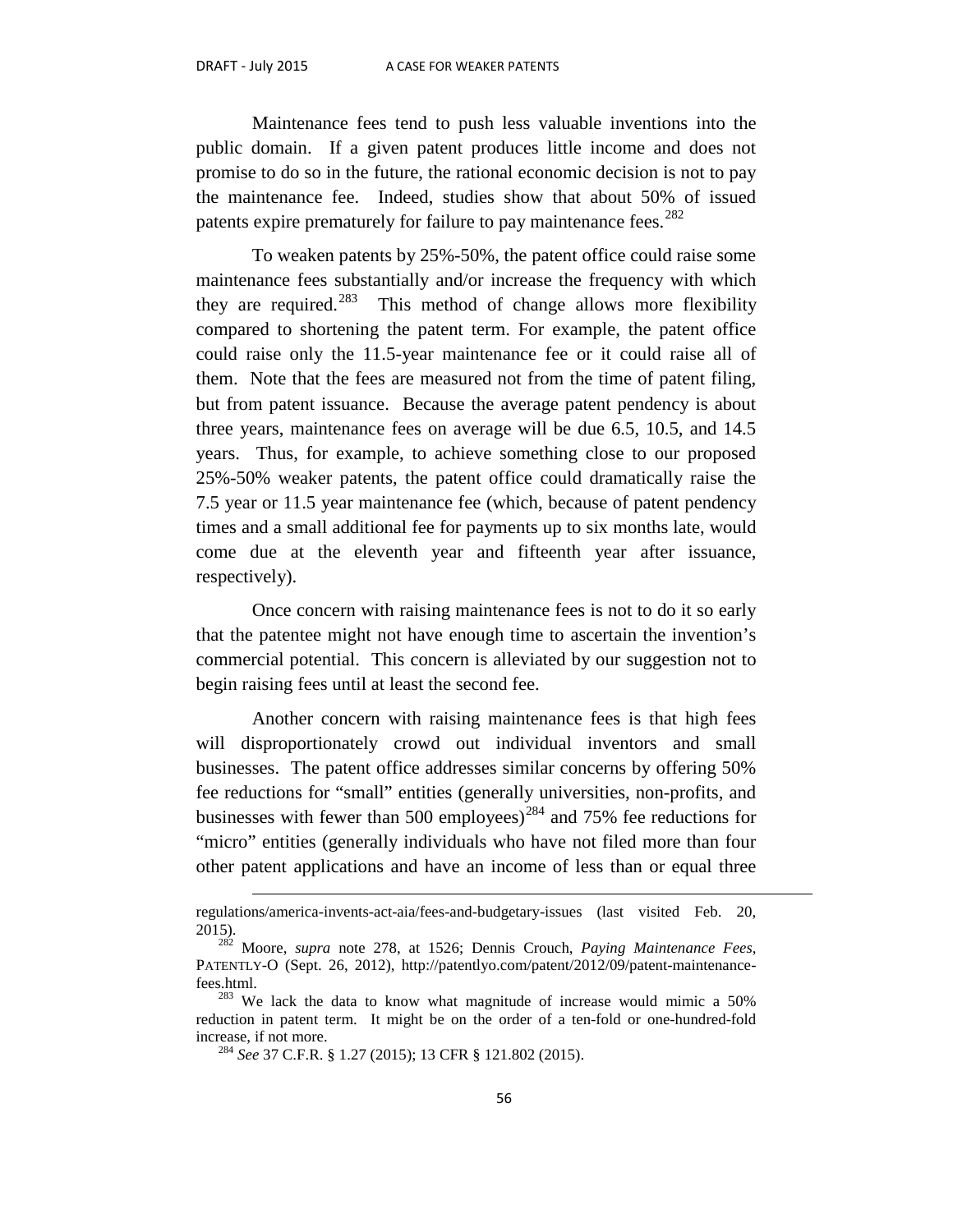$\overline{a}$ 

Maintenance fees tend to push less valuable inventions into the public domain. If a given patent produces little income and does not promise to do so in the future, the rational economic decision is not to pay the maintenance fee. Indeed, studies show that about 50% of issued patents expire prematurely for failure to pay maintenance fees.<sup>[282](#page-57-0)</sup>

To weaken patents by 25%-50%, the patent office could raise some maintenance fees substantially and/or increase the frequency with which they are required. $283$  This method of change allows more flexibility compared to shortening the patent term. For example, the patent office could raise only the 11.5-year maintenance fee or it could raise all of them. Note that the fees are measured not from the time of patent filing, but from patent issuance. Because the average patent pendency is about three years, maintenance fees on average will be due 6.5, 10.5, and 14.5 years. Thus, for example, to achieve something close to our proposed 25%-50% weaker patents, the patent office could dramatically raise the 7.5 year or 11.5 year maintenance fee (which, because of patent pendency times and a small additional fee for payments up to six months late, would come due at the eleventh year and fifteenth year after issuance, respectively).

Once concern with raising maintenance fees is not to do it so early that the patentee might not have enough time to ascertain the invention's commercial potential. This concern is alleviated by our suggestion not to begin raising fees until at least the second fee.

Another concern with raising maintenance fees is that high fees will disproportionately crowd out individual inventors and small businesses. The patent office addresses similar concerns by offering 50% fee reductions for "small" entities (generally universities, non-profits, and businesses with fewer than 500 employees)<sup>[284](#page-57-2)</sup> and 75% fee reductions for "micro" entities (generally individuals who have not filed more than four other patent applications and have an income of less than or equal three

regulations/america-invents-act-aia/fees-and-budgetary-issues (last visited Feb. 20, 2015). <sup>282</sup> Moore, *supra* note 278, at 1526; Dennis Crouch, *Paying Maintenance Fees*,

<span id="page-57-0"></span>PATENTLY-O (Sept. 26, 2012), http://patentlyo.com/patent/2012/09/patent-maintenance-fees.html.

<span id="page-57-2"></span><span id="page-57-1"></span> $1283$  We lack the data to know what magnitude of increase would mimic a 50% reduction in patent term. It might be on the order of a ten-fold or one-hundred-fold increase, if not more. <sup>284</sup> *See* 37 C.F.R. § 1.27 (2015); 13 CFR § 121.802 (2015).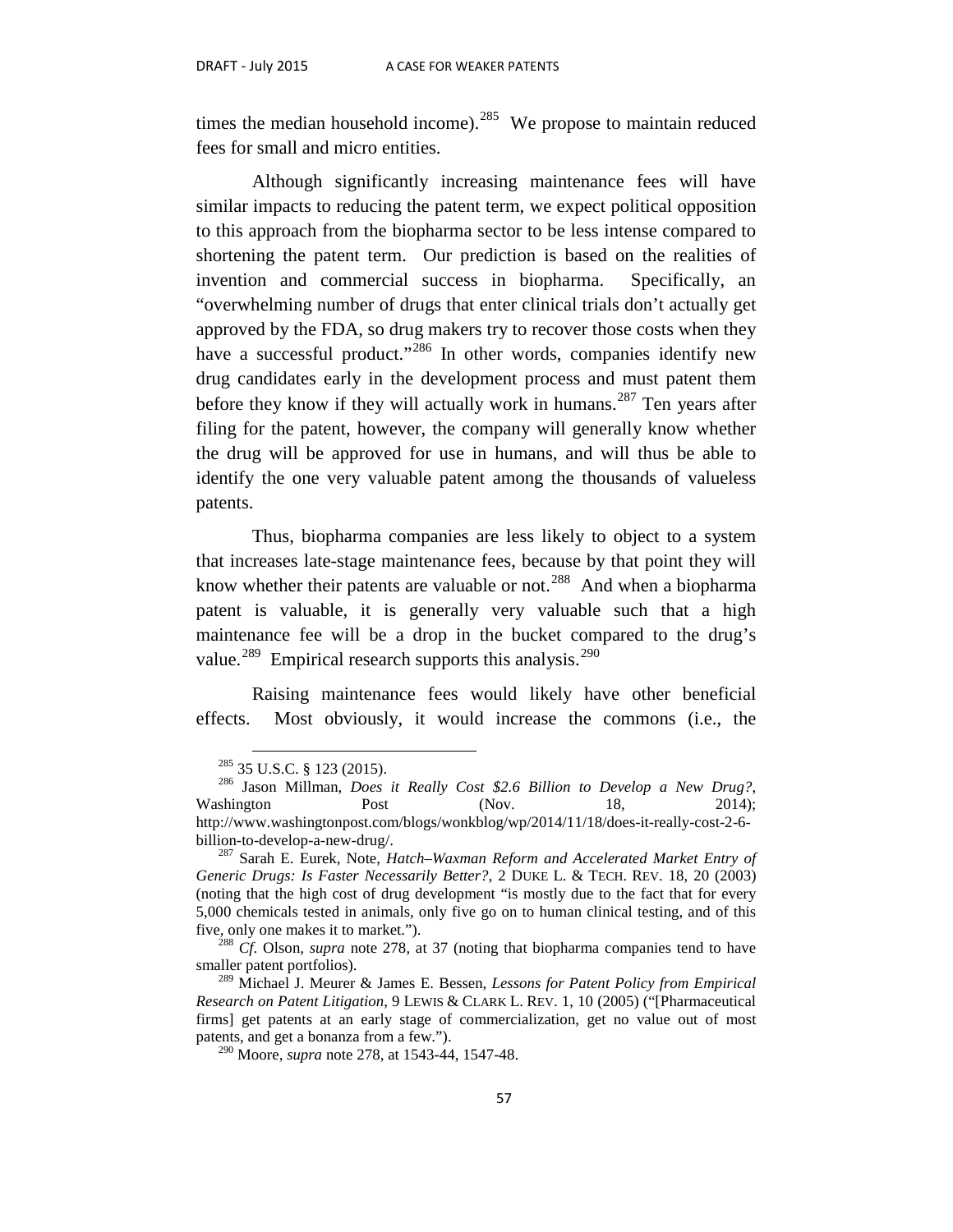times the median household income).<sup>285</sup> We propose to maintain reduced fees for small and micro entities.

Although significantly increasing maintenance fees will have similar impacts to reducing the patent term, we expect political opposition to this approach from the biopharma sector to be less intense compared to shortening the patent term. Our prediction is based on the realities of invention and commercial success in biopharma. Specifically, an "overwhelming number of drugs that enter clinical trials don't actually get approved by the FDA, so drug makers try to recover those costs when they have a successful product."<sup>[286](#page-58-1)</sup> In other words, companies identify new drug candidates early in the development process and must patent them before they know if they will actually work in humans.<sup>[287](#page-58-2)</sup> Ten years after filing for the patent, however, the company will generally know whether the drug will be approved for use in humans, and will thus be able to identify the one very valuable patent among the thousands of valueless patents.

Thus, biopharma companies are less likely to object to a system that increases late-stage maintenance fees, because by that point they will know whether their patents are valuable or not.<sup>288</sup> And when a biopharma patent is valuable, it is generally very valuable such that a high maintenance fee will be a drop in the bucket compared to the drug's value.<sup>289</sup> Empirical research supports this analysis.<sup>[290](#page-58-5)</sup>

Raising maintenance fees would likely have other beneficial effects. Most obviously, it would increase the commons (i.e., the

<span id="page-58-1"></span><span id="page-58-0"></span><sup>285</sup> 35 U.S.C. § 123 (2015). <sup>286</sup> Jason Millman, *Does it Really Cost \$2.6 Billion to Develop a New Drug?*, Washington Post (Nov. 18, 2014); http://www.washingtonpost.com/blogs/wonkblog/wp/2014/11/18/does-it-really-cost-2-6 billion-to-develop-a-new-drug/. <sup>287</sup> Sarah E. Eurek, Note, *Hatch–Waxman Reform and Accelerated Market Entry of* 

<span id="page-58-2"></span>*Generic Drugs: Is Faster Necessarily Better?*, 2 DUKE L. & TECH. REV. 18, 20 (2003) (noting that the high cost of drug development "is mostly due to the fact that for every 5,000 chemicals tested in animals, only five go on to human clinical testing, and of this five, only one makes it to market."). <sup>288</sup> *Cf*. Olson, *supra* note 278, at 37 (noting that biopharma companies tend to have

<span id="page-58-3"></span>smaller patent portfolios).

<span id="page-58-5"></span><span id="page-58-4"></span><sup>289</sup> Michael J. Meurer & James E. Bessen, *Lessons for Patent Policy from Empirical Research on Patent Litigation*, 9 LEWIS & CLARK L. REV. 1, 10 (2005) ("[Pharmaceutical firms] get patents at an early stage of commercialization, get no value out of most patents, and get a bonanza from a few.").

<sup>290</sup> Moore, *supra* note 278, at 1543-44, 1547-48.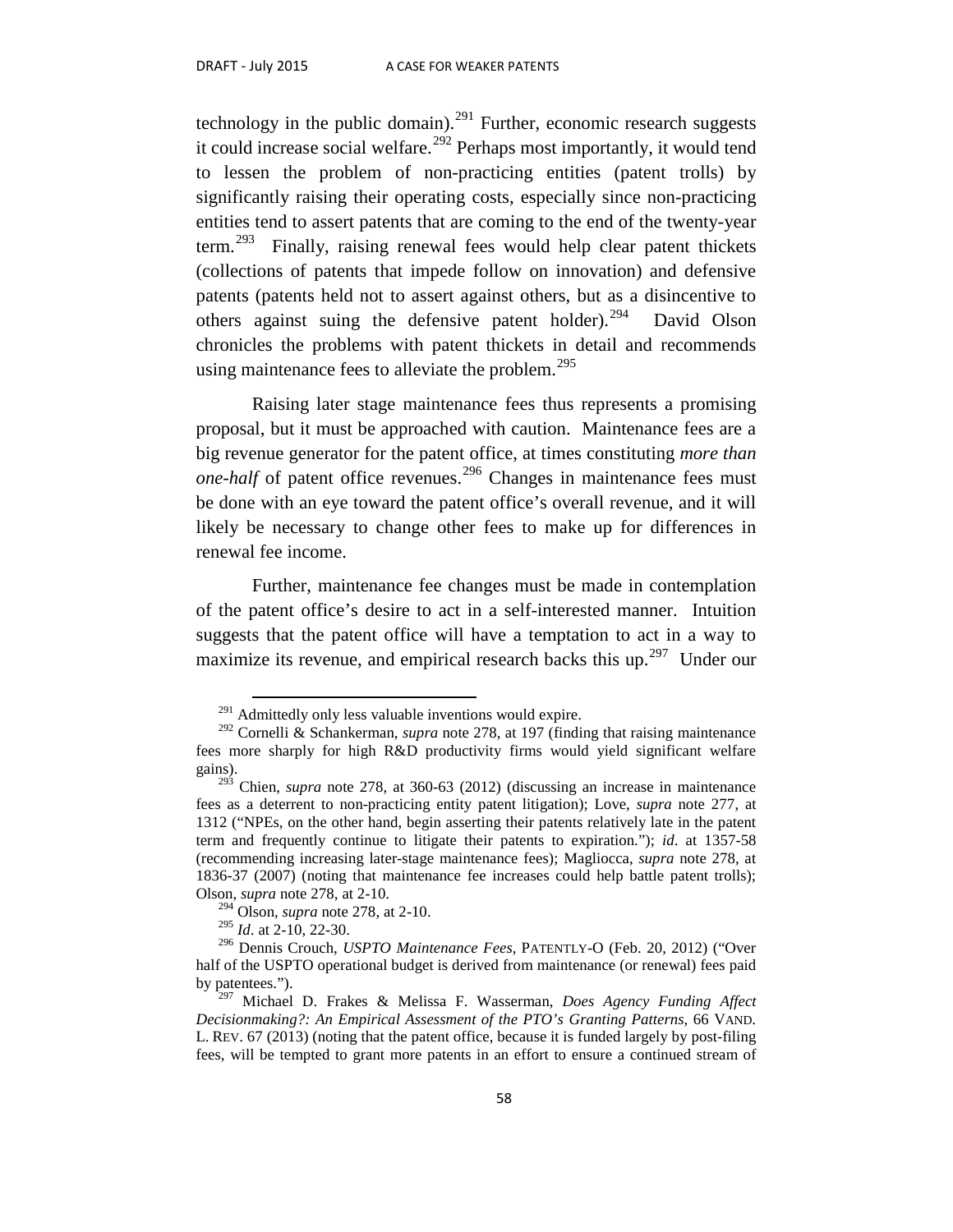technology in the public domain).<sup>[291](#page-59-0)</sup> Further, economic research suggests it could increase social welfare.<sup>[292](#page-59-1)</sup> Perhaps most importantly, it would tend to lessen the problem of non-practicing entities (patent trolls) by significantly raising their operating costs, especially since non-practicing entities tend to assert patents that are coming to the end of the twenty-year term.[293](#page-59-2) Finally, raising renewal fees would help clear patent thickets (collections of patents that impede follow on innovation) and defensive patents (patents held not to assert against others, but as a disincentive to others against suing the defensive patent holder).<sup>[294](#page-59-3)</sup> David Olson chronicles the problems with patent thickets in detail and recommends using maintenance fees to alleviate the problem. $295$ 

Raising later stage maintenance fees thus represents a promising proposal, but it must be approached with caution. Maintenance fees are a big revenue generator for the patent office, at times constituting *more than one-half* of patent office revenues.<sup>[296](#page-59-5)</sup> Changes in maintenance fees must be done with an eye toward the patent office's overall revenue, and it will likely be necessary to change other fees to make up for differences in renewal fee income.

Further, maintenance fee changes must be made in contemplation of the patent office's desire to act in a self-interested manner. Intuition suggests that the patent office will have a temptation to act in a way to maximize its revenue, and empirical research backs this up.<sup>297</sup> Under our

<sup>294</sup> Olson, *supra* note 278, at 2-10.

<sup>295</sup> *Id*. at 2-10, 22-30.

 $291$  Admittedly only less valuable inventions would expire.

<span id="page-59-1"></span><span id="page-59-0"></span><sup>292</sup> Cornelli & Schankerman, *supra* note 278*,* at 197 (finding that raising maintenance fees more sharply for high R&D productivity firms would yield significant welfare gains). 293 Chien, *supra* note 278, at 360-63 (2012) (discussing an increase in maintenance

<span id="page-59-2"></span>fees as a deterrent to non-practicing entity patent litigation); Love, *supra* note 277, at 1312 ("NPEs, on the other hand, begin asserting their patents relatively late in the patent term and frequently continue to litigate their patents to expiration."); *id*. at 1357-58 (recommending increasing later-stage maintenance fees); Magliocca, *supra* note 278, at 1836-37 (2007) (noting that maintenance fee increases could help battle patent trolls); Olson, *supra* note 278, at 2-10.

<span id="page-59-5"></span><span id="page-59-4"></span><span id="page-59-3"></span><sup>296</sup> Dennis Crouch, *USPTO Maintenance Fees*, PATENTLY-O (Feb. 20, 2012) ("Over half of the USPTO operational budget is derived from maintenance (or renewal) fees paid by patentees.").

<span id="page-59-6"></span><sup>297</sup> Michael D. Frakes & Melissa F. Wasserman, *Does Agency Funding Affect Decisionmaking?: An Empirical Assessment of the PTO's Granting Patterns*, 66 VAND. L. REV. 67 (2013) (noting that the patent office, because it is funded largely by post-filing fees, will be tempted to grant more patents in an effort to ensure a continued stream of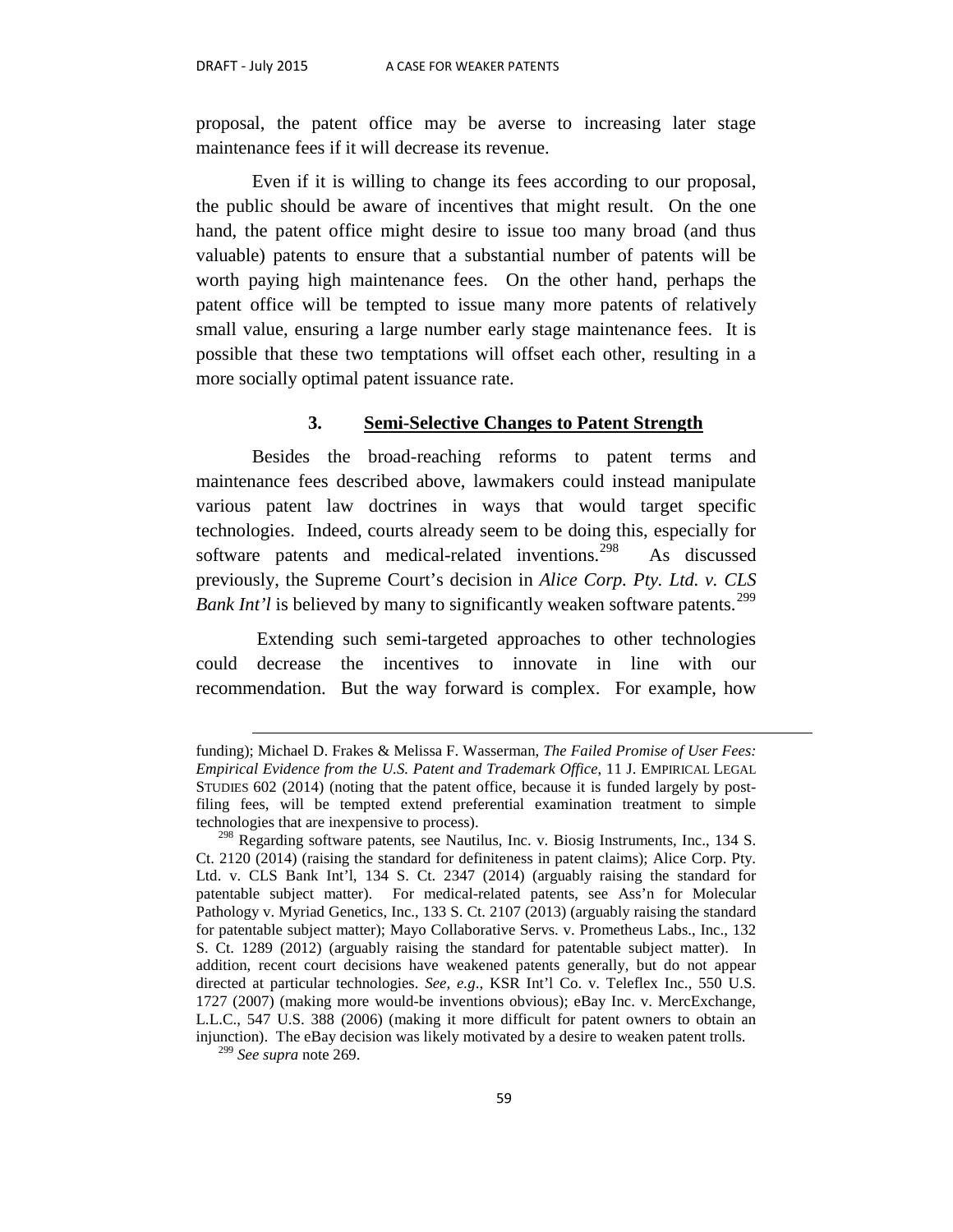proposal, the patent office may be averse to increasing later stage maintenance fees if it will decrease its revenue.

Even if it is willing to change its fees according to our proposal, the public should be aware of incentives that might result. On the one hand, the patent office might desire to issue too many broad (and thus valuable) patents to ensure that a substantial number of patents will be worth paying high maintenance fees. On the other hand, perhaps the patent office will be tempted to issue many more patents of relatively small value, ensuring a large number early stage maintenance fees. It is possible that these two temptations will offset each other, resulting in a more socially optimal patent issuance rate.

#### **3. Semi-Selective Changes to Patent Strength**

Besides the broad-reaching reforms to patent terms and maintenance fees described above, lawmakers could instead manipulate various patent law doctrines in ways that would target specific technologies. Indeed, courts already seem to be doing this, especially for software patents and medical-related inventions.<sup>298</sup> As discussed previously, the Supreme Court's decision in *Alice Corp. Pty. Ltd. v. CLS Bank Int'l* is believed by many to significantly weaken software patents.<sup>[299](#page-60-1)</sup>

Extending such semi-targeted approaches to other technologies could decrease the incentives to innovate in line with our recommendation. But the way forward is complex. For example, how

 $\overline{a}$ 

funding); Michael D. Frakes & Melissa F. Wasserman, *The Failed Promise of User Fees: Empirical Evidence from the U.S. Patent and Trademark Office*, 11 J. EMPIRICAL LEGAL STUDIES 602 (2014) (noting that the patent office, because it is funded largely by postfiling fees, will be tempted extend preferential examination treatment to simple technologies that are inexpensive to process).

<span id="page-60-0"></span><sup>298</sup> Regarding software patents, see Nautilus, Inc. v. Biosig Instruments, Inc., 134 S. Ct. 2120 (2014) (raising the standard for definiteness in patent claims); Alice Corp. Pty. Ltd. v. CLS Bank Int'l, 134 S. Ct. 2347 (2014) (arguably raising the standard for patentable subject matter). For medical-related patents, see Ass'n for Molecular Pathology v. Myriad Genetics, Inc., 133 S. Ct. 2107 (2013) (arguably raising the standard for patentable subject matter); Mayo Collaborative Servs. v. Prometheus Labs., Inc., 132 S. Ct. 1289 (2012) (arguably raising the standard for patentable subject matter). In addition, recent court decisions have weakened patents generally, but do not appear directed at particular technologies. *See, e.g*., KSR Int'l Co. v. Teleflex Inc., 550 U.S. 1727 (2007) (making more would-be inventions obvious); eBay Inc. v. MercExchange, L.L.C., 547 U.S. 388 (2006) (making it more difficult for patent owners to obtain an injunction). The eBay decision was likely motivated by a desire to weaken patent trolls.

<span id="page-60-1"></span><sup>299</sup> *See supra* note 269.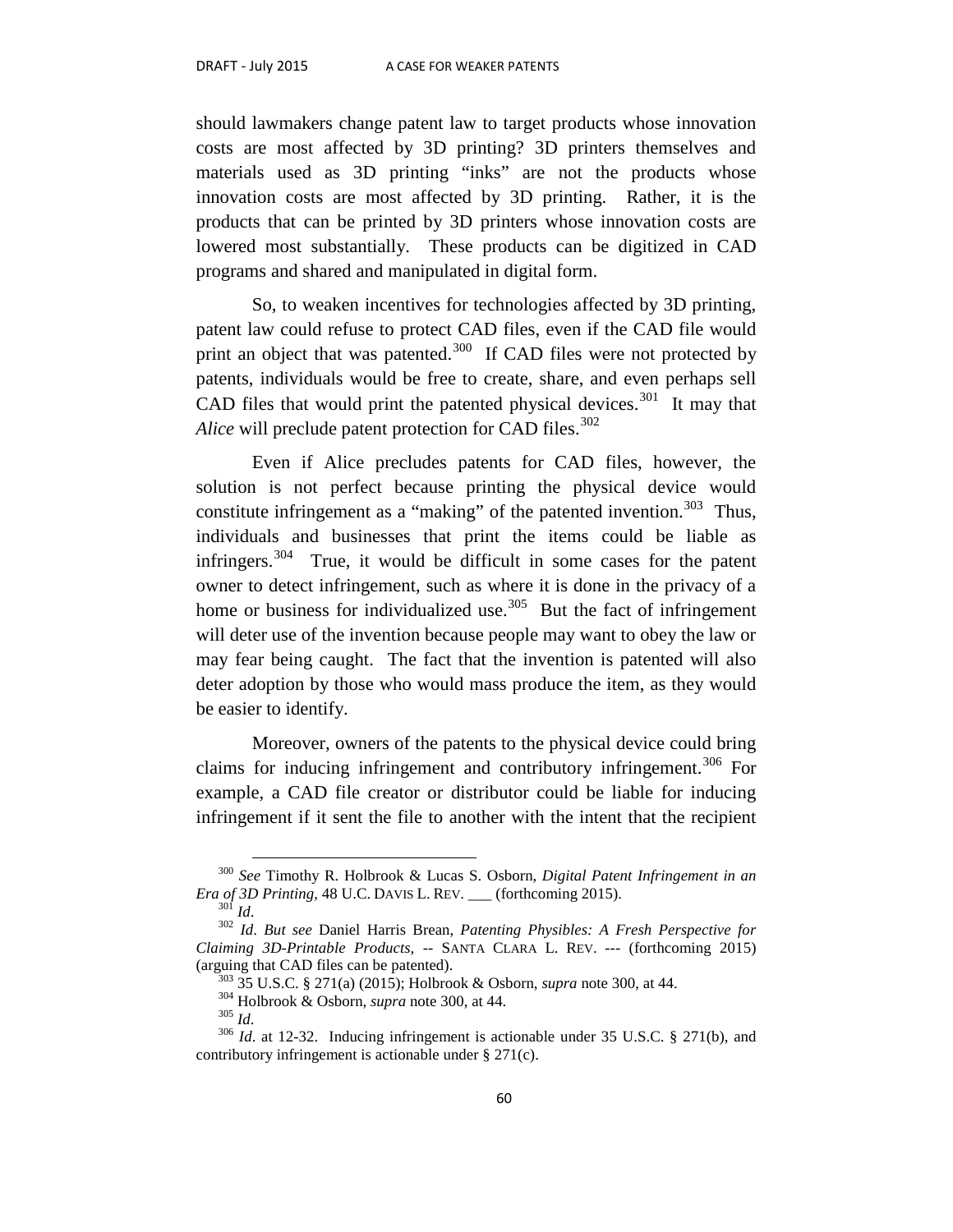should lawmakers change patent law to target products whose innovation costs are most affected by 3D printing? 3D printers themselves and materials used as 3D printing "inks" are not the products whose innovation costs are most affected by 3D printing. Rather, it is the products that can be printed by 3D printers whose innovation costs are lowered most substantially. These products can be digitized in CAD programs and shared and manipulated in digital form.

So, to weaken incentives for technologies affected by 3D printing, patent law could refuse to protect CAD files, even if the CAD file would print an object that was patented. $300$  If CAD files were not protected by patents, individuals would be free to create, share, and even perhaps sell CAD files that would print the patented physical devices.<sup>[301](#page-61-1)</sup> It may that *Alice* will preclude patent protection for CAD files.<sup>[302](#page-61-2)</sup>

Even if Alice precludes patents for CAD files, however, the solution is not perfect because printing the physical device would constitute infringement as a "making" of the patented invention.<sup>303</sup> Thus, individuals and businesses that print the items could be liable as infringers.<sup>[304](#page-61-4)</sup> True, it would be difficult in some cases for the patent owner to detect infringement, such as where it is done in the privacy of a home or business for individualized use.<sup>305</sup> But the fact of infringement will deter use of the invention because people may want to obey the law or may fear being caught. The fact that the invention is patented will also deter adoption by those who would mass produce the item, as they would be easier to identify.

Moreover, owners of the patents to the physical device could bring claims for inducing infringement and contributory infringement.<sup>[306](#page-61-6)</sup> For example, a CAD file creator or distributor could be liable for inducing infringement if it sent the file to another with the intent that the recipient

<span id="page-61-0"></span> <sup>300</sup> *See* Timothy R. Holbrook & Lucas S. Osborn, *Digital Patent Infringement in an Era of 3D Printing*, 48 U.C. DAVIS L. REV. \_\_\_ (forthcoming 2015).<br><sup>301</sup> *Id. But see* Daniel Harris Brean, *Patenting Physibles: A Fresh Perspective for* 

<span id="page-61-3"></span><span id="page-61-2"></span><span id="page-61-1"></span>*Claiming 3D-Printable Products*, -- SANTA CLARA L. REV. --- (forthcoming 2015) (arguing that CAD files can be patented).<br><sup>303</sup> 35 U.S.C. § 271(a) (2015); Holbrook & Osborn, *supra* note 300, at 44.<br><sup>304</sup> Holbrook & Osborn, *supra* note 300, at 44.<br><sup>305</sup> Id. at 12-32. Inducing infringement is actiona

<span id="page-61-6"></span><span id="page-61-5"></span><span id="page-61-4"></span>contributory infringement is actionable under § 271(c).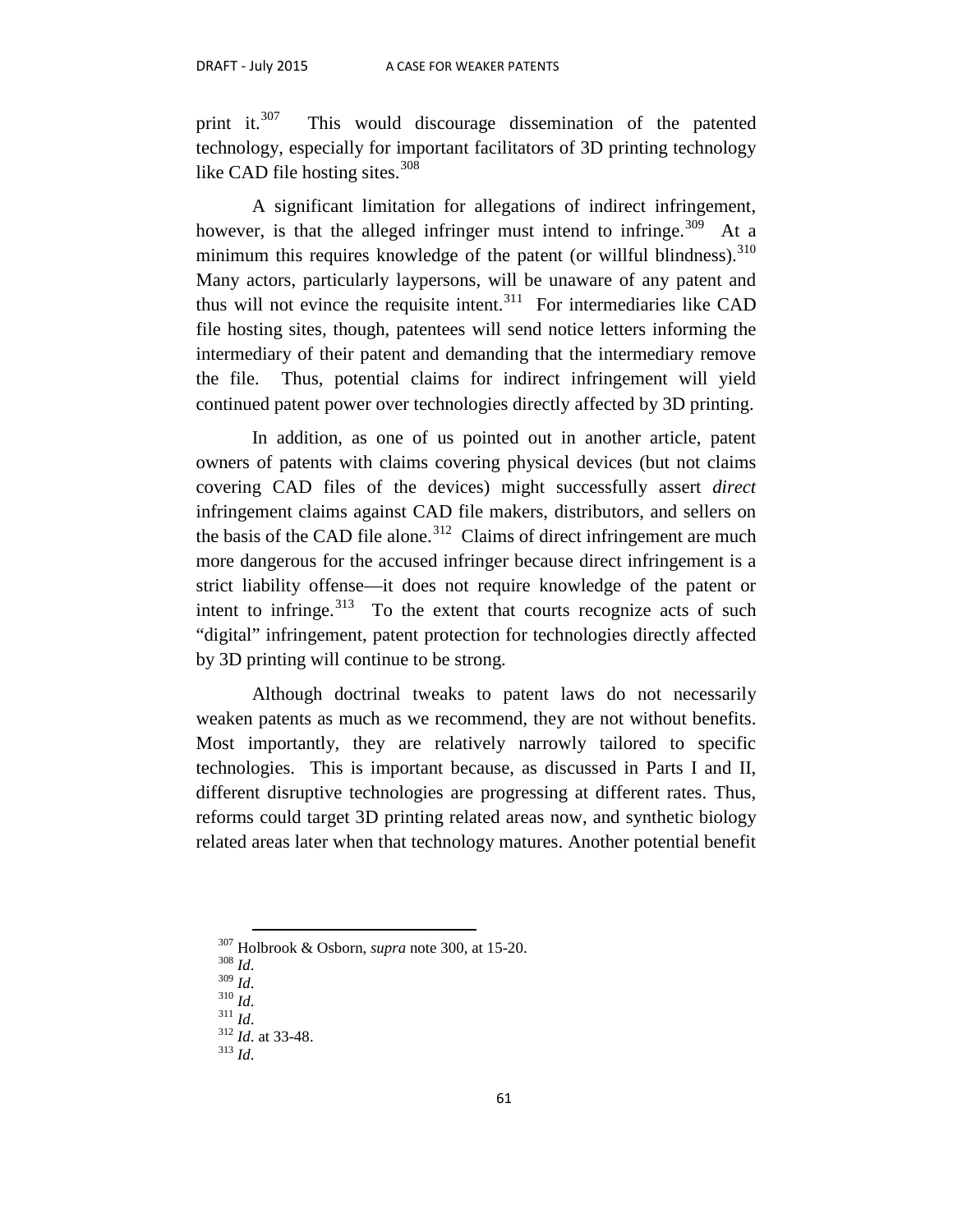print it. $307$  This would discourage dissemination of the patented technology, especially for important facilitators of 3D printing technology like CAD file hosting sites.<sup>308</sup>

A significant limitation for allegations of indirect infringement, however, is that the alleged infringer must intend to infringe.<sup>309</sup> At a minimum this requires knowledge of the patent (or willful blindness).<sup>[310](#page-62-3)</sup> Many actors, particularly laypersons, will be unaware of any patent and thus will not evince the requisite intent.<sup>[311](#page-62-4)</sup> For intermediaries like CAD file hosting sites, though, patentees will send notice letters informing the intermediary of their patent and demanding that the intermediary remove the file. Thus, potential claims for indirect infringement will yield continued patent power over technologies directly affected by 3D printing.

In addition, as one of us pointed out in another article, patent owners of patents with claims covering physical devices (but not claims covering CAD files of the devices) might successfully assert *direct* infringement claims against CAD file makers, distributors, and sellers on the basis of the CAD file alone.<sup>312</sup> Claims of direct infringement are much more dangerous for the accused infringer because direct infringement is a strict liability offense—it does not require knowledge of the patent or intent to infringe. $313$  To the extent that courts recognize acts of such "digital" infringement, patent protection for technologies directly affected by 3D printing will continue to be strong.

Although doctrinal tweaks to patent laws do not necessarily weaken patents as much as we recommend, they are not without benefits. Most importantly, they are relatively narrowly tailored to specific technologies. This is important because, as discussed in Parts I and II, different disruptive technologies are progressing at different rates. Thus, reforms could target 3D printing related areas now, and synthetic biology related areas later when that technology matures. Another potential benefit

<span id="page-62-1"></span><span id="page-62-0"></span><sup>307</sup> Holbrook & Osborn, *supra* note 300, at 15-20. <sup>308</sup> *Id*. <sup>309</sup> *Id*. <sup>310</sup> *Id*. <sup>311</sup> *Id*. <sup>312</sup> *Id*. at 33-48. 313 *Id*.

<span id="page-62-3"></span><span id="page-62-2"></span>

<span id="page-62-5"></span><span id="page-62-4"></span>

<span id="page-62-6"></span>